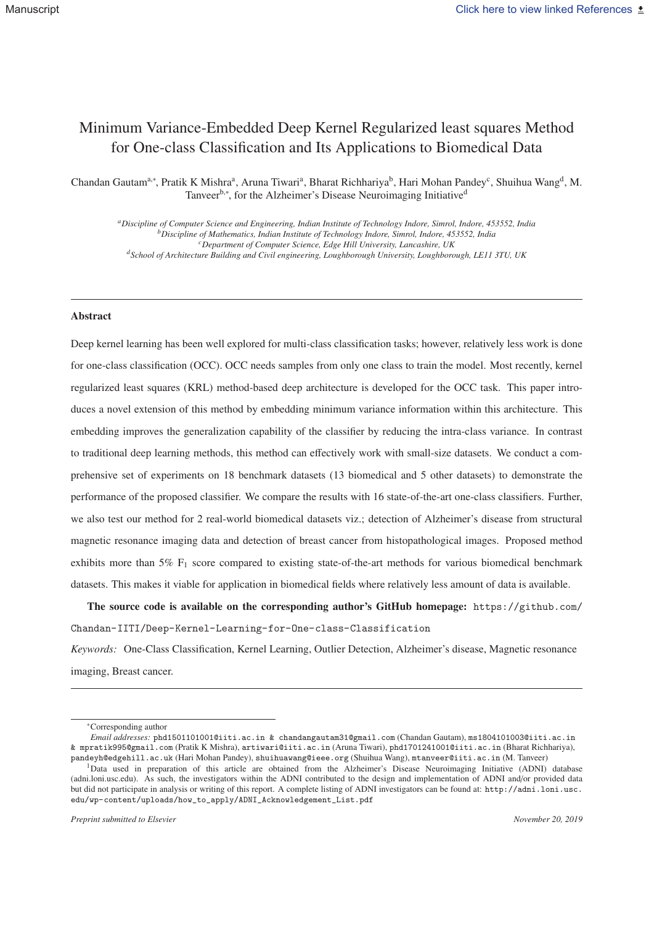# Minimum Variance-Embedded Deep Kernel Regularized least squares Method for One-class Classification and Its Applications to Biomedical Data

Chandan Gautam<sup>a,∗</sup>, Pratik K Mishra<sup>a</sup>, Aruna Tiwari<sup>a</sup>, Bharat Richhariya<sup>b</sup>, Hari Mohan Pandey<sup>c</sup>, Shuihua Wang<sup>d</sup>, M. Tanveer<sup>b,∗</sup>, for the Alzheimer's Disease Neuroimaging Initiative<sup>d</sup>

*aDiscipline of Computer Science and Engineering, Indian Institute of Technology Indore, Simrol, Indore, 453552, India bDiscipline of Mathematics, Indian Institute of Technology Indore, Simrol, Indore, 453552, India cDepartment of Computer Science, Edge Hill University, Lancashire, UK dSchool of Architecture Building and Civil engineering, Loughborough University, Loughborough, LE11 3TU, UK*

### Abstract

Deep kernel learning has been well explored for multi-class classification tasks; however, relatively less work is done for one-class classification (OCC). OCC needs samples from only one class to train the model. Most recently, kernel regularized least squares (KRL) method-based deep architecture is developed for the OCC task. This paper introduces a novel extension of this method by embedding minimum variance information within this architecture. This embedding improves the generalization capability of the classifier by reducing the intra-class variance. In contrast to traditional deep learning methods, this method can effectively work with small-size datasets. We conduct a comprehensive set of experiments on 18 benchmark datasets (13 biomedical and 5 other datasets) to demonstrate the performance of the proposed classifier. We compare the results with 16 state-of-the-art one-class classifiers. Further, we also test our method for 2 real-world biomedical datasets viz.; detection of Alzheimer's disease from structural magnetic resonance imaging data and detection of breast cancer from histopathological images. Proposed method exhibits more than 5%  $F_1$  score compared to existing state-of-the-art methods for various biomedical benchmark datasets. This makes it viable for application in biomedical fields where relatively less amount of data is available.

The source code is available on the corresponding author's GitHub homepage: https://github.com/ Chandan-IITI/Deep-Kernel-Learning-for-One-class-Classification

*Keywords:* One-Class Classification, Kernel Learning, Outlier Detection, Alzheimer's disease, Magnetic resonance imaging, Breast cancer.

<sup>∗</sup>Corresponding author

*Email addresses:* phd1501101001@iiti.ac.in & chandangautam31@gmail.com (Chandan Gautam), ms1804101003@iiti.ac.in & mpratik995@gmail.com (Pratik K Mishra), artiwari@iiti.ac.in (Aruna Tiwari), phd1701241001@iiti.ac.in (Bharat Richhariya), pandeyh@edgehill.ac.uk (Hari Mohan Pandey), shuihuawang@ieee.org (Shuihua Wang), mtanveer@iiti.ac.in (M. Tanveer)

<sup>1</sup>Data used in preparation of this article are obtained from the Alzheimer's Disease Neuroimaging Initiative (ADNI) database (adni.loni.usc.edu). As such, the investigators within the ADNI contributed to the design and implementation of ADNI and/or provided data but did not participate in analysis or writing of this report. A complete listing of ADNI investigators can be found at: http://adni.loni.usc. edu/wp-content/uploads/how\_to\_apply/ADNI\_Acknowledgement\_List.pdf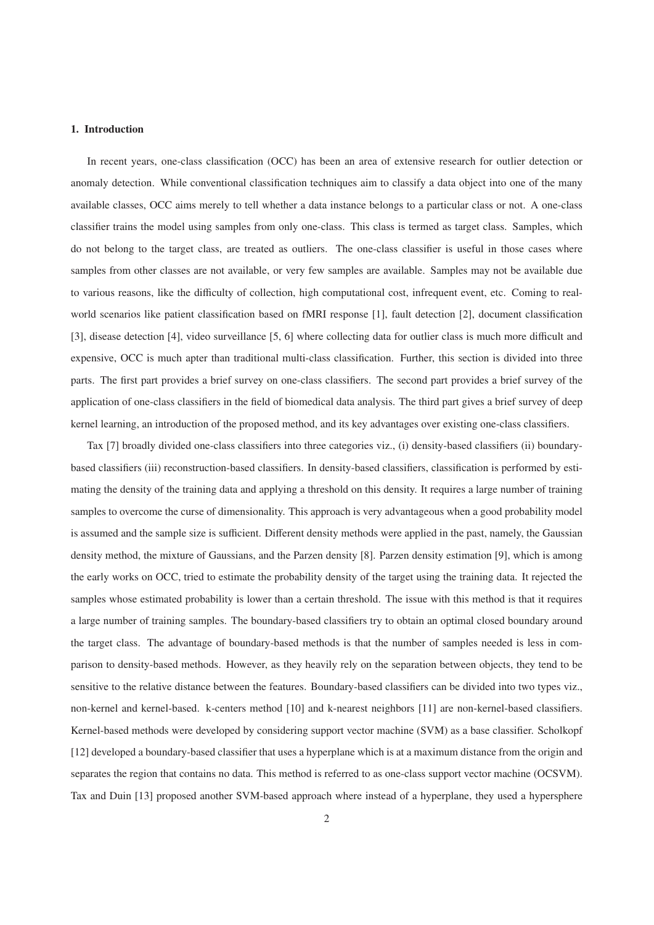# 1. Introduction

In recent years, one-class classification (OCC) has been an area of extensive research for outlier detection or anomaly detection. While conventional classification techniques aim to classify a data object into one of the many available classes, OCC aims merely to tell whether a data instance belongs to a particular class or not. A one-class classifier trains the model using samples from only one-class. This class is termed as target class. Samples, which do not belong to the target class, are treated as outliers. The one-class classifier is useful in those cases where samples from other classes are not available, or very few samples are available. Samples may not be available due to various reasons, like the difficulty of collection, high computational cost, infrequent event, etc. Coming to realworld scenarios like patient classification based on fMRI response [1], fault detection [2], document classification [3], disease detection [4], video surveillance [5, 6] where collecting data for outlier class is much more difficult and expensive, OCC is much apter than traditional multi-class classification. Further, this section is divided into three parts. The first part provides a brief survey on one-class classifiers. The second part provides a brief survey of the application of one-class classifiers in the field of biomedical data analysis. The third part gives a brief survey of deep kernel learning, an introduction of the proposed method, and its key advantages over existing one-class classifiers.

Tax [7] broadly divided one-class classifiers into three categories viz., (i) density-based classifiers (ii) boundarybased classifiers (iii) reconstruction-based classifiers. In density-based classifiers, classification is performed by estimating the density of the training data and applying a threshold on this density. It requires a large number of training samples to overcome the curse of dimensionality. This approach is very advantageous when a good probability model is assumed and the sample size is sufficient. Different density methods were applied in the past, namely, the Gaussian density method, the mixture of Gaussians, and the Parzen density [8]. Parzen density estimation [9], which is among the early works on OCC, tried to estimate the probability density of the target using the training data. It rejected the samples whose estimated probability is lower than a certain threshold. The issue with this method is that it requires a large number of training samples. The boundary-based classifiers try to obtain an optimal closed boundary around the target class. The advantage of boundary-based methods is that the number of samples needed is less in comparison to density-based methods. However, as they heavily rely on the separation between objects, they tend to be sensitive to the relative distance between the features. Boundary-based classifiers can be divided into two types viz., non-kernel and kernel-based. k-centers method [10] and k-nearest neighbors [11] are non-kernel-based classifiers. Kernel-based methods were developed by considering support vector machine (SVM) as a base classifier. Scholkopf [12] developed a boundary-based classifier that uses a hyperplane which is at a maximum distance from the origin and separates the region that contains no data. This method is referred to as one-class support vector machine (OCSVM). Tax and Duin [13] proposed another SVM-based approach where instead of a hyperplane, they used a hypersphere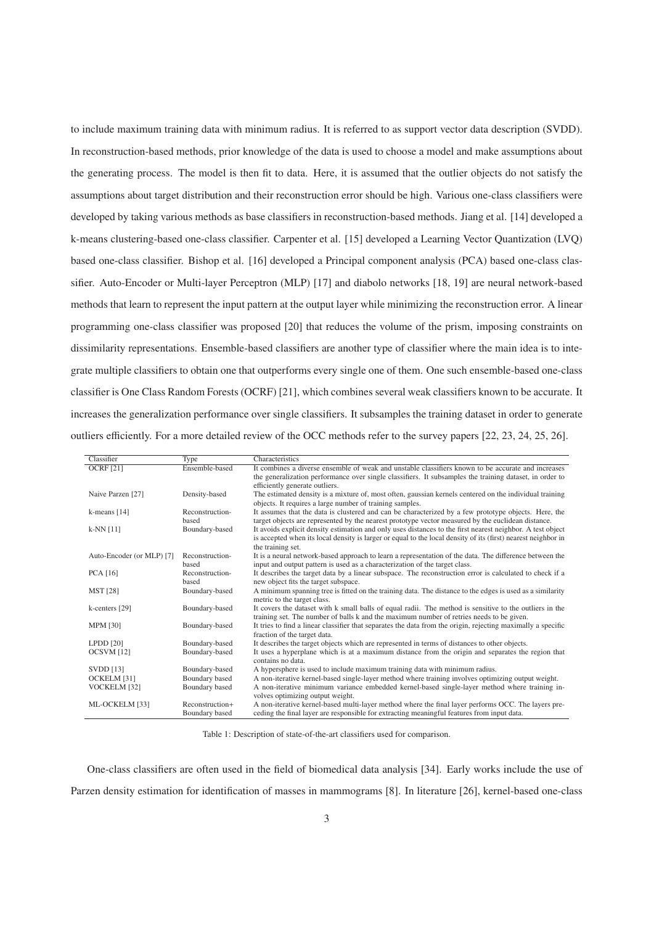to include maximum training data with minimum radius. It is referred to as support vector data description (SVDD). In reconstruction-based methods, prior knowledge of the data is used to choose a model and make assumptions about the generating process. The model is then fit to data. Here, it is assumed that the outlier objects do not satisfy the assumptions about target distribution and their reconstruction error should be high. Various one-class classifiers were developed by taking various methods as base classifiers in reconstruction-based methods. Jiang et al. [14] developed a k-means clustering-based one-class classifier. Carpenter et al. [15] developed a Learning Vector Quantization (LVQ) based one-class classifier. Bishop et al. [16] developed a Principal component analysis (PCA) based one-class classifier. Auto-Encoder or Multi-layer Perceptron (MLP) [17] and diabolo networks [18, 19] are neural network-based methods that learn to represent the input pattern at the output layer while minimizing the reconstruction error. A linear programming one-class classifier was proposed [20] that reduces the volume of the prism, imposing constraints on dissimilarity representations. Ensemble-based classifiers are another type of classifier where the main idea is to integrate multiple classifiers to obtain one that outperforms every single one of them. One such ensemble-based one-class classifier is One Class Random Forests (OCRF) [21], which combines several weak classifiers known to be accurate. It increases the generalization performance over single classifiers. It subsamples the training dataset in order to generate outliers efficiently. For a more detailed review of the OCC methods refer to the survey papers [22, 23, 24, 25, 26].

| Classifier                | Type            | Characteristics                                                                                               |
|---------------------------|-----------------|---------------------------------------------------------------------------------------------------------------|
| <b>OCRF</b> [21]          | Ensemble-based  | It combines a diverse ensemble of weak and unstable classifiers known to be accurate and increases            |
|                           |                 | the generalization performance over single classifiers. It subsamples the training dataset, in order to       |
|                           |                 | efficiently generate outliers.                                                                                |
| Naive Parzen [27]         | Density-based   | The estimated density is a mixture of, most often, gaussian kernels centered on the individual training       |
|                           |                 | objects. It requires a large number of training samples.                                                      |
| k-means $[14]$            | Reconstruction- | It assumes that the data is clustered and can be characterized by a few prototype objects. Here, the          |
|                           | based           | target objects are represented by the nearest prototype vector measured by the euclidean distance.            |
| $k-NN$ [11]               | Boundary-based  | It avoids explicit density estimation and only uses distances to the first nearest neighbor. A test object    |
|                           |                 | is accepted when its local density is larger or equal to the local density of its (first) nearest neighbor in |
|                           |                 | the training set.                                                                                             |
| Auto-Encoder (or MLP) [7] | Reconstruction- | It is a neural network-based approach to learn a representation of the data. The difference between the       |
|                           | based           | input and output pattern is used as a characterization of the target class.                                   |
| <b>PCA</b> [16]           | Reconstruction- | It describes the target data by a linear subspace. The reconstruction error is calculated to check if a       |
|                           | based           | new object fits the target subspace.                                                                          |
| <b>MST</b> [28]           | Boundary-based  | A minimum spanning tree is fitted on the training data. The distance to the edges is used as a similarity     |
|                           |                 | metric to the target class.                                                                                   |
| k-centers [29]            | Boundary-based  | It covers the dataset with k small balls of equal radii. The method is sensitive to the outliers in the       |
|                           |                 | training set. The number of balls k and the maximum number of retries needs to be given.                      |
| <b>MPM [30]</b>           | Boundary-based  | It tries to find a linear classifier that separates the data from the origin, rejecting maximally a specific  |
|                           |                 | fraction of the target data.                                                                                  |
| $L$ PDD $[20]$            | Boundary-based  | It describes the target objects which are represented in terms of distances to other objects.                 |
| OCSVM [12]                | Boundary-based  | It uses a hyperplane which is at a maximum distance from the origin and separates the region that             |
|                           |                 | contains no data.                                                                                             |
| <b>SVDD</b> [13]          | Boundary-based  | A hypersphere is used to include maximum training data with minimum radius.                                   |
| OCKELM [31]               | Boundary based  | A non-iterative kernel-based single-layer method where training involves optimizing output weight.            |
| VOCKELM [32]              | Boundary based  | A non-iterative minimum variance embedded kernel-based single-layer method where training in-                 |
|                           |                 | volves optimizing output weight.                                                                              |
| ML-OCKELM [33]            | Reconstruction+ | A non-iterative kernel-based multi-layer method where the final layer performs OCC. The layers pre-           |
|                           | Boundary based  | ceding the final layer are responsible for extracting meaningful features from input data.                    |

Table 1: Description of state-of-the-art classifiers used for comparison.

One-class classifiers are often used in the field of biomedical data analysis [34]. Early works include the use of Parzen density estimation for identification of masses in mammograms [8]. In literature [26], kernel-based one-class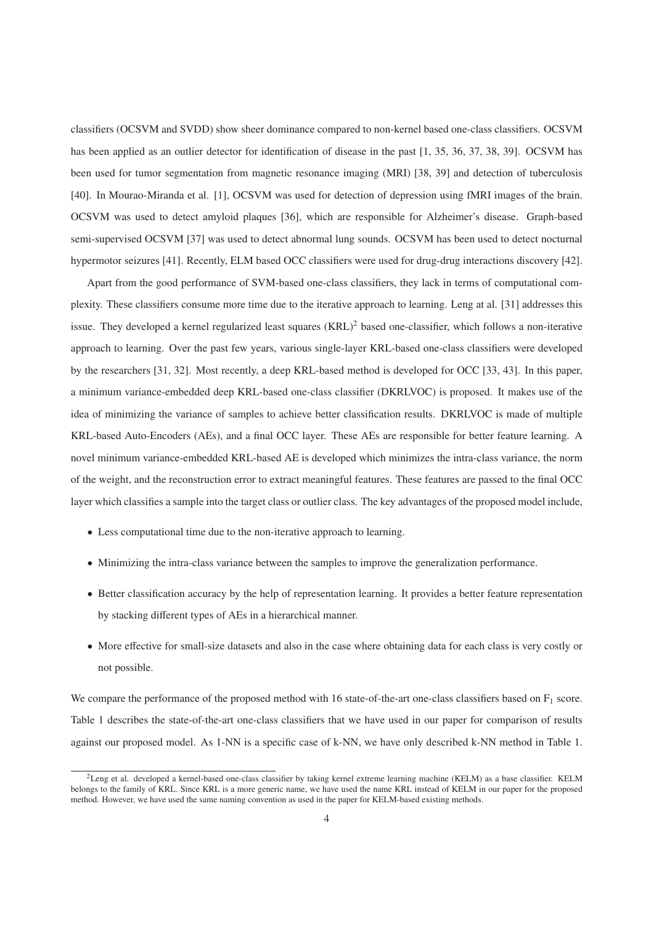classifiers (OCSVM and SVDD) show sheer dominance compared to non-kernel based one-class classifiers. OCSVM has been applied as an outlier detector for identification of disease in the past [1, 35, 36, 37, 38, 39]. OCSVM has been used for tumor segmentation from magnetic resonance imaging (MRI) [38, 39] and detection of tuberculosis [40]. In Mourao-Miranda et al. [1], OCSVM was used for detection of depression using fMRI images of the brain. OCSVM was used to detect amyloid plaques [36], which are responsible for Alzheimer's disease. Graph-based semi-supervised OCSVM [37] was used to detect abnormal lung sounds. OCSVM has been used to detect nocturnal hypermotor seizures [41]. Recently, ELM based OCC classifiers were used for drug-drug interactions discovery [42].

Apart from the good performance of SVM-based one-class classifiers, they lack in terms of computational complexity. These classifiers consume more time due to the iterative approach to learning. Leng at al. [31] addresses this issue. They developed a kernel regularized least squares (KRL)<sup>2</sup> based one-classifier, which follows a non-iterative approach to learning. Over the past few years, various single-layer KRL-based one-class classifiers were developed by the researchers [31, 32]. Most recently, a deep KRL-based method is developed for OCC [33, 43]. In this paper, a minimum variance-embedded deep KRL-based one-class classifier (DKRLVOC) is proposed. It makes use of the idea of minimizing the variance of samples to achieve better classification results. DKRLVOC is made of multiple KRL-based Auto-Encoders (AEs), and a final OCC layer. These AEs are responsible for better feature learning. A novel minimum variance-embedded KRL-based AE is developed which minimizes the intra-class variance, the norm of the weight, and the reconstruction error to extract meaningful features. These features are passed to the final OCC layer which classifies a sample into the target class or outlier class. The key advantages of the proposed model include,

- Less computational time due to the non-iterative approach to learning.
- Minimizing the intra-class variance between the samples to improve the generalization performance.
- Better classification accuracy by the help of representation learning. It provides a better feature representation by stacking different types of AEs in a hierarchical manner.
- More effective for small-size datasets and also in the case where obtaining data for each class is very costly or not possible.

We compare the performance of the proposed method with 16 state-of-the-art one-class classifiers based on  $F_1$  score. Table 1 describes the state-of-the-art one-class classifiers that we have used in our paper for comparison of results against our proposed model. As 1-NN is a specific case of k-NN, we have only described k-NN method in Table 1.

<sup>2</sup>Leng et al. developed a kernel-based one-class classifier by taking kernel extreme learning machine (KELM) as a base classifier. KELM belongs to the family of KRL. Since KRL is a more generic name, we have used the name KRL instead of KELM in our paper for the proposed method. However, we have used the same naming convention as used in the paper for KELM-based existing methods.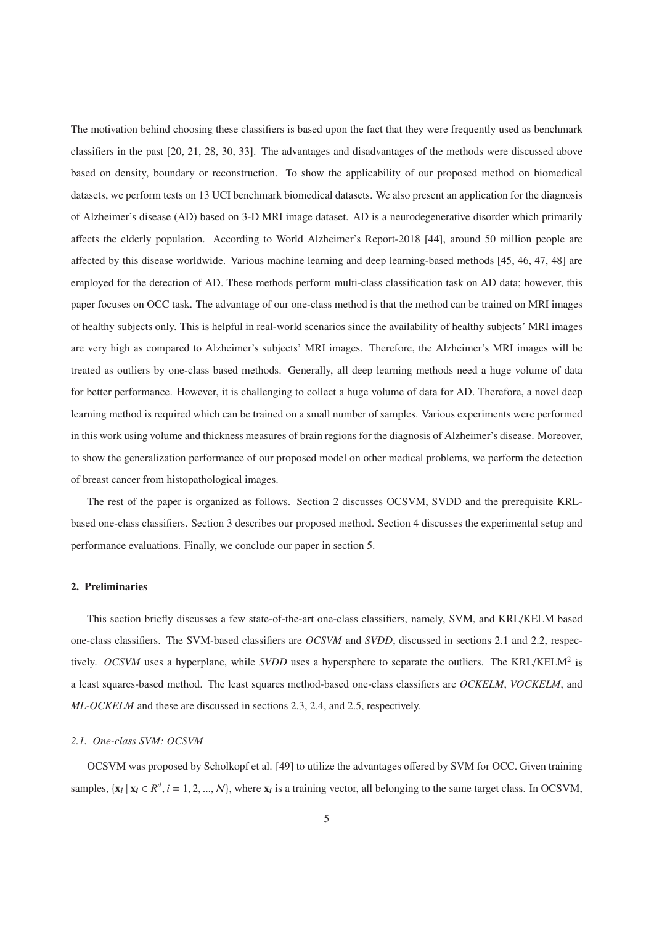The motivation behind choosing these classifiers is based upon the fact that they were frequently used as benchmark classifiers in the past [20, 21, 28, 30, 33]. The advantages and disadvantages of the methods were discussed above based on density, boundary or reconstruction. To show the applicability of our proposed method on biomedical datasets, we perform tests on 13 UCI benchmark biomedical datasets. We also present an application for the diagnosis of Alzheimer's disease (AD) based on 3-D MRI image dataset. AD is a neurodegenerative disorder which primarily affects the elderly population. According to World Alzheimer's Report-2018 [44], around 50 million people are affected by this disease worldwide. Various machine learning and deep learning-based methods [45, 46, 47, 48] are employed for the detection of AD. These methods perform multi-class classification task on AD data; however, this paper focuses on OCC task. The advantage of our one-class method is that the method can be trained on MRI images of healthy subjects only. This is helpful in real-world scenarios since the availability of healthy subjects' MRI images are very high as compared to Alzheimer's subjects' MRI images. Therefore, the Alzheimer's MRI images will be treated as outliers by one-class based methods. Generally, all deep learning methods need a huge volume of data for better performance. However, it is challenging to collect a huge volume of data for AD. Therefore, a novel deep learning method is required which can be trained on a small number of samples. Various experiments were performed in this work using volume and thickness measures of brain regions for the diagnosis of Alzheimer's disease. Moreover, to show the generalization performance of our proposed model on other medical problems, we perform the detection of breast cancer from histopathological images.

The rest of the paper is organized as follows. Section 2 discusses OCSVM, SVDD and the prerequisite KRLbased one-class classifiers. Section 3 describes our proposed method. Section 4 discusses the experimental setup and performance evaluations. Finally, we conclude our paper in section 5.

### 2. Preliminaries

This section briefly discusses a few state-of-the-art one-class classifiers, namely, SVM, and KRL/KELM based one-class classifiers. The SVM-based classifiers are *OCSVM* and *SVDD*, discussed in sections 2.1 and 2.2, respectively. *OCSVM* uses a hyperplane, while *SVDD* uses a hypersphere to separate the outliers. The KRL/KELM<sup>2</sup> is a least squares-based method. The least squares method-based one-class classifiers are *OCKELM*, *VOCKELM*, and *ML-OCKELM* and these are discussed in sections 2.3, 2.4, and 2.5, respectively.

### *2.1. One-class SVM: OCSVM*

OCSVM was proposed by Scholkopf et al. [49] to utilize the advantages offered by SVM for OCC. Given training samples,  $\{x_i | x_i \in R^d, i = 1, 2, ..., N\}$ , where  $x_i$  is a training vector, all belonging to the same target class. In OCSVM,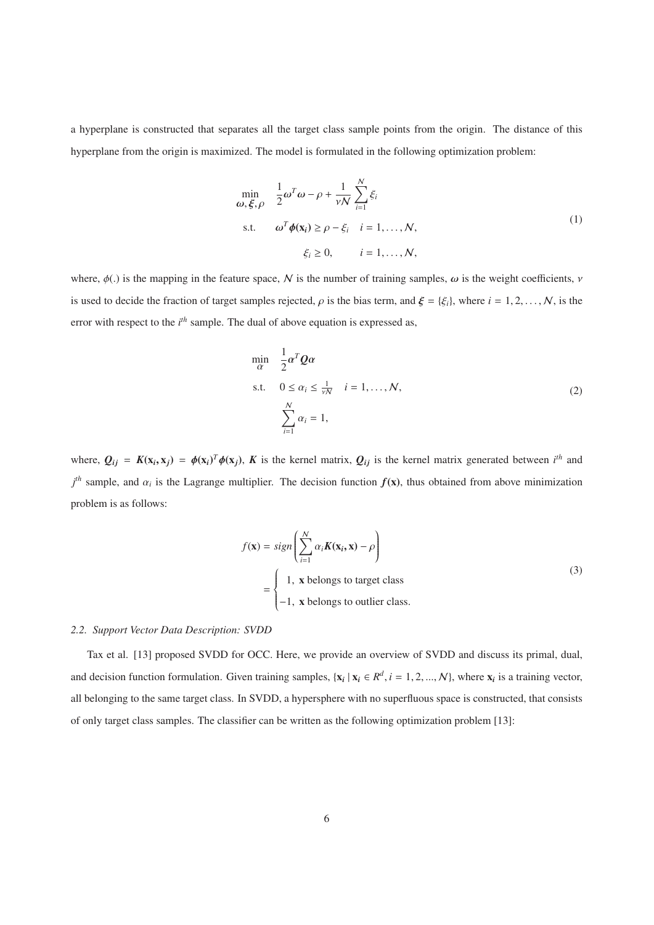a hyperplane is constructed that separates all the target class sample points from the origin. The distance of this hyperplane from the origin is maximized. The model is formulated in the following optimization problem:

$$
\min_{\omega, \xi, \rho} \frac{1}{2} \omega^T \omega - \rho + \frac{1}{\nu N} \sum_{i=1}^N \xi_i
$$
\n
$$
\text{s.t.} \quad \omega^T \phi(\mathbf{x}_i) \ge \rho - \xi_i \quad i = 1, \dots, N,
$$
\n
$$
\xi_i \ge 0, \qquad i = 1, \dots, N,
$$
\n(1)

where,  $\phi(.)$  is the mapping in the feature space, N is the number of training samples,  $\omega$  is the weight coefficients,  $\nu$ is used to decide the fraction of target samples rejected,  $\rho$  is the bias term, and  $\xi = {\xi_i}$ , where  $i = 1, 2, ..., N$ , is the error with respect to the *i*<sup>th</sup> sample. The dual of above equation is expressed as,

$$
\min_{\alpha} \quad \frac{1}{2} \alpha^T Q \alpha
$$
\n
$$
\text{s.t.} \quad 0 \le \alpha_i \le \frac{1}{\sqrt{N}} \quad i = 1, \dots, N,
$$
\n
$$
\sum_{i=1}^N \alpha_i = 1,
$$
\n
$$
(2)
$$

where,  $Q_{ij} = K(\mathbf{x}_i, \mathbf{x}_j) = \phi(\mathbf{x}_i)^T \phi(\mathbf{x}_j)$ , K is the kernel matrix,  $Q_{ij}$  is the kernel matrix generated between *i*<sup>th</sup> and  $j<sup>th</sup>$  sample, and  $\alpha_i$  is the Lagrange multiplier. The decision function  $f(\mathbf{x})$ , thus obtained from above minimization problem is as follows:

$$
f(\mathbf{x}) = sign\left(\sum_{i=1}^{N} \alpha_i \mathbf{K}(\mathbf{x}_i, \mathbf{x}) - \rho\right)
$$
  
= 
$$
\begin{cases} 1, & \text{ belongs to target class} \\ -1, & \text{ belongs to outlier class.} \end{cases}
$$
 (3)

# *2.2. Support Vector Data Description: SVDD*

Tax et al. [13] proposed SVDD for OCC. Here, we provide an overview of SVDD and discuss its primal, dual, and decision function formulation. Given training samples,  $\{x_i | x_i \in R^d, i = 1, 2, ..., N\}$ , where  $x_i$  is a training vector, all belonging to the same target class. In SVDD, a hypersphere with no superfluous space is constructed, that consists of only target class samples. The classifier can be written as the following optimization problem [13]: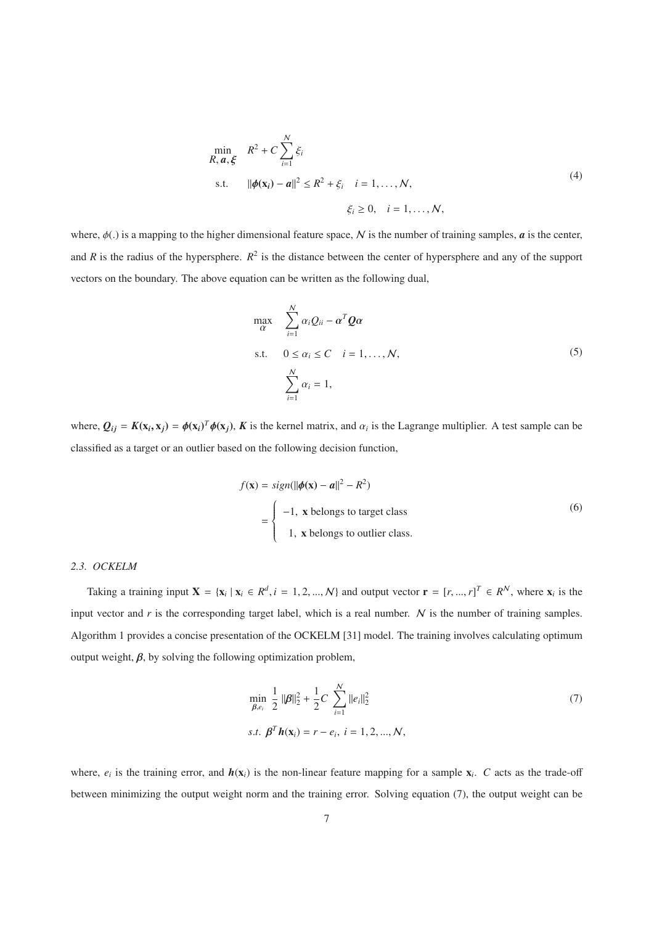$$
\min_{R, \mathbf{a}, \xi} R^{2} + C \sum_{i=1}^{N} \xi_{i}
$$
\n
$$
\text{s.t.} \quad ||\phi(\mathbf{x}_{i}) - \mathbf{a}||^{2} \leq R^{2} + \xi_{i} \quad i = 1, ..., N,
$$
\n
$$
\xi_{i} \geq 0, \quad i = 1, ..., N,
$$
\n(4)

where,  $\phi(.)$  is a mapping to the higher dimensional feature space, N is the number of training samples,  $\boldsymbol{a}$  is the center, and *R* is the radius of the hypersphere.  $R^2$  is the distance between the center of hypersphere and any of the support vectors on the boundary. The above equation can be written as the following dual,

max α -N *i*=1 <sup>α</sup>*iQii* <sup>−</sup> <sup>α</sup>*<sup>T</sup>Q*<sup>α</sup> s.t. 0 ≤ α*<sup>i</sup>* ≤ *C i* = 1,..., N, -N *i*=1 α*<sup>i</sup>* = 1, (5)

where,  $Q_{ij} = K(\mathbf{x}_i, \mathbf{x}_j) = \phi(\mathbf{x}_i)^T \phi(\mathbf{x}_j)$ , K is the kernel matrix, and  $\alpha_i$  is the Lagrange multiplier. A test sample can be classified as a target or an outlier based on the following decision function,

$$
f(\mathbf{x}) = sign(||\boldsymbol{\phi}(\mathbf{x}) - \boldsymbol{\alpha}||^2 - R^2)
$$
  
= 
$$
\begin{cases} -1, & \text{belongs to target class} \\ 1, & \text{belongs to outlier class.} \end{cases}
$$
 (6)

# *2.3. OCKELM*

Taking a training input  $X = \{x_i \mid x_i \in R^d, i = 1, 2, ..., N\}$  and output vector  $\mathbf{r} = [r, ..., r]^T \in R^N$ , where  $x_i$  is the input vector and  $r$  is the corresponding target label, which is a real number.  $N$  is the number of training samples. Algorithm 1 provides a concise presentation of the OCKELM [31] model. The training involves calculating optimum output weight,  $\beta$ , by solving the following optimization problem,

$$
\min_{\beta, e_i} \frac{1}{2} ||\beta||_2^2 + \frac{1}{2}C \sum_{i=1}^N ||e_i||_2^2
$$
\n  
\ns.t.  $\beta^T h(\mathbf{x}_i) = r - e_i, \ i = 1, 2, ..., N,$ \n
$$
(7)
$$

where,  $e_i$  is the training error, and  $h(x_i)$  is the non-linear feature mapping for a sample  $x_i$ . *C* acts as the trade-off between minimizing the output weight norm and the training error. Solving equation (7), the output weight can be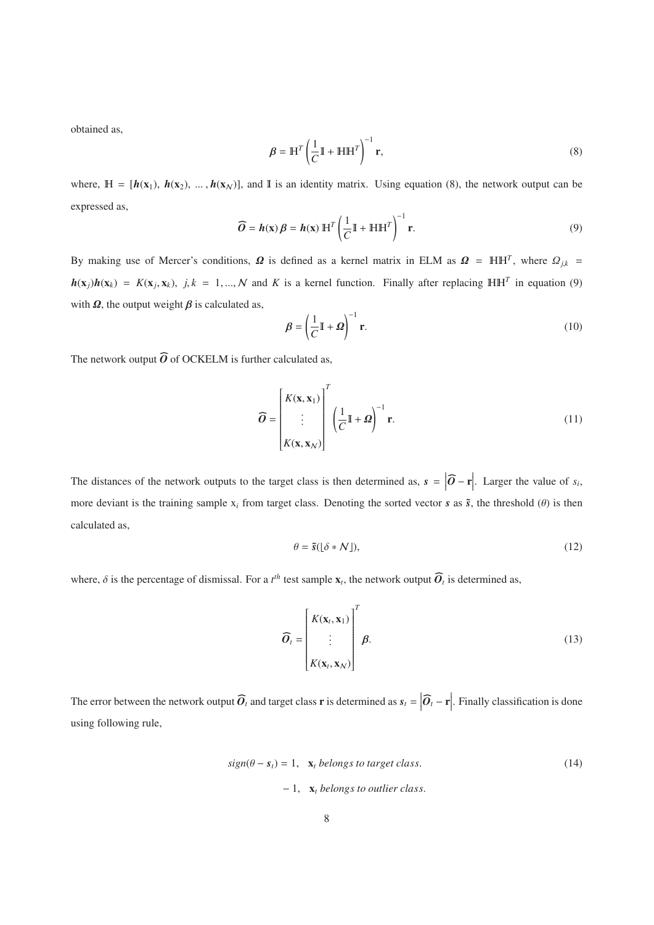obtained as,

$$
\mathbf{\beta} = \mathbb{H}^T \left( \frac{1}{C} \mathbb{I} + \mathbb{H} \mathbb{H}^T \right)^{-1} \mathbf{r},\tag{8}
$$

where,  $H = [h(x_1), h(x_2), ..., h(x_N)]$ , and I is an identity matrix. Using equation (8), the network output can be expressed as, *O*-

$$
\widehat{O} = h(\mathbf{x}) \beta = h(\mathbf{x}) \mathbb{H}^T \left( \frac{1}{C} \mathbb{I} + \mathbb{H} \mathbb{H}^T \right)^{-1} \mathbf{r}.
$$
\n(9)

By making use of Mercer's conditions,  $\Omega$  is defined as a kernel matrix in ELM as  $\Omega = \text{HH}^T$ , where  $\Omega_{j,k}$  $h(\mathbf{x}_j)h(\mathbf{x}_k) = K(\mathbf{x}_j, \mathbf{x}_k)$ ,  $j, k = 1, ..., N$  and *K* is a kernel function. Finally after replacing  $\mathbb{H} \mathbb{H}^T$  in equation (9) with  $\Omega$ , the output weight  $\beta$  is calculated as,

$$
\beta = \left(\frac{1}{C}\mathbb{I} + \Omega\right)^{-1} \mathbf{r}.\tag{10}
$$

 $\beta = \left(\frac{1}{C}\mathbb{I} + \right)$ <br>The network output  $\widehat{O}$  of OCKELM is further calculated as,

$$
\widehat{O} = \begin{bmatrix} K(\mathbf{x}, \mathbf{x}_1) \\ \vdots \\ K(\mathbf{x}, \mathbf{x}_N) \end{bmatrix}^T \left( \frac{1}{C} \mathbb{I} + \Omega \right)^{-1} \mathbf{r}.
$$
\n(11)

The distances of the network outputs to the target class is then determined as,  $s = |\hat{\mathbf{O}} - \mathbf{r}|$ . Larger the value of  $s_i$ , *O*more deviant is the training sample  $x_i$  from target class. Denoting the sorted vector  $s$  as  $\tilde{s}$ , the threshold ( $\theta$ ) is then calculated as,

$$
\theta = \tilde{s}([\delta * \mathcal{N}]),\tag{12}
$$

 $\theta = \tilde{s}([\delta * \mathcal{N}]),$ <br>where,  $\delta$  is the percentage of dismissal. For a *t*<sup>*th*</sup> test sample  $\mathbf{x}_t$ , the network output  $\widehat{\mathbf{O}}_t$  is determined as,

$$
\widehat{O}_t = \begin{bmatrix} K(\mathbf{x}_t, \mathbf{x}_1) \\ \vdots \\ K(\mathbf{x}_t, \mathbf{x}_N) \end{bmatrix}^T \boldsymbol{\beta}.
$$
 (13)

 $[K(\mathbf{x}_t, \mathbf{x}_N)]$ <br>The error between the network output  $\widehat{\mathbf{O}}_t$  and target class **r** is determined as  $\mathbf{s}_t = |\widehat{\mathbf{O}}_t - \mathbf{r}|$ . Finally classification is done *O*using following rule,

$$
sign(\theta - s_t) = 1, \quad \mathbf{x}_t \text{ belongs to target class.}
$$
\n
$$
-1, \quad \mathbf{x}_t \text{ belongs to outlier class.}
$$
\n
$$
(14)
$$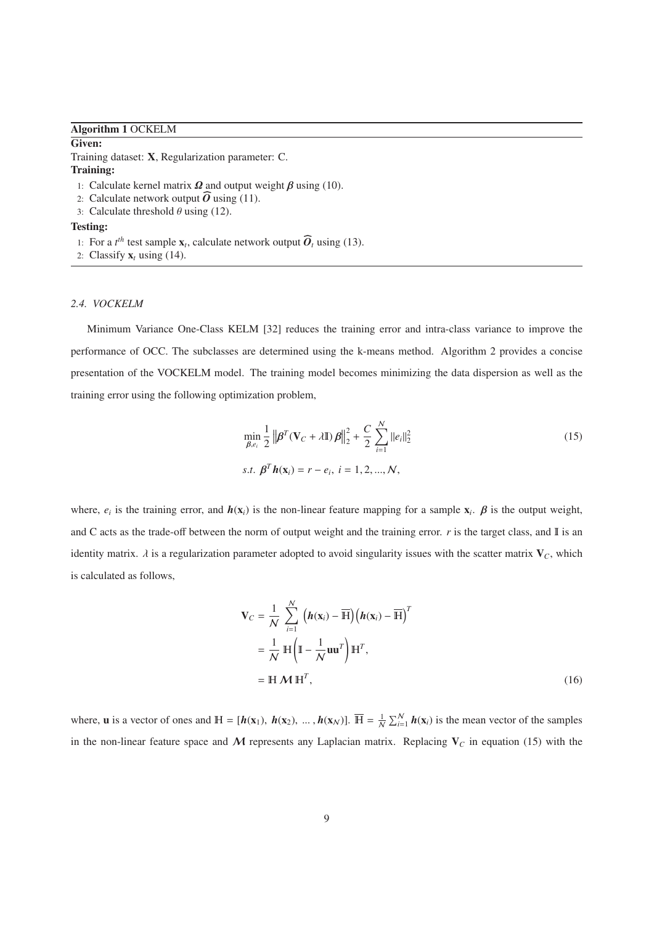### Algorithm 1 OCKELM

#### Given:

Training dataset: X, Regularization parameter: C. Training: raining dataset: **X**, Regularizat<br> **raining:**<br>
1: Calculate kernel matrix **Ω** a<br>
2: Calculate network output  $\widehat{O}$ 

- 1: Calculate kernel matrix  $\Omega$  and output weight  $\beta$  using (10).
- 2: Calculate network output  $\widehat{O}$  using (11).
- 3: Calculate threshold  $\theta$  using (12).

#### Testing:

- 1: Calculate threshold  $\theta$  using (12).<br> **Exting:**<br>
1: For a  $t^h$  test sample  $\mathbf{x}_t$ , calculate network output  $\widehat{\mathbf{O}}_t$  using (13).
- 2: Classify  $\mathbf{x}_t$  using (14).

#### *2.4. VOCKELM*

Minimum Variance One-Class KELM [32] reduces the training error and intra-class variance to improve the performance of OCC. The subclasses are determined using the k-means method. Algorithm 2 provides a concise presentation of the VOCKELM model. The training model becomes minimizing the data dispersion as well as the training error using the following optimization problem,

$$
\min_{\beta, e_i} \frac{1}{2} \left\| \boldsymbol{\beta}^T (\mathbf{V}_C + \lambda \mathbf{I}) \boldsymbol{\beta} \right\|_2^2 + \frac{C}{2} \sum_{i=1}^N ||e_i||_2^2
$$
\ns.t.  $\boldsymbol{\beta}^T \boldsymbol{h}(\mathbf{x}_i) = r - e_i, \ i = 1, 2, ..., N,$ \n(15)

where,  $e_i$  is the training error, and  $h(\mathbf{x}_i)$  is the non-linear feature mapping for a sample  $\mathbf{x}_i$ .  $\beta$  is the output weight, and C acts as the trade-off between the norm of output weight and the training error.  $r$  is the target class, and  $\mathbb{I}$  is an identity matrix.  $\lambda$  is a regularization parameter adopted to avoid singularity issues with the scatter matrix  $V_c$ , which is calculated as follows,

$$
\mathbf{V}_C = \frac{1}{N} \sum_{i=1}^N \left( \boldsymbol{h}(\mathbf{x}_i) - \overline{\mathbf{H}} \right) \left( \boldsymbol{h}(\mathbf{x}_i) - \overline{\mathbf{H}} \right)^T
$$
  
=  $\frac{1}{N} \mathbf{H} \left( \mathbf{I} - \frac{1}{N} \mathbf{u} \mathbf{u}^T \right) \mathbf{H}^T$ ,  
=  $\mathbf{H} \mathbf{\mathcal{M}} \mathbf{H}^T$ , (16)

where, **u** is a vector of ones and  $\mathbb{H} = [\boldsymbol{h}(\mathbf{x}_1), \boldsymbol{h}(\mathbf{x}_2), \dots, \boldsymbol{h}(\mathbf{x}_N)]$ .  $\overline{\mathbb{H}} = \frac{1}{N} \sum_{i=1}^{N} \boldsymbol{h}(\mathbf{x}_i)$  is the mean vector of the samples in the non-linear feature space and  $M$  represents any Laplacian matrix. Replacing  $V_C$  in equation (15) with the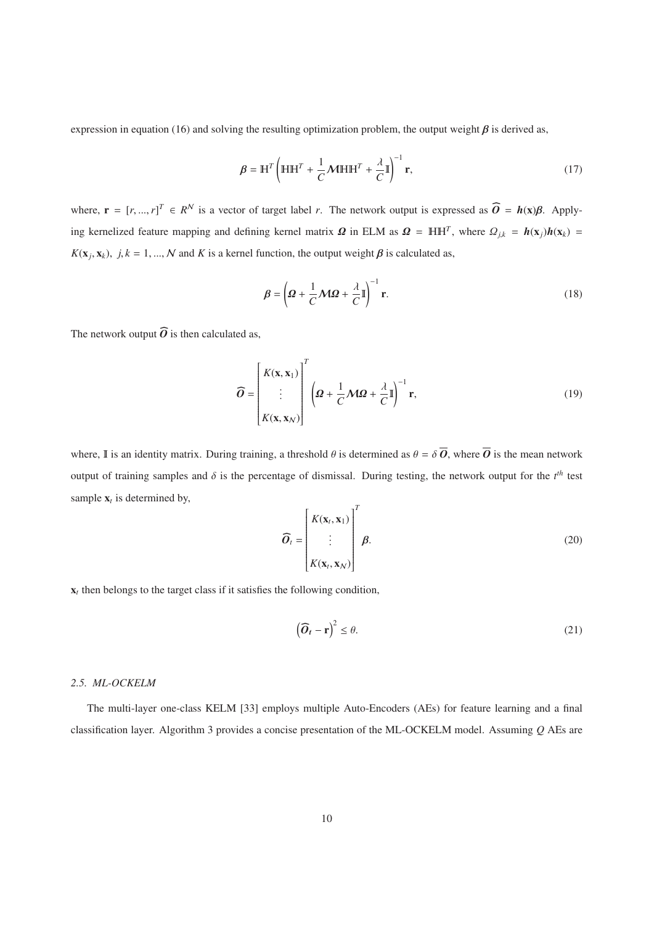expression in equation (16) and solving the resulting optimization problem, the output weight  $\beta$  is derived as,

$$
\beta = \mathbb{H}^T \left( \mathbb{H} \mathbb{H}^T + \frac{1}{C} \mathcal{M} \mathbb{H} \mathbb{H}^T + \frac{\lambda}{C} \mathbb{I} \right)^{-1} \mathbf{r},\tag{17}
$$

 $\beta = H' \left( H H' + \frac{1}{C} M H H' + \frac{1}{C} \right)$  **r**, (17)<br>where, **r** =  $[r, ..., r]^T \in R^N$  is a vector of target label *r*. The network output is expressed as  $\widehat{O} = h(x) \beta$ . Applying kernelized feature mapping and defining kernel matrix  $\Omega$  in ELM as  $\Omega = \mathbb{H} \mathbb{H}^T$ , where  $\Omega_{j,k} = h(\mathbf{x}_j)h(\mathbf{x}_k)$  $K(\mathbf{x}_i, \mathbf{x}_k)$ ,  $j, k = 1, ..., N$  and *K* is a kernel function, the output weight  $\beta$  is calculated as,

$$
\beta = \left(\mathbf{\Omega} + \frac{1}{C}\mathbf{\mathcal{M}}\mathbf{\Omega} + \frac{\lambda}{C}\mathbf{I}\right)^{-1}\mathbf{r}.\tag{18}
$$

The network output  $\widehat{O}$  is then calculated as,

$$
\widehat{O} = \begin{bmatrix} K(\mathbf{x}, \mathbf{x}_1) \\ \vdots \\ K(\mathbf{x}, \mathbf{x}_N) \end{bmatrix}^T \left( \mathbf{\Omega} + \frac{1}{C} \mathbf{M} \mathbf{\Omega} + \frac{\lambda}{C} \mathbb{I} \right)^{-1} \mathbf{r}, \tag{19}
$$

where, I is an identity matrix. During training, a threshold  $\theta$  is determined as  $\theta = \delta \overline{\mathbf{O}}$ , where  $\overline{\mathbf{O}}$  is the mean network output of training samples and  $\delta$  is the percentage of dismissal. During testing, the network output for the  $t^{th}$  test sample  $x_t$  is determined by,

$$
\widehat{O}_t = \begin{bmatrix} K(\mathbf{x}_t, \mathbf{x}_1) \\ \vdots \\ K(\mathbf{x}_t, \mathbf{x}_N) \end{bmatrix}^T \boldsymbol{\beta}.
$$
 (20)

 $x_t$  then belongs to the target class if it satisfies the following condition,

allowing condition,

\n
$$
\left(\widehat{\boldsymbol{O}}_{t} - \mathbf{r}\right)^{2} \leq \theta. \tag{21}
$$

### *2.5. ML-OCKELM*

The multi-layer one-class KELM [33] employs multiple Auto-Encoders (AEs) for feature learning and a final classification layer. Algorithm 3 provides a concise presentation of the ML-OCKELM model. Assuming *Q* AEs are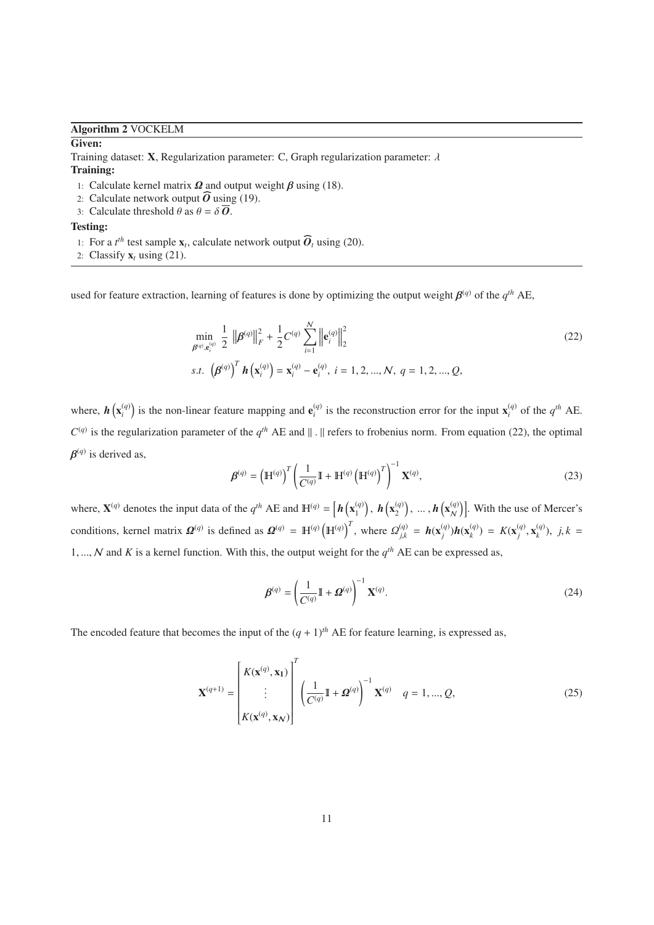Algorithm 2 VOCKELM

### Given:

Training dataset: **X**, Regularization parameter: C, Graph regularization parameter:  $\lambda$ raining dataset: **X**, Regularizat<br> **raining:**<br>
1: Calculate kernel matrix **Ω** a<br>
2: Calculate network output  $\widehat{O}$ 

# Training:

1: Calculate kernel matrix  $\Omega$  and output weight  $\beta$  using (18).

- 2: Calculate network output  $\widehat{O}$  using (19).
- 3: Calculate threshold  $\theta$  as  $\theta = \delta \overline{\theta}$ .

Testing:

- 1: Calculate threshold  $\theta$  as  $\theta = \delta \overline{O}$ .<br> **the threshold**  $\theta$  as  $\theta = \delta \overline{O}$ .<br> **the threshold**  $\theta$  as  $\theta = \delta \overline{O}$ .<br> **the threshold**  $\theta$ <sub>*i*</sub> as  $\theta$ <sub>*i*</sub> as the sample **x**<sub>*t*</sub>, calculate network output  $\overline{O$
- 2: Classify  $\mathbf{x}_t$  using (21).

used for feature extraction, learning of features is done by optimizing the output weight  $\beta^{(q)}$  of the  $q^{th}$  AE,

$$
\min_{\beta^{(q)}, \mathbf{e}_i^{(q)}} \frac{1}{2} \left\| \beta^{(q)} \right\|_F^2 + \frac{1}{2} C^{(q)} \sum_{i=1}^N \left\| \mathbf{e}_i^{(q)} \right\|_2^2
$$
\ns.t. 
$$
\left( \beta^{(q)} \right)^T \mathbf{h} \left( \mathbf{x}_i^{(q)} \right) = \mathbf{x}_i^{(q)} - \mathbf{e}_i^{(q)}, \ i = 1, 2, ..., N, \ q = 1, 2, ..., Q,
$$
\n(22)

where,  $h(x_i^{(q)})$  is the non-linear feature mapping and  $e_i^{(q)}$  is the reconstruction error for the input  $x_i^{(q)}$  of the  $q^{th}$  AE.  $C^{(q)}$  is the regularization parameter of the  $q^{th}$  AE and  $|| \cdot ||$  refers to frobenius norm. From equation (22), the optimal  $\beta^{(q)}$  is derived as,

$$
\boldsymbol{\beta}^{(q)} = \left(\mathbb{H}^{(q)}\right)^T \left(\frac{1}{C^{(q)}} \mathbb{I} + \mathbb{H}^{(q)} \left(\mathbb{H}^{(q)}\right)^T\right)^{-1} \mathbf{X}^{(q)},\tag{23}
$$

where,  $\mathbf{X}^{(q)}$  denotes the input data of the  $q^{th}$  AE and  $\mathbb{H}^{(q)} = \left[ h\left(\mathbf{x}_1^{(q)}\right), h\left(\mathbf{x}_2^{(q)}\right), \dots, h\left(\mathbf{x}_N^{(q)}\right) \right]$ . With the use of Mercer's conditions, kernel matrix  $\Omega^{(q)}$  is defined as  $\Omega^{(q)} = \mathbb{H}^{(q)} (\mathbb{H}^{(q)})^T$ , where  $\Omega_{j,k}^{(q)} = h(\mathbf{x}_j^{(q)})h(\mathbf{x}_k^{(q)}) = K(\mathbf{x}_j^{(q)}, \mathbf{x}_k^{(q)})$ ,  $j, k =$ 1, ..., N and K is a kernel function. With this, the output weight for the  $q^{th}$  AE can be expressed as,

$$
\boldsymbol{\beta}^{(q)} = \left(\frac{1}{C^{(q)}}\mathbb{I} + \boldsymbol{\Omega}^{(q)}\right)^{-1} \mathbf{X}^{(q)}.
$$
\n(24)

The encoded feature that becomes the input of the  $(q + 1)$ <sup>th</sup> AE for feature learning, is expressed as,

$$
\mathbf{X}^{(q+1)} = \begin{bmatrix} K(\mathbf{x}^{(q)}, \mathbf{x}_1) \\ \vdots \\ K(\mathbf{x}^{(q)}, \mathbf{x}_N) \end{bmatrix}^T \left( \frac{1}{C^{(q)}} \mathbb{I} + \mathbf{\Omega}^{(q)} \right)^{-1} \mathbf{X}^{(q)} \quad q = 1, ..., Q,
$$
 (25)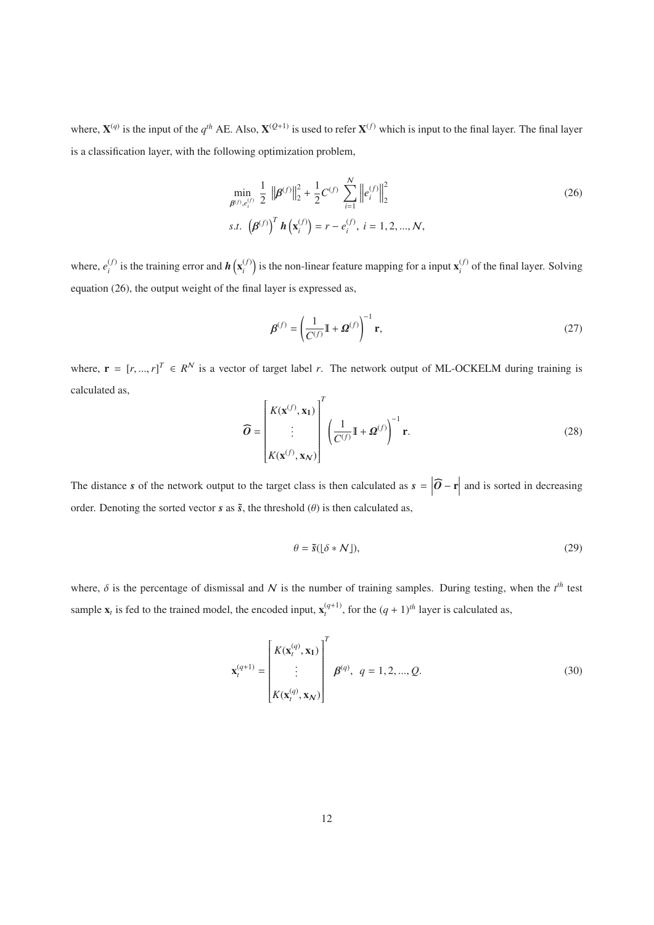where,  $X^{(q)}$  is the input of the  $q^{th}$  AE. Also,  $X^{(Q+1)}$  is used to refer  $X^{(f)}$  which is input to the final layer. The final layer is a classification layer, with the following optimization problem,

$$
\min_{\beta^{(f)}, e_i^{(f)}} \frac{1}{2} \left\| \beta^{(f)} \right\|_2^2 + \frac{1}{2} C^{(f)} \sum_{i=1}^N \left\| e_i^{(f)} \right\|_2^2
$$
\ns.t. 
$$
\left( \beta^{(f)} \right)^T \mathbf{h} \left( \mathbf{x}_i^{(f)} \right) = r - e_i^{(f)}, \ i = 1, 2, ..., N,
$$
\n(26)

where,  $e_i^{(f)}$  is the training error and  $h\left(\mathbf{x}_i^{(f)}\right)$  is the non-linear feature mapping for a input  $\mathbf{x}_i^{(f)}$  of the final layer. Solving equation (26), the output weight of the final layer is expressed as,

$$
\boldsymbol{\beta}^{(f)} = \left(\frac{1}{C^{(f)}} \mathbb{I} + \boldsymbol{\Omega}^{(f)}\right)^{-1} \mathbf{r},\tag{27}
$$

where,  $\mathbf{r} = [r, ..., r]^T \in R^N$  is a vector of target label *r*. The network output of ML-OCKELM during training is calculated as,

$$
\widehat{\boldsymbol{O}} = \begin{bmatrix} K(\mathbf{x}^{(f)}, \mathbf{x}_1) \\ \vdots \\ K(\mathbf{x}^{(f)}, \mathbf{x}_N) \end{bmatrix}^T \left( \frac{1}{C^{(f)}} \mathbb{I} + \boldsymbol{\Omega}^{(f)} \right)^{-1} \mathbf{r}.
$$
\n(28)

\nso the target class is then calculated as  $\mathbf{s} = |\widehat{\boldsymbol{O}} - \mathbf{r}|$  and is sorted in decreasing.

The distance *s* of the network output to the target class is then calculated as  $s = |\hat{O} - \mathbf{r}|$  and is sorted in decreasing order. Denoting the sorted vector *s* as  $\tilde{s}$ , the threshold  $(\theta)$  is then calculated as,

$$
\theta = \tilde{s}([\delta * N]),\tag{29}
$$

where,  $\delta$  is the percentage of dismissal and  $N$  is the number of training samples. During testing, when the  $t^{th}$  test sample  $\mathbf{x}_t$  is fed to the trained model, the encoded input,  $\mathbf{x}_t^{(q+1)}$ , for the  $(q+1)^{th}$  layer is calculated as,

$$
\mathbf{x}_{t}^{(q+1)} = \begin{bmatrix} K(\mathbf{x}_{t}^{(q)}, \mathbf{x}_{1}) \\ \vdots \\ K(\mathbf{x}_{t}^{(q)}, \mathbf{x}_{N}) \end{bmatrix}^{T} \boldsymbol{\beta}^{(q)}, \ q = 1, 2, ..., Q.
$$
 (30)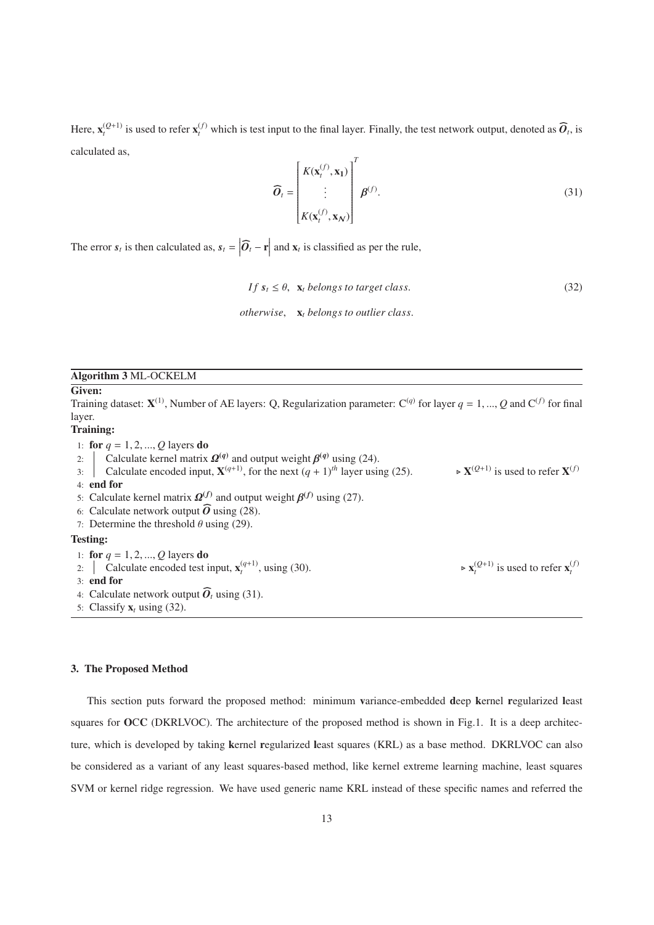Here,  $\mathbf{x}_{t}^{(Q+1)}$  is used to refer  $\mathbf{x}_{t}^{(f)}$  which is test input to the final layer. Finally, the test network output, denoted as  $\widehat{\boldsymbol{O}}_{t}$ , is calculated as,

$$
\widehat{\boldsymbol{O}}_t = \begin{bmatrix} K(\mathbf{x}_t^{(f)}, \mathbf{x}_1) \\ \vdots \\ K(\mathbf{x}_t^{(f)}, \mathbf{x}_N) \end{bmatrix}^T \boldsymbol{\beta}^{(f)}.
$$
\n(31)

The error  $s_t$  is then calculated as,  $s_t = |\hat{O}_t - \mathbf{r}|$  and  $\mathbf{x}_t$  is classified as per the rule, *O*-

$$
If s_t \le \theta, \mathbf{x}_t \text{ belongs to target class.}
$$
\n
$$
otherwise, \mathbf{x}_t \text{ belongs to outlier class.}
$$
\n
$$
(32)
$$

 $\propto$  **x**<sub>*t*</sub><sup>(*f*)</sup> is used to refer **x**<sub>*t*</sub><sup>(*f*)</sup>

# Algorithm 3 ML-OCKELM

# Given:

Training dataset:  $X^{(1)}$ , Number of AE layers: O. Regularization parameter:  $C^{(q)}$  for layer  $q = 1, ..., Q$  and  $C^{(f)}$  for final layer.

# Training:

1: **for**  $q = 1, 2, ..., Q$  layers **do** 

2: Calculate kernel matrix  $\mathbf{\Omega}^{(q)}$  and output weight  $\mathbf{\beta}^{(q)}$  using (24).

3: Calculate encoded input,  $X^{(q+1)}$ , for the next  $(q + 1)^{th}$  layer using (25).  $\triangleright$  **X**<sup>(*Q*+1)</sup> is used to refer **X**<sup>(*f*)</sup> 4: end for 5: Calculate kernel matrix  $\mathbf{\Omega}^{(f)}$  and output weight  $\mathbf{\beta}^{(f)}$  using (27). 6: Calculate encoded input<br>
4: **end for**<br>
5: Calculate kernel matrix  $\Omega^{(f)}$ <br>
6: Calculate network output  $\widehat{O}$ 6: Calculate network output  $\widehat{O}$  using (28). 7: Determine the threshold  $\theta$  using (29). Testing:

1: **for**  $q = 1, 2, ..., Q$  layers **do** 

2:  $\int$  Calculate encoded test input,  $\mathbf{x}_t^{(q+1)}$ , using (30). 1: **for**  $q = 1, 2, ..., Q$  layers **do**<br>2:  $\vert$  Calculate encoded test is<br>3: **end for**<br>4: Calculate network output  $\widehat{O}$ 

- 3: end for
- 4: Calculate network output  $\widehat{\boldsymbol{O}}_t$  using (31).

5: Classify  $\mathbf{x}_t$  using (32).

# 3. The Proposed Method

This section puts forward the proposed method: minimum variance-embedded deep kernel regularized least squares for OCC (DKRLVOC). The architecture of the proposed method is shown in Fig.1. It is a deep architecture, which is developed by taking kernel regularized least squares (KRL) as a base method. DKRLVOC can also be considered as a variant of any least squares-based method, like kernel extreme learning machine, least squares SVM or kernel ridge regression. We have used generic name KRL instead of these specific names and referred the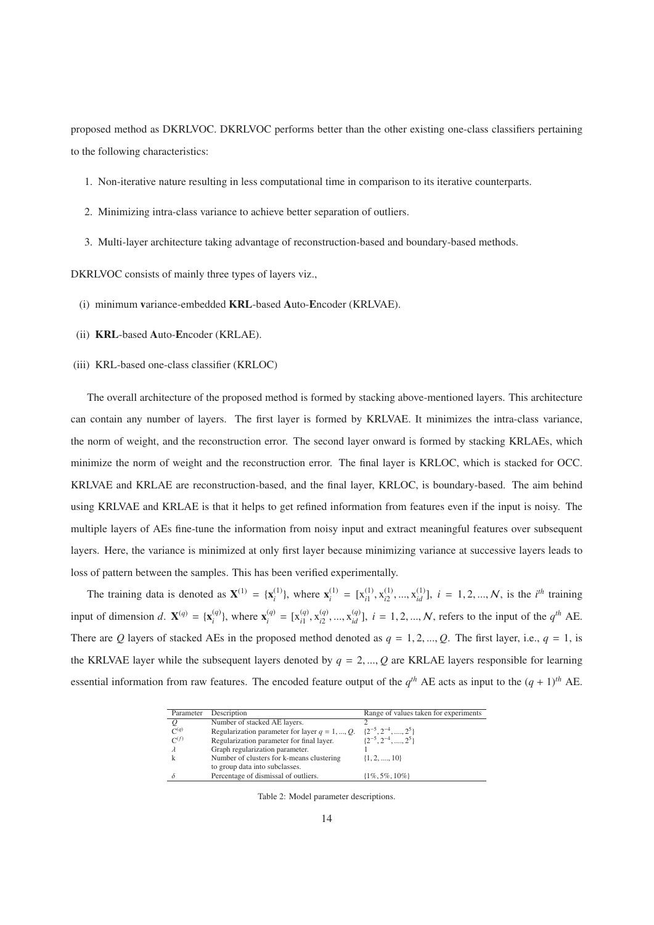proposed method as DKRLVOC. DKRLVOC performs better than the other existing one-class classifiers pertaining to the following characteristics:

- 1. Non-iterative nature resulting in less computational time in comparison to its iterative counterparts.
- 2. Minimizing intra-class variance to achieve better separation of outliers.
- 3. Multi-layer architecture taking advantage of reconstruction-based and boundary-based methods.

DKRLVOC consists of mainly three types of layers viz.,

- (i) minimum variance-embedded KRL-based Auto-Encoder (KRLVAE).
- (ii) KRL-based Auto-Encoder (KRLAE).
- (iii) KRL-based one-class classifier (KRLOC)

The overall architecture of the proposed method is formed by stacking above-mentioned layers. This architecture can contain any number of layers. The first layer is formed by KRLVAE. It minimizes the intra-class variance, the norm of weight, and the reconstruction error. The second layer onward is formed by stacking KRLAEs, which minimize the norm of weight and the reconstruction error. The final layer is KRLOC, which is stacked for OCC. KRLVAE and KRLAE are reconstruction-based, and the final layer, KRLOC, is boundary-based. The aim behind using KRLVAE and KRLAE is that it helps to get refined information from features even if the input is noisy. The multiple layers of AEs fine-tune the information from noisy input and extract meaningful features over subsequent layers. Here, the variance is minimized at only first layer because minimizing variance at successive layers leads to loss of pattern between the samples. This has been verified experimentally.

The training data is denoted as  $X^{(1)} = \{x_i^{(1)}\}$ , where  $x_i^{(1)} = [x_{i1}^{(1)}, x_{i2}^{(1)}, ..., x_{id}^{(1)}], i = 1, 2, ..., N$ , is the *i*<sup>th</sup> training input of dimension d.  $\mathbf{X}^{(q)} = {\mathbf{x}_{i}^{(q)}}$ , where  $\mathbf{x}_{i}^{(q)} = [x_{i1}^{(q)}, x_{i2}^{(q)}, ..., x_{id}^{(q)}]$ ,  $i = 1, 2, ..., N$ , refers to the input of the  $q^{th}$  AE. There are *Q* layers of stacked AEs in the proposed method denoted as  $q = 1, 2, ..., Q$ . The first layer, i.e.,  $q = 1$ , is the KRLVAE layer while the subsequent layers denoted by  $q = 2, ..., Q$  are KRLAE layers responsible for learning essential information from raw features. The encoded feature output of the  $q^{th}$  AE acts as input to the  $(q + 1)^{th}$  AE.

| Parameter        | Description                                       | Range of values taken for experiments |
|------------------|---------------------------------------------------|---------------------------------------|
|                  | Number of stacked AE layers.                      |                                       |
| C <sup>(q)</sup> | Regularization parameter for layer $q = 1, , Q$ . | $\{2^{-5}, 2^{-4}, \ldots, 2^{5}\}$   |
| $C^{(f)}$        | Regularization parameter for final layer.         | $\{2^{-5}, 2^{-4}, \ldots, 2^{5}\}$   |
|                  | Graph regularization parameter.                   |                                       |
|                  | Number of clusters for k-means clustering         | $\{1, 2, \ldots, 10\}$                |
|                  | to group data into subclasses.                    |                                       |
|                  | Percentage of dismissal of outliers.              | $\{1\%, 5\%, 10\% \}$                 |
|                  |                                                   |                                       |

Table 2: Model parameter descriptions.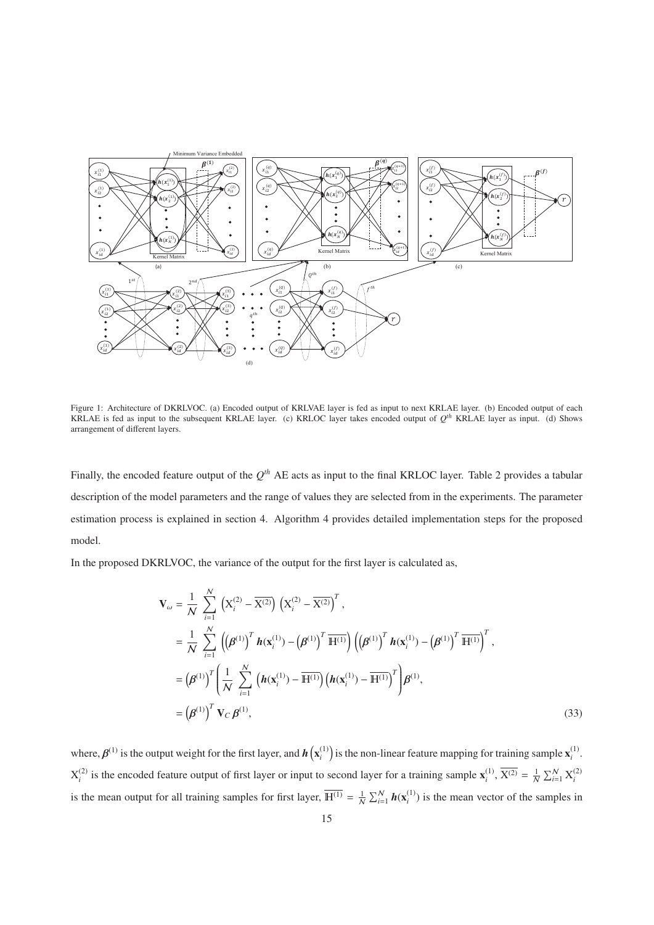

Figure 1: Architecture of DKRLVOC. (a) Encoded output of KRLVAE layer is fed as input to next KRLAE layer. (b) Encoded output of each KRLAE is fed as input to the subsequent KRLAE layer. (c) KRLOC layer takes encoded output of  $Q^{th}$  KRLAE layer as input. (d) Shows arrangement of different layers.

Finally, the encoded feature output of the *Qth* AE acts as input to the final KRLOC layer. Table 2 provides a tabular description of the model parameters and the range of values they are selected from in the experiments. The parameter estimation process is explained in section 4. Algorithm 4 provides detailed implementation steps for the proposed model.

In the proposed DKRLVOC, the variance of the output for the first layer is calculated as,

$$
\mathbf{V}_{\omega} = \frac{1}{N} \sum_{i=1}^{N} \left( \mathbf{X}_{i}^{(2)} - \overline{\mathbf{X}^{(2)}} \right) \left( \mathbf{X}_{i}^{(2)} - \overline{\mathbf{X}^{(2)}} \right)^{T},
$$
\n
$$
= \frac{1}{N} \sum_{i=1}^{N} \left( \left( \beta^{(1)} \right)^{T} \mathbf{h}(\mathbf{x}_{i}^{(1)}) - \left( \beta^{(1)} \right)^{T} \overline{\mathbf{H}^{(1)}} \right) \left( \left( \beta^{(1)} \right)^{T} \mathbf{h}(\mathbf{x}_{i}^{(1)}) - \left( \beta^{(1)} \right)^{T} \overline{\mathbf{H}^{(1)}} \right)^{T},
$$
\n
$$
= \left( \beta^{(1)} \right)^{T} \left( \frac{1}{N} \sum_{i=1}^{N} \left( \mathbf{h}(\mathbf{x}_{i}^{(1)}) - \overline{\mathbf{H}^{(1)}} \right) \left( \mathbf{h}(\mathbf{x}_{i}^{(1)}) - \overline{\mathbf{H}^{(1)}} \right)^{T} \right) \beta^{(1)},
$$
\n
$$
= \left( \beta^{(1)} \right)^{T} \mathbf{V}_{C} \beta^{(1)}, \tag{33}
$$

where,  $\beta^{(1)}$  is the output weight for the first layer, and  $h(x_i^{(1)})$  is the non-linear feature mapping for training sample  $x_i^{(1)}$ .  $X_i^{(2)}$  is the encoded feature output of first layer or input to second layer for a training sample  $\mathbf{x}_i^{(1)}$ ,  $\overline{X_i^{(2)}} = \frac{1}{N} \sum_{i=1}^N X_i^{(2)}$ is the mean output for all training samples for first layer,  $\overline{H^{(1)}} = \frac{1}{N} \sum_{i=1}^{N} h(x_i^{(1)})$  is the mean vector of the samples in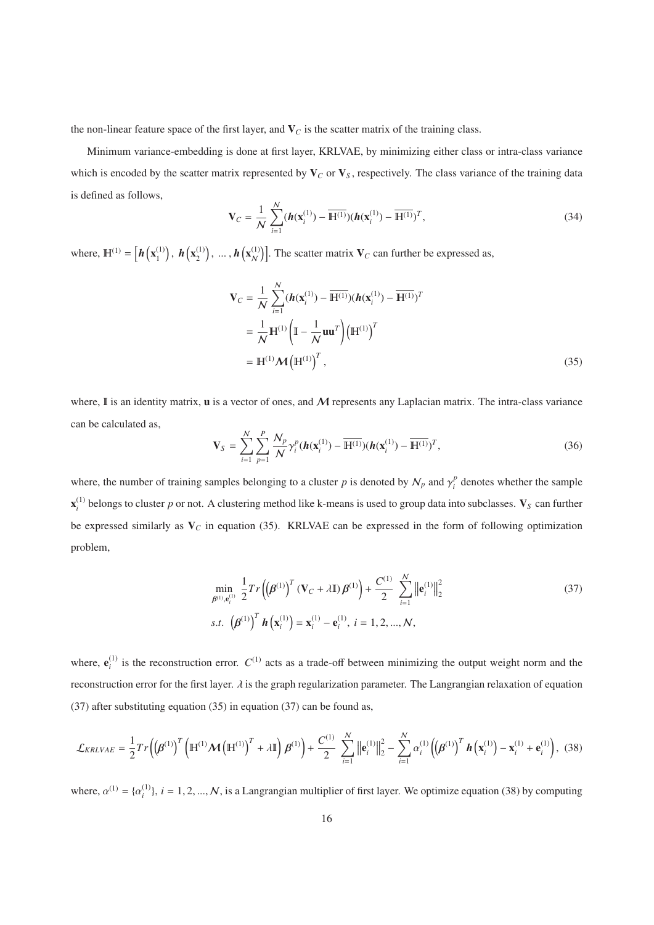the non-linear feature space of the first layer, and  $V_C$  is the scatter matrix of the training class.

Minimum variance-embedding is done at first layer, KRLVAE, by minimizing either class or intra-class variance which is encoded by the scatter matrix represented by  $V_C$  or  $V_S$ , respectively. The class variance of the training data is defined as follows,

$$
\mathbf{V}_C = \frac{1}{N} \sum_{i=1}^{N} (\boldsymbol{h}(\mathbf{x}_i^{(1)}) - \overline{\mathbf{H}^{(1)}})(\boldsymbol{h}(\mathbf{x}_i^{(1)}) - \overline{\mathbf{H}^{(1)}})^T, \tag{34}
$$

where,  $\mathbf{H}^{(1)} = \left[ \boldsymbol{h}\left( \mathbf{x}_1^{(1)} \right), \boldsymbol{h}\left( \mathbf{x}_2^{(1)} \right), \dots, \boldsymbol{h}\left( \mathbf{x}_N^{(1)} \right) \right]$ . The scatter matrix  $\mathbf{V}_C$  can further be expressed as,

$$
\mathbf{V}_C = \frac{1}{N} \sum_{i=1}^{N} (\boldsymbol{h}(\mathbf{x}_i^{(1)}) - \overline{\mathbf{H}^{(1)}})(\boldsymbol{h}(\mathbf{x}_i^{(1)}) - \overline{\mathbf{H}^{(1)}})^T
$$

$$
= \frac{1}{N} \mathbf{H}^{(1)} \left( \mathbf{I} - \frac{1}{N} \mathbf{u} \mathbf{u}^T \right) \left( \mathbf{H}^{(1)} \right)^T
$$

$$
= \mathbf{H}^{(1)} \mathcal{M} \left( \mathbf{H}^{(1)} \right)^T, \tag{35}
$$

where,  $\mathbb I$  is an identity matrix, **u** is a vector of ones, and  $\mathcal M$  represents any Laplacian matrix. The intra-class variance can be calculated as,

$$
\mathbf{V}_{S} = \sum_{i=1}^{N} \sum_{p=1}^{P} \frac{N_{p}}{N} \gamma_{i}^{p} (\boldsymbol{h}(\mathbf{x}_{i}^{(1)}) - \overline{\mathbf{H}^{(1)}}) (\boldsymbol{h}(\mathbf{x}_{i}^{(1)}) - \overline{\mathbf{H}^{(1)}})^{T},
$$
(36)

where, the number of training samples belonging to a cluster *p* is denoted by  $N_p$  and  $\gamma_i^p$  denotes whether the sample  $\mathbf{x}_i^{(1)}$  belongs to cluster *p* or not. A clustering method like k-means is used to group data into subclasses.  $\mathbf{V}_S$  can further be expressed similarly as V*<sup>C</sup>* in equation (35). KRLVAE can be expressed in the form of following optimization problem,

$$
\min_{\beta^{(1)}, \mathbf{e}_i^{(1)}} \frac{1}{2} Tr\left(\left(\beta^{(1)}\right)^T (\mathbf{V}_C + \lambda \mathbf{I}) \beta^{(1)}\right) + \frac{C^{(1)}}{2} \sum_{i=1}^N \left\|\mathbf{e}_i^{(1)}\right\|_2^2
$$
\ns.t. 
$$
\left(\beta^{(1)}\right)^T \mathbf{h}\left(\mathbf{x}_i^{(1)}\right) = \mathbf{x}_i^{(1)} - \mathbf{e}_i^{(1)}, \ i = 1, 2, ..., N,
$$
\n(37)

where,  $e_i^{(1)}$  is the reconstruction error.  $C^{(1)}$  acts as a trade-off between minimizing the output weight norm and the reconstruction error for the first layer.  $\lambda$  is the graph regularization parameter. The Langrangian relaxation of equation (37) after substituting equation (35) in equation (37) can be found as,

$$
\mathcal{L}_{KRLVAE} = \frac{1}{2} Tr\left( \left( \beta^{(1)} \right)^T \left( \mathbb{H}^{(1)} \mathcal{M} \left( \mathbb{H}^{(1)} \right)^T + \lambda \mathbb{I} \right) \beta^{(1)} \right) + \frac{C^{(1)}}{2} \sum_{i=1}^N \left\| \mathbf{e}_i^{(1)} \right\|_2^2 - \sum_{i=1}^N \alpha_i^{(1)} \left( \left( \beta^{(1)} \right)^T \mathbf{h} \left( \mathbf{x}_i^{(1)} \right) - \mathbf{x}_i^{(1)} + \mathbf{e}_i^{(1)} \right), \tag{38}
$$

where,  $\alpha^{(1)} = {\alpha_i^{(1)}}$ ,  $i = 1, 2, ..., N$ , is a Langrangian multiplier of first layer. We optimize equation (38) by computing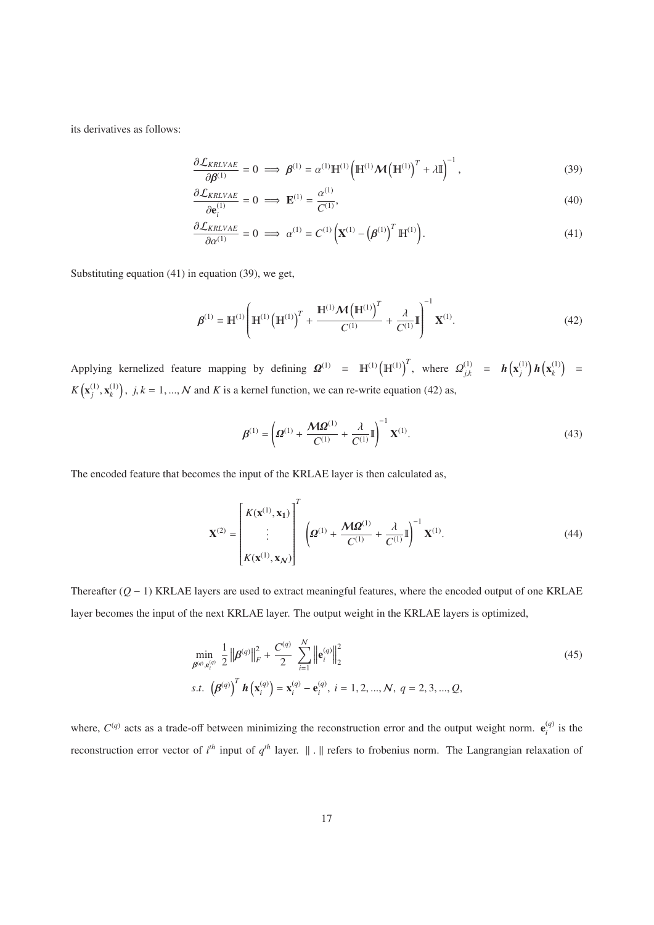its derivatives as follows:

$$
\frac{\partial \mathcal{L}_{KRLVAE}}{\partial \boldsymbol{\beta}^{(1)}} = 0 \implies \boldsymbol{\beta}^{(1)} = \alpha^{(1)} \mathbb{H}^{(1)} \left( \mathbb{H}^{(1)} \boldsymbol{\mathcal{M}} \left( \mathbb{H}^{(1)} \right)^{T} + \lambda \mathbb{I} \right)^{-1}, \tag{39}
$$

$$
\frac{\partial \mathcal{L}_{KRVAE}}{\partial \mathbf{e}_i^{(1)}} = 0 \implies \mathbf{E}^{(1)} = \frac{\alpha^{(1)}}{C^{(1)}},\tag{40}
$$

$$
\frac{\partial \mathcal{L}_{KRLVAE}}{\partial \alpha^{(1)}} = 0 \implies \alpha^{(1)} = C^{(1)} \left( \mathbf{X}^{(1)} - \left( \boldsymbol{\beta}^{(1)} \right)^T \mathbf{H}^{(1)} \right). \tag{41}
$$

Substituting equation (41) in equation (39), we get,

$$
\boldsymbol{\beta}^{(1)} = \mathbb{H}^{(1)} \left( \mathbb{H}^{(1)} \left( \mathbb{H}^{(1)} \right)^{T} + \frac{\mathbb{H}^{(1)} \boldsymbol{\mathcal{M}} \left( \mathbb{H}^{(1)} \right)^{T}}{C^{(1)}} + \frac{\lambda}{C^{(1)}} \mathbb{I} \right)^{-1} \mathbf{X}^{(1)}.
$$
\n(42)

Applying kernelized feature mapping by defining  $\Omega^{(1)} = \mathbb{H}^{(1)} (\mathbb{H}^{(1)})^T$ , where  $\Omega_{j,k}^{(1)} = h(x_j^{(1)}) h(x_k^{(1)}) =$  $K(\mathbf{x}_j^{(1)}, \mathbf{x}_k^{(1)})$ ,  $j, k = 1, ..., N$  and *K* is a kernel function, we can re-write equation (42) as,

$$
\boldsymbol{\beta}^{(1)} = \left(\boldsymbol{\Omega}^{(1)} + \frac{\boldsymbol{M}\boldsymbol{\Omega}^{(1)}}{C^{(1)}} + \frac{\lambda}{C^{(1)}}\mathbb{I}\right)^{-1}\mathbf{X}^{(1)}.
$$
\n(43)

The encoded feature that becomes the input of the KRLAE layer is then calculated as,

$$
\mathbf{X}^{(2)} = \begin{bmatrix} K(\mathbf{x}^{(1)}, \mathbf{x}_1) \\ \vdots \\ K(\mathbf{x}^{(1)}, \mathbf{x}_N) \end{bmatrix}^T \left( \mathbf{\Omega}^{(1)} + \frac{\mathbf{M}\mathbf{\Omega}^{(1)}}{C^{(1)}} + \frac{\lambda}{C^{(1)}} \mathbf{I} \right)^{-1} \mathbf{X}^{(1)}.
$$
 (44)

Thereafter (*Q* − 1) KRLAE layers are used to extract meaningful features, where the encoded output of one KRLAE layer becomes the input of the next KRLAE layer. The output weight in the KRLAE layers is optimized,

$$
\min_{\beta^{(q)}, \mathbf{e}_i^{(q)}} \frac{1}{2} \left\| \beta^{(q)} \right\|_F^2 + \frac{C^{(q)}}{2} \sum_{i=1}^N \left\| \mathbf{e}_i^{(q)} \right\|_2^2
$$
\ns.t. 
$$
\left( \beta^{(q)} \right)^T \mathbf{h} \left( \mathbf{x}_i^{(q)} \right) = \mathbf{x}_i^{(q)} - \mathbf{e}_i^{(q)}, \ i = 1, 2, ..., N, \ q = 2, 3, ..., Q,
$$
\n(45)

where,  $C^{(q)}$  acts as a trade-off between minimizing the reconstruction error and the output weight norm.  $e_i^{(q)}$  is the reconstruction error vector of  $i<sup>th</sup>$  input of  $q<sup>th</sup>$  layer.  $\|\cdot\|$  refers to frobenius norm. The Langrangian relaxation of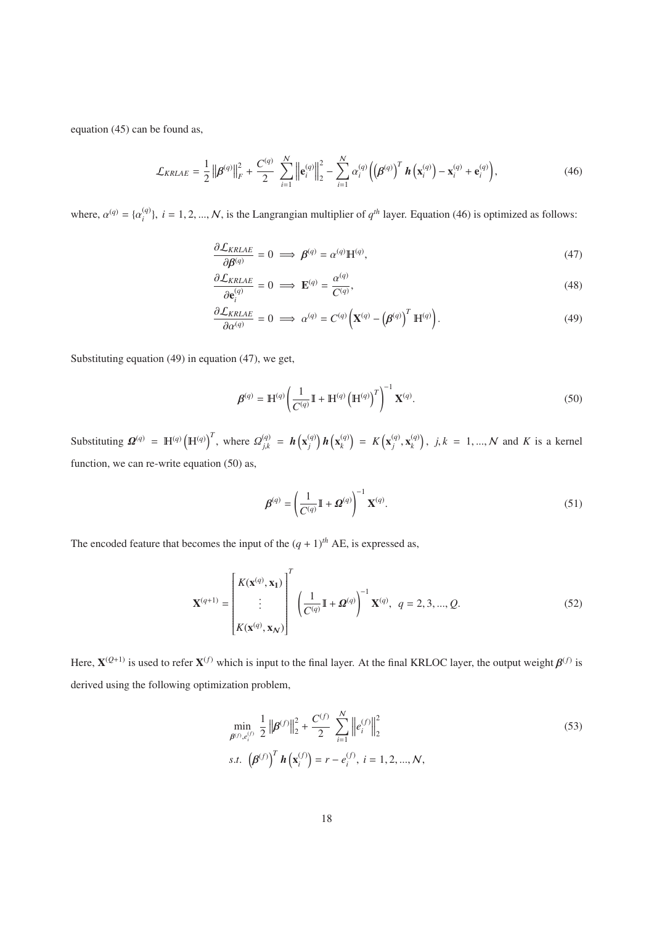equation (45) can be found as,

$$
\mathcal{L}_{KRLAE} = \frac{1}{2} \left\| \boldsymbol{\beta}^{(q)} \right\|_{F}^{2} + \frac{C^{(q)}}{2} \sum_{i=1}^{N} \left\| \mathbf{e}_{i}^{(q)} \right\|_{2}^{2} - \sum_{i=1}^{N} \alpha_{i}^{(q)} \left( \left( \boldsymbol{\beta}^{(q)} \right)^{T} \boldsymbol{h} \left( \mathbf{x}_{i}^{(q)} \right) - \mathbf{x}_{i}^{(q)} + \mathbf{e}_{i}^{(q)} \right), \tag{46}
$$

where,  $\alpha^{(q)} = {\alpha_i^{(q)}}$ ,  $i = 1, 2, ..., N$ , is the Langrangian multiplier of  $q^{th}$  layer. Equation (46) is optimized as follows:

$$
\frac{\partial \mathcal{L}_{KRLAE}}{\partial \beta^{(q)}} = 0 \implies \beta^{(q)} = \alpha^{(q)} \mathbb{H}^{(q)},\tag{47}
$$

$$
\frac{\partial \mathcal{L}_{KRLAE}}{\partial \mathbf{e}_i^{(q)}} = 0 \implies \mathbf{E}^{(q)} = \frac{\alpha^{(q)}}{C^{(q)}},\tag{48}
$$

$$
\frac{\partial \mathcal{L}_{KRLAE}}{\partial \alpha^{(q)}} = 0 \implies \alpha^{(q)} = C^{(q)} \left( \mathbf{X}^{(q)} - \left( \boldsymbol{\beta}^{(q)} \right)^T \mathbb{H}^{(q)} \right). \tag{49}
$$

Substituting equation (49) in equation (47), we get,

$$
\boldsymbol{\beta}^{(q)} = \mathbb{H}^{(q)} \left( \frac{1}{C^{(q)}} \mathbb{I} + \mathbb{H}^{(q)} \left( \mathbb{H}^{(q)} \right)^T \right)^{-1} \mathbf{X}^{(q)}.
$$
\n
$$
(50)
$$

Substituting  $\mathbf{\Omega}^{(q)} = \mathbb{H}^{(q)} (\mathbb{H}^{(q)})^T$ , where  $\mathcal{Q}_{j,k}^{(q)} = h(\mathbf{x}_j^{(q)}) h(\mathbf{x}_k^{(q)}) = K(\mathbf{x}_j^{(q)}, \mathbf{x}_k^{(q)})$ ,  $j,k = 1,...,N$  and K is a kernel function, we can re-write equation (50) as,

$$
\boldsymbol{\beta}^{(q)} = \left(\frac{1}{C^{(q)}}\mathbb{I} + \boldsymbol{\Omega}^{(q)}\right)^{-1} \mathbf{X}^{(q)}.
$$
\n(51)

The encoded feature that becomes the input of the  $(q + 1)$ <sup>th</sup> AE, is expressed as,

$$
\mathbf{X}^{(q+1)} = \begin{bmatrix} K(\mathbf{x}^{(q)}, \mathbf{x}_1) \\ \vdots \\ K(\mathbf{x}^{(q)}, \mathbf{x}_N) \end{bmatrix}^T \left( \frac{1}{C^{(q)}} \mathbb{I} + \mathbf{\Omega}^{(q)} \right)^{-1} \mathbf{X}^{(q)}, \ q = 2, 3, ..., Q. \tag{52}
$$

Here,  $\mathbf{X}^{(Q+1)}$  is used to refer  $\mathbf{X}^{(f)}$  which is input to the final layer. At the final KRLOC layer, the output weight  $\boldsymbol{\beta}^{(f)}$  is derived using the following optimization problem,

$$
\min_{\beta^{(f)}, e_i^{(f)}} \frac{1}{2} \left\| \beta^{(f)} \right\|_2^2 + \frac{C^{(f)}}{2} \sum_{i=1}^N \left\| e_i^{(f)} \right\|_2^2
$$
\ns.t. 
$$
\left( \beta^{(f)} \right)^T \mathbf{h} \left( \mathbf{x}_i^{(f)} \right) = r - e_i^{(f)}, \ i = 1, 2, ..., N,
$$
\n(53)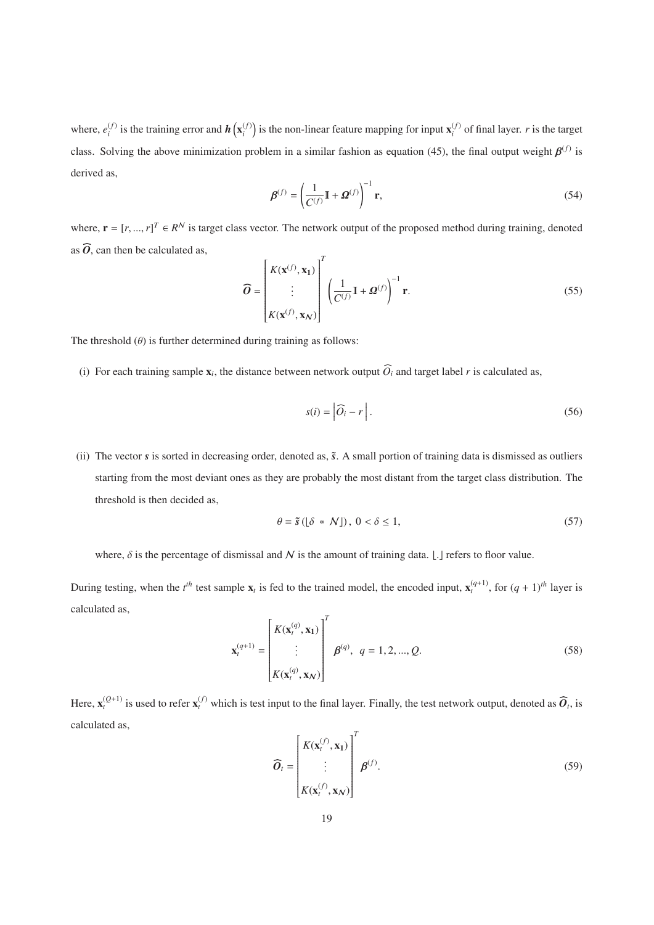where,  $e_i^{(f)}$  is the training error and  $h\left(\mathbf{x}_i^{(f)}\right)$  is the non-linear feature mapping for input  $\mathbf{x}_i^{(f)}$  of final layer. *r* is the target class. Solving the above minimization problem in a similar fashion as equation (45), the final output weight  $\beta^{(f)}$  is derived as,

$$
\boldsymbol{\beta}^{(f)} = \left(\frac{1}{C^{(f)}}\mathbb{I} + \boldsymbol{\Omega}^{(f)}\right)^{-1} \mathbf{r},\tag{54}
$$

where,  $\mathbf{r} = [r, ..., r]^T \in R^N$  is target class vector. The network output of the proposed method during training, denoted where  $\frac{1}{2}$ as  $\widehat{O}$ , can then be calculated as,

$$
\widehat{\boldsymbol{O}} = \begin{bmatrix} K(\mathbf{x}^{(f)}, \mathbf{x}_1) \\ \vdots \\ K(\mathbf{x}^{(f)}, \mathbf{x}_N) \end{bmatrix}^T \left( \frac{1}{C^{(f)}} \mathbb{I} + \boldsymbol{\Omega}^{(f)} \right)^{-1} \mathbf{r}.
$$
\n(55)

The threshold  $(\theta)$  is further determined during training as follows:

(i) For each training sample  $\mathbf{x}_i$ , the distance between network output  $\widehat{O}_i$  and target label *r* is calculated as,

$$
s(i) = \left| \widehat{O}_i - r \right|.
$$
 (56)

(ii) The vector  $s$  is sorted in decreasing order, denoted as,  $\tilde{s}$ . A small portion of training data is dismissed as outliers starting from the most deviant ones as they are probably the most distant from the target class distribution. The threshold is then decided as,

$$
\theta = \tilde{s} \left( \left[ \delta \ * \ N \right] \right), \ 0 < \delta \le 1,\tag{57}
$$

where,  $\delta$  is the percentage of dismissal and N is the amount of training data. [.] refers to floor value.

During testing, when the  $t^{th}$  test sample  $\mathbf{x}_t$  is fed to the trained model, the encoded input,  $\mathbf{x}_t^{(q+1)}$ , for  $(q+1)^{th}$  layer is calculated as,

Here, 
$$
\mathbf{x}_t^{(Q+1)}
$$
 is used to refer  $\mathbf{x}_t^{(f)}$  which is test input to the final layer. Finally, the test network output, denoted as  $\widehat{\mathbf{\theta}}_t$ , is

calculated as,

$$
\widehat{\boldsymbol{O}}_t = \begin{bmatrix} K(\mathbf{x}_t^{(f)}, \mathbf{x}_1) \\ \vdots \\ K(\mathbf{x}_t^{(f)}, \mathbf{x}_N) \end{bmatrix}^T \boldsymbol{\beta}^{(f)}.
$$
\n(59)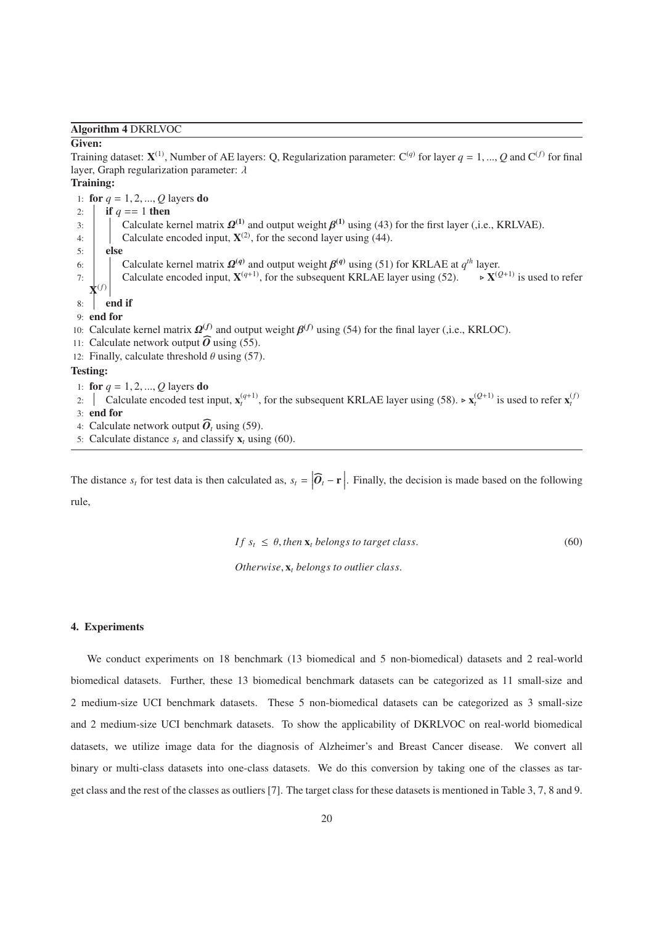Algorithm 4 DKRLVOC

#### Given:

Training dataset:  $X^{(1)}$ , Number of AE layers: Q, Regularization parameter:  $C^{(q)}$  for layer  $q = 1, ..., Q$  and  $C^{(f)}$  for final layer, Graph regularization parameter:  $\lambda$ 

Training:

1: **for**  $q = 1, 2, ..., Q$  layers **do** 2: **if**  $q == 1$  then 3: Calculate kernel matrix  $\mathbf{\Omega}^{(1)}$  and output weight  $\mathbf{\beta}^{(1)}$  using (43) for the first layer (,i.e., KRLVAE). 4: Calculate encoded input,  $X^{(2)}$ , for the second layer using (44). 5: else 6: Calculate kernel matrix  $\mathbf{\Omega}^{(q)}$  and output weight  $\mathbf{\beta}^{(q)}$  using (51) for KRLAE at  $q^{th}$  layer. 7: **Calculate encoded input,**  $X^{(q+1)}$ **, for the subsequent KRLAE layer using (52).**  $\triangleright$  **X**<sup>(*Q*+1)</sup> is used to refer  $\mathbf{X}^{(f)}$  $8:$  end if 9: end for 10: Calculate kernel matrix  $\mathbf{\Omega}^{(f)}$  and output weight  $\mathbf{\beta}^{(f)}$  using (54) for the final layer (,i.e., KRLOC). 8: **| end if**<br>
9: **end for**<br>
10: Calculate kernel matrix  $\Omega^{(f)}$ <br>
11: Calculate network output  $\widehat{O}$ 11: Calculate network output  $\widehat{O}$  using (55). 12: Finally, calculate threshold  $\theta$  using (57). Testing: 1: **for**  $q = 1, 2, ..., Q$  layers **do** 

2:  $\int$  Calculate encoded test input,  $\mathbf{x}_t^{(q+1)}$ , for the subsequent KRLAE layer using (58).  $\triangleright \mathbf{x}_t^{(Q+1)}$  is used to refer  $\mathbf{x}_t^{(f)}$ 3: end for 1: **for**  $q = 1, 2, ..., Q$  layers **do**<br>2:  $\vert$  Calculate encoded test is<br>3: **end for**<br>4: Calculate network output  $\widehat{O}$ 

- 
- 4: Calculate network output  $\widehat{O}_t$  using (59).
- 5: Calculate distance  $s_t$  and classify  $\mathbf{x}_t$  using (60).

The distance  $s_t$  for test data is then calculated as,  $s_t = |\hat{\mathbf{O}}_t - \mathbf{r}|$ . Finally, the decision is made based on the following *O*rule,

$$
If s_t \leq \theta, then \mathbf{x}_t belongs to target class. \tag{60}
$$

*Otherwise*, x*<sup>t</sup> belongs to outlier class*.

#### 4. Experiments

We conduct experiments on 18 benchmark (13 biomedical and 5 non-biomedical) datasets and 2 real-world biomedical datasets. Further, these 13 biomedical benchmark datasets can be categorized as 11 small-size and 2 medium-size UCI benchmark datasets. These 5 non-biomedical datasets can be categorized as 3 small-size and 2 medium-size UCI benchmark datasets. To show the applicability of DKRLVOC on real-world biomedical datasets, we utilize image data for the diagnosis of Alzheimer's and Breast Cancer disease. We convert all binary or multi-class datasets into one-class datasets. We do this conversion by taking one of the classes as target class and the rest of the classes as outliers [7]. The target class for these datasets is mentioned in Table 3, 7, 8 and 9.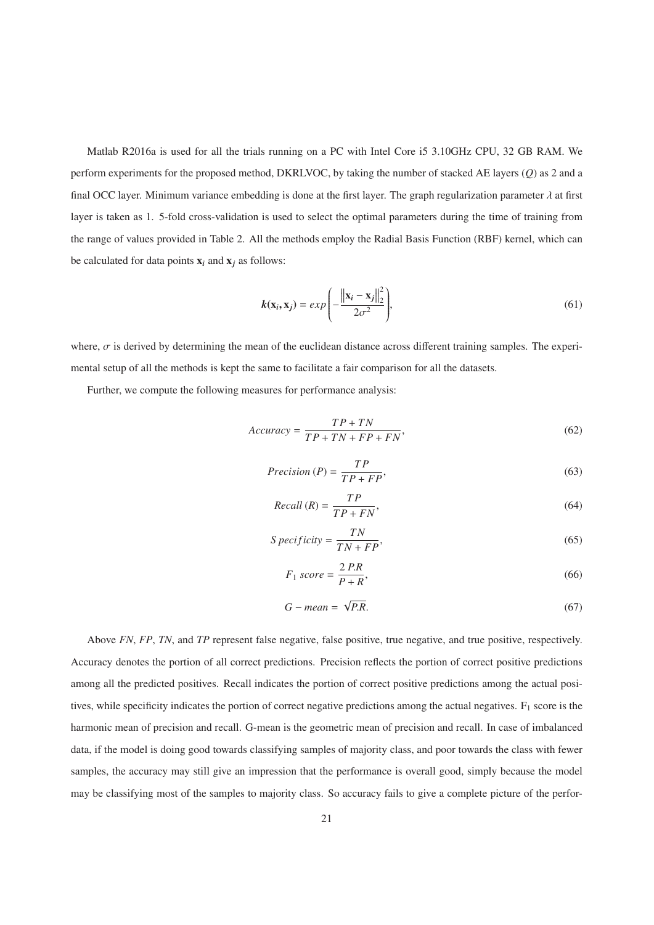Matlab R2016a is used for all the trials running on a PC with Intel Core i5 3.10GHz CPU, 32 GB RAM. We perform experiments for the proposed method, DKRLVOC, by taking the number of stacked AE layers (*Q*) as 2 and a final OCC layer. Minimum variance embedding is done at the first layer. The graph regularization parameter  $\lambda$  at first layer is taken as 1. 5-fold cross-validation is used to select the optimal parameters during the time of training from the range of values provided in Table 2. All the methods employ the Radial Basis Function (RBF) kernel, which can be calculated for data points  $x_i$  and  $x_j$  as follows:

$$
k(\mathbf{x}_i, \mathbf{x}_j) = exp\left(-\frac{\left\|\mathbf{x}_i - \mathbf{x}_j\right\|_2^2}{2\sigma^2}\right),\tag{61}
$$

where,  $\sigma$  is derived by determining the mean of the euclidean distance across different training samples. The experimental setup of all the methods is kept the same to facilitate a fair comparison for all the datasets.

Further, we compute the following measures for performance analysis:

$$
Accuracy = \frac{TP + TN}{TP + TN + FP + FN},
$$
\n(62)

$$
Precision(P) = \frac{TP}{TP + FP},\tag{63}
$$

$$
Recall (R) = \frac{TP}{TP + FN},
$$
\n<sup>(64)</sup>

$$
S \, \text{pecificity} = \frac{TN}{TN + FP},\tag{65}
$$

$$
F_1 \text{ score} = \frac{2 \text{ } P \text{.} R}{P + R},\tag{66}
$$

$$
G - mean = \sqrt{P.R}.\tag{67}
$$

Above *FN*, *FP*, *TN*, and *TP* represent false negative, false positive, true negative, and true positive, respectively. Accuracy denotes the portion of all correct predictions. Precision reflects the portion of correct positive predictions among all the predicted positives. Recall indicates the portion of correct positive predictions among the actual positives, while specificity indicates the portion of correct negative predictions among the actual negatives.  $F_1$  score is the harmonic mean of precision and recall. G-mean is the geometric mean of precision and recall. In case of imbalanced data, if the model is doing good towards classifying samples of majority class, and poor towards the class with fewer samples, the accuracy may still give an impression that the performance is overall good, simply because the model may be classifying most of the samples to majority class. So accuracy fails to give a complete picture of the perfor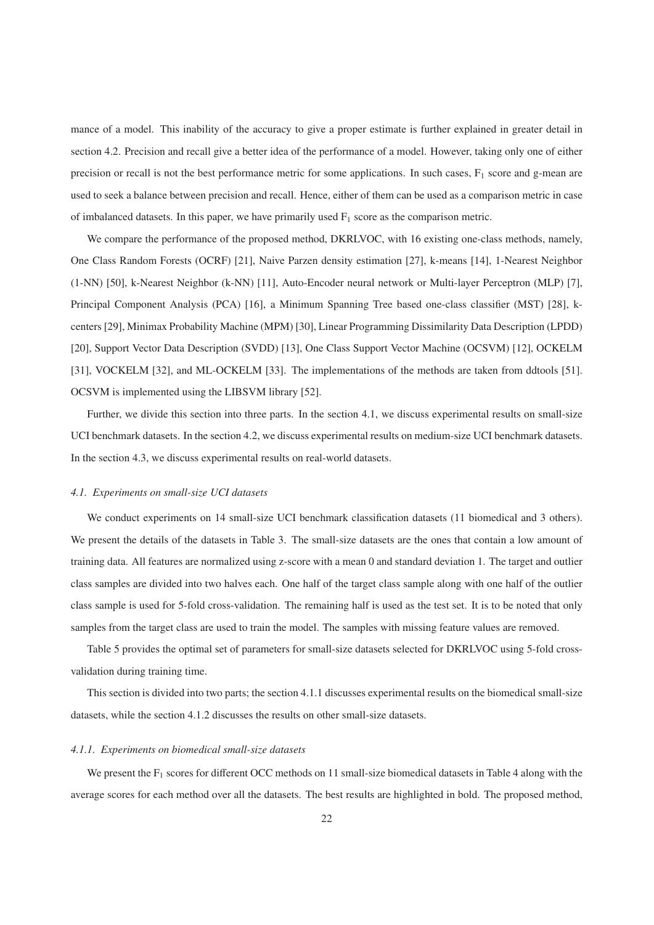mance of a model. This inability of the accuracy to give a proper estimate is further explained in greater detail in section 4.2. Precision and recall give a better idea of the performance of a model. However, taking only one of either precision or recall is not the best performance metric for some applications. In such cases, F<sub>1</sub> score and g-mean are used to seek a balance between precision and recall. Hence, either of them can be used as a comparison metric in case of imbalanced datasets. In this paper, we have primarily used  $F_1$  score as the comparison metric.

We compare the performance of the proposed method, DKRLVOC, with 16 existing one-class methods, namely, One Class Random Forests (OCRF) [21], Naive Parzen density estimation [27], k-means [14], 1-Nearest Neighbor (1-NN) [50], k-Nearest Neighbor (k-NN) [11], Auto-Encoder neural network or Multi-layer Perceptron (MLP) [7], Principal Component Analysis (PCA) [16], a Minimum Spanning Tree based one-class classifier (MST) [28], kcenters [29], Minimax Probability Machine (MPM) [30], Linear Programming Dissimilarity Data Description (LPDD) [20], Support Vector Data Description (SVDD) [13], One Class Support Vector Machine (OCSVM) [12], OCKELM [31], VOCKELM [32], and ML-OCKELM [33]. The implementations of the methods are taken from ddtools [51]. OCSVM is implemented using the LIBSVM library [52].

Further, we divide this section into three parts. In the section 4.1, we discuss experimental results on small-size UCI benchmark datasets. In the section 4.2, we discuss experimental results on medium-size UCI benchmark datasets. In the section 4.3, we discuss experimental results on real-world datasets.

### *4.1. Experiments on small-size UCI datasets*

We conduct experiments on 14 small-size UCI benchmark classification datasets (11 biomedical and 3 others). We present the details of the datasets in Table 3. The small-size datasets are the ones that contain a low amount of training data. All features are normalized using z-score with a mean 0 and standard deviation 1. The target and outlier class samples are divided into two halves each. One half of the target class sample along with one half of the outlier class sample is used for 5-fold cross-validation. The remaining half is used as the test set. It is to be noted that only samples from the target class are used to train the model. The samples with missing feature values are removed.

Table 5 provides the optimal set of parameters for small-size datasets selected for DKRLVOC using 5-fold crossvalidation during training time.

This section is divided into two parts; the section 4.1.1 discusses experimental results on the biomedical small-size datasets, while the section 4.1.2 discusses the results on other small-size datasets.

### *4.1.1. Experiments on biomedical small-size datasets*

We present the  $F_1$  scores for different OCC methods on 11 small-size biomedical datasets in Table 4 along with the average scores for each method over all the datasets. The best results are highlighted in bold. The proposed method,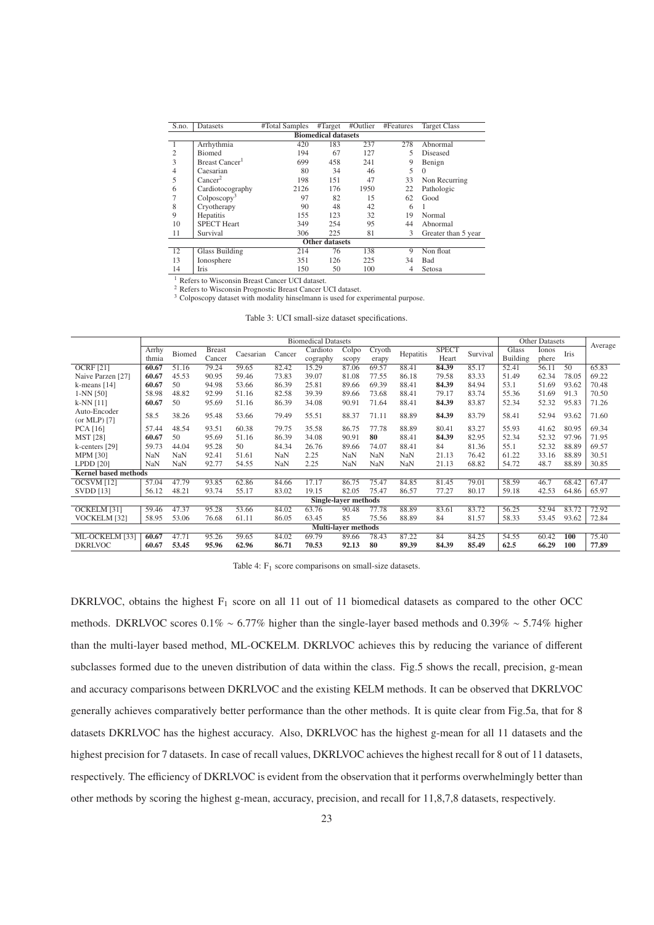| S.no.                      | Datasets                   | #Total Samples | #Target               | #Outlier | #Features | <b>Target Class</b> |  |  |
|----------------------------|----------------------------|----------------|-----------------------|----------|-----------|---------------------|--|--|
| <b>Biomedical datasets</b> |                            |                |                       |          |           |                     |  |  |
|                            | Arrhythmia                 | 420            | 183                   | 237      | 278       | Abnormal            |  |  |
| $\mathfrak{2}$             | <b>Biomed</b>              | 194            | 67                    | 127      | 5         | Diseased            |  |  |
| 3                          | Breast Cancer <sup>1</sup> | 699            | 458                   | 241      | 9         | Benign              |  |  |
| 4                          | Caesarian                  | 80             | 34                    | 46       | 5         | $\Omega$            |  |  |
| 5                          | Cancer <sup>2</sup>        | 198            | 151                   | 47       | 33        | Non Recurring       |  |  |
| 6                          | Cardiotocography           | 2126           | 176                   | 1950     | 22        | Pathologic          |  |  |
|                            | Colposcopy <sup>3</sup>    | 97             | 82                    | 15       | 62        | Good                |  |  |
| 8                          | Cryotherapy                | 90             | 48                    | 42       | 6         |                     |  |  |
| 9                          | Hepatitis                  | 155            | 123                   | 32       | 19        | Normal              |  |  |
| 10                         | <b>SPECT Heart</b>         | 349            | 254                   | 95       | 44        | Abnormal            |  |  |
| 11                         | Survival                   | 306            | 225                   | 81       | 3         | Greater than 5 year |  |  |
|                            |                            |                | <b>Other datasets</b> |          |           |                     |  |  |
| 12                         | <b>Glass Building</b>      | 214            | 76                    | 138      | 9         | Non float           |  |  |
| 13                         | Ionosphere                 | 351            | 126                   | 225      | 34        | Bad                 |  |  |
| 14                         | Iris                       | 150            | 50                    | 100      | 4         | Setosa              |  |  |

<sup>1</sup> Refers to Wisconsin Breast Cancer UCI dataset.

<sup>2</sup> Refers to Wisconsin Prognostic Breast Cancer UCI dataset.

<sup>3</sup> Colposcopy dataset with modality hinselmann is used for experimental purpose.

| Table 3: UCI small-size dataset specifications. |  |
|-------------------------------------------------|--|
|-------------------------------------------------|--|

|                             |            |            |               |           |        | <b>Biomedical Datasets</b> |                            |        |            |              |          |          | <b>Other Datasets</b> |             |         |
|-----------------------------|------------|------------|---------------|-----------|--------|----------------------------|----------------------------|--------|------------|--------------|----------|----------|-----------------------|-------------|---------|
|                             | Arrhy      | Biomed     | <b>Breast</b> | Caesarian | Cancer | Cardioto                   | Colpo                      | Cryoth | Hepatitis  | <b>SPECT</b> | Survival | Glass    | Ionos                 | <b>Iris</b> | Average |
|                             | thmia      |            | Cancer        |           |        | cography                   | scopy                      | erapy  |            | Heart        |          | Building | phere                 |             |         |
| <b>OCRF</b> [21]            | 60.67      | 51.16      | 79.24         | 59.65     | 82.42  | 15.29                      | 87.06                      | 69.57  | 88.41      | 84.39        | 85.17    | 52.41    | 56.11                 | 50          | 65.83   |
| Naive Parzen [27]           | 60.67      | 45.53      | 90.95         | 59.46     | 73.83  | 39.07                      | 81.08                      | 77.55  | 86.18      | 79.58        | 83.33    | 51.49    | 62.34                 | 78.05       | 69.22   |
| k-means $[14]$              | 60.67      | 50         | 94.98         | 53.66     | 86.39  | 25.81                      | 89.66                      | 69.39  | 88.41      | 84.39        | 84.94    | 53.1     | 51.69                 | 93.62       | 70.48   |
| $1-NN$ [50]                 | 58.98      | 48.82      | 92.99         | 51.16     | 82.58  | 39.39                      | 89.66                      | 73.68  | 88.41      | 79.17        | 83.74    | 55.36    | 51.69                 | 91.3        | 70.50   |
| $k-NN[11]$                  | 60.67      | 50         | 95.69         | 51.16     | 86.39  | 34.08                      | 90.91                      | 71.64  | 88.41      | 84.39        | 83.87    | 52.34    | 52.32                 | 95.83       | 71.26   |
| Auto-Encoder                | 58.5       | 38.26      | 95.48         | 53.66     | 79.49  | 55.51                      | 88.37                      | 71.11  | 88.89      | 84.39        | 83.79    | 58.41    | 52.94                 | 93.62       | 71.60   |
| (or MLP) $[7]$              |            |            |               |           |        |                            |                            |        |            |              |          |          |                       |             |         |
| <b>PCA</b> [16]             | 57.44      | 48.54      | 93.51         | 60.38     | 79.75  | 35.58                      | 86.75                      | 77.78  | 88.89      | 80.41        | 83.27    | 55.93    | 41.62                 | 80.95       | 69.34   |
| <b>MST</b> [28]             | 60.67      | 50         | 95.69         | 51.16     | 86.39  | 34.08                      | 90.91                      | 80     | 88.41      | 84.39        | 82.95    | 52.34    | 52.32                 | 97.96       | 71.95   |
| k-centers [29]              | 59.73      | 44.04      | 95.28         | 50        | 84.34  | 26.76                      | 89.66                      | 74.07  | 88.41      | 84           | 81.36    | 55.1     | 52.32                 | 88.89       | 69.57   |
| <b>MPM [30]</b>             | NaN        | <b>NaN</b> | 92.41         | 51.61     | NaN    | 2.25                       | NaN                        | NaN    | NaN        | 21.13        | 76.42    | 61.22    | 33.16                 | 88.89       | 30.51   |
| $L$ PDD $[20]$              | <b>NaN</b> | <b>NaN</b> | 92.77         | 54.55     | NaN    | 2.25                       | NaN                        | NaN    | <b>NaN</b> | 21.13        | 68.82    | 54.72    | 48.7                  | 88.89       | 30.85   |
| <b>Kernel based methods</b> |            |            |               |           |        |                            |                            |        |            |              |          |          |                       |             |         |
| OCSVM [12]                  | 57.04      | 47.79      | 93.85         | 62.86     | 84.66  | 17.17                      | 86.75                      | 75.47  | 84.85      | 81.45        | 79.01    | 58.59    | 46.7                  | 68.42       | 67.47   |
| <b>SVDD</b> [13]            | 56.12      | 48.21      | 93.74         | 55.17     | 83.02  | 19.15                      | 82.05                      | 75.47  | 86.57      | 77.27        | 80.17    | 59.18    | 42.53                 | 64.86       | 65.97   |
|                             |            |            |               |           |        |                            | Single-layer methods       |        |            |              |          |          |                       |             |         |
| OCKELM <sup>[31]</sup>      | 59.46      | 47.37      | 95.28         | 53.66     | 84.02  | 63.76                      | 90.48                      | 77.78  | 88.89      | 83.61        | 83.72    | 56.25    | 52.94                 | 83.72       | 72.92   |
| VOCKELM [32]                | 58.95      | 53.06      | 76.68         | 61.11     | 86.05  | 63.45                      | 85                         | 75.56  | 88.89      | 84           | 81.57    | 58.33    | 53.45                 | 93.62       | 72.84   |
|                             |            |            |               |           |        |                            | <b>Multi-layer methods</b> |        |            |              |          |          |                       |             |         |
| ML-OCKELM [33]              | 60.67      | 47.71      | 95.26         | 59.65     | 84.02  | 69.79                      | 89.66                      | 78.43  | 87.22      | 84           | 84.25    | 54.55    | 60.42                 | 100         | 75.40   |
| <b>DKRLVOC</b>              | 60.67      | 53.45      | 95.96         | 62.96     | 86.71  | 70.53                      | 92.13                      | 80     | 89.39      | 84.39        | 85.49    | 62.5     | 66.29                 | 100         | 77.89   |

Table 4: F<sub>1</sub> score comparisons on small-size datasets.

DKRLVOC, obtains the highest  $F_1$  score on all 11 out of 11 biomedical datasets as compared to the other OCC methods. DKRLVOC scores 0.1% ∼ 6.77% higher than the single-layer based methods and 0.39% ∼ 5.74% higher than the multi-layer based method, ML-OCKELM. DKRLVOC achieves this by reducing the variance of different subclasses formed due to the uneven distribution of data within the class. Fig.5 shows the recall, precision, g-mean and accuracy comparisons between DKRLVOC and the existing KELM methods. It can be observed that DKRLVOC generally achieves comparatively better performance than the other methods. It is quite clear from Fig.5a, that for 8 datasets DKRLVOC has the highest accuracy. Also, DKRLVOC has the highest g-mean for all 11 datasets and the highest precision for 7 datasets. In case of recall values, DKRLVOC achieves the highest recall for 8 out of 11 datasets, respectively. The efficiency of DKRLVOC is evident from the observation that it performs overwhelmingly better than other methods by scoring the highest g-mean, accuracy, precision, and recall for 11,8,7,8 datasets, respectively.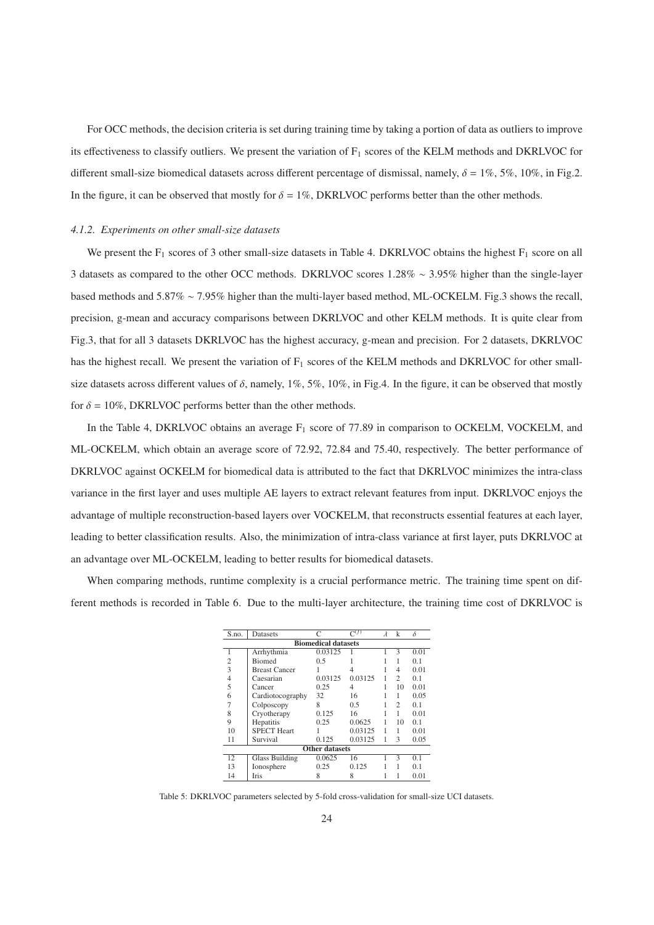For OCC methods, the decision criteria is set during training time by taking a portion of data as outliers to improve its effectiveness to classify outliers. We present the variation of  $F_1$  scores of the KELM methods and DKRLVOC for different small-size biomedical datasets across different percentage of dismissal, namely,  $\delta = 1\%$ , 5%, 10%, in Fig.2. In the figure, it can be observed that mostly for  $\delta = 1\%$ , DKRLVOC performs better than the other methods.

### *4.1.2. Experiments on other small-size datasets*

We present the  $F_1$  scores of 3 other small-size datasets in Table 4. DKRLVOC obtains the highest  $F_1$  score on all 3 datasets as compared to the other OCC methods. DKRLVOC scores 1.28% ∼ 3.95% higher than the single-layer based methods and 5.87% ∼ 7.95% higher than the multi-layer based method, ML-OCKELM. Fig.3 shows the recall, precision, g-mean and accuracy comparisons between DKRLVOC and other KELM methods. It is quite clear from Fig.3, that for all 3 datasets DKRLVOC has the highest accuracy, g-mean and precision. For 2 datasets, DKRLVOC has the highest recall. We present the variation of  $F_1$  scores of the KELM methods and DKRLVOC for other smallsize datasets across different values of  $\delta$ , namely, 1%, 5%, 10%, in Fig.4. In the figure, it can be observed that mostly for  $\delta = 10\%$ , DKRLVOC performs better than the other methods.

In the Table 4, DKRLVOC obtains an average  $F_1$  score of 77.89 in comparison to OCKELM, VOCKELM, and ML-OCKELM, which obtain an average score of 72.92, 72.84 and 75.40, respectively. The better performance of DKRLVOC against OCKELM for biomedical data is attributed to the fact that DKRLVOC minimizes the intra-class variance in the first layer and uses multiple AE layers to extract relevant features from input. DKRLVOC enjoys the advantage of multiple reconstruction-based layers over VOCKELM, that reconstructs essential features at each layer, leading to better classification results. Also, the minimization of intra-class variance at first layer, puts DKRLVOC at an advantage over ML-OCKELM, leading to better results for biomedical datasets.

When comparing methods, runtime complexity is a crucial performance metric. The training time spent on different methods is recorded in Table 6. Due to the multi-layer architecture, the training time cost of DKRLVOC is

| S.no.                      | Datasets              |                       | $\overline{C^{(f)}}$ | $\lambda$ | k              | δ    |  |  |
|----------------------------|-----------------------|-----------------------|----------------------|-----------|----------------|------|--|--|
| <b>Biomedical datasets</b> |                       |                       |                      |           |                |      |  |  |
| 1                          | Arrhythmia            | 0.03125               |                      |           | 3              | 0.01 |  |  |
| $\overline{c}$             | <b>Biomed</b>         | 0.5                   |                      |           |                | 0.1  |  |  |
| 3                          | <b>Breast Cancer</b>  |                       | 4                    |           | 4              | 0.01 |  |  |
| $\overline{4}$             | Caesarian             | 0.03125               | 0.03125              |           | $\overline{c}$ | 0.1  |  |  |
| 5                          | Cancer                | 0.25                  | 4                    |           | 10             | 0.01 |  |  |
| 6                          | Cardiotocography      | 32                    | 16                   |           |                | 0.05 |  |  |
| 7                          | Colposcopy            | 8                     | 0.5                  |           | $\overline{c}$ | 0.1  |  |  |
| 8                          | Cryotherapy           | 0.125                 | 16                   |           |                | 0.01 |  |  |
| 9                          | Hepatitis             | 0.25                  | 0.0625               |           | 10             | 0.1  |  |  |
| 10                         | <b>SPECT Heart</b>    |                       | 0.03125              |           |                | 0.01 |  |  |
| 11                         | Survival              | 0.125                 | 0.03125              | 1         | 3              | 0.05 |  |  |
|                            |                       | <b>Other datasets</b> |                      |           |                |      |  |  |
| 12                         | <b>Glass Building</b> | 0.0625                | 16                   |           | 3              | 0.1  |  |  |
| 13                         | Ionosphere            | 0.25                  | 0.125                |           |                | 0.1  |  |  |
| 14                         | <b>Iris</b>           | 8                     | 8                    |           |                | 0.01 |  |  |

Table 5: DKRLVOC parameters selected by 5-fold cross-validation for small-size UCI datasets.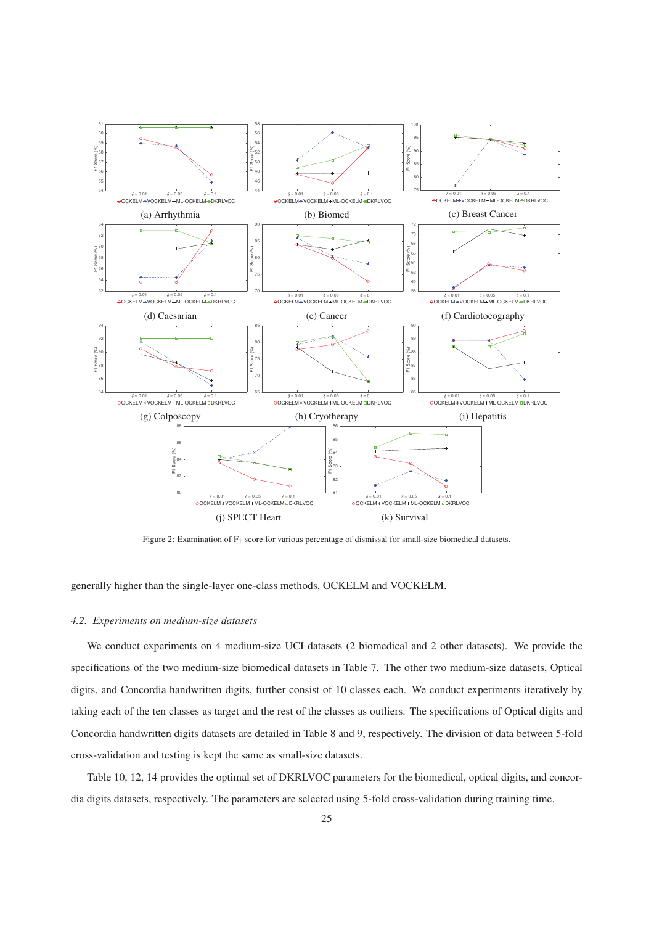

Figure 2: Examination of F<sub>1</sub> score for various percentage of dismissal for small-size biomedical datasets.

# generally higher than the single-layer one-class methods, OCKELM and VOCKELM.

## *4.2. Experiments on medium-size datasets*

We conduct experiments on 4 medium-size UCI datasets (2 biomedical and 2 other datasets). We provide the specifications of the two medium-size biomedical datasets in Table 7. The other two medium-size datasets, Optical digits, and Concordia handwritten digits, further consist of 10 classes each. We conduct experiments iteratively by taking each of the ten classes as target and the rest of the classes as outliers. The specifications of Optical digits and Concordia handwritten digits datasets are detailed in Table 8 and 9, respectively. The division of data between 5-fold cross-validation and testing is kept the same as small-size datasets.

Table 10, 12, 14 provides the optimal set of DKRLVOC parameters for the biomedical, optical digits, and concordia digits datasets, respectively. The parameters are selected using 5-fold cross-validation during training time.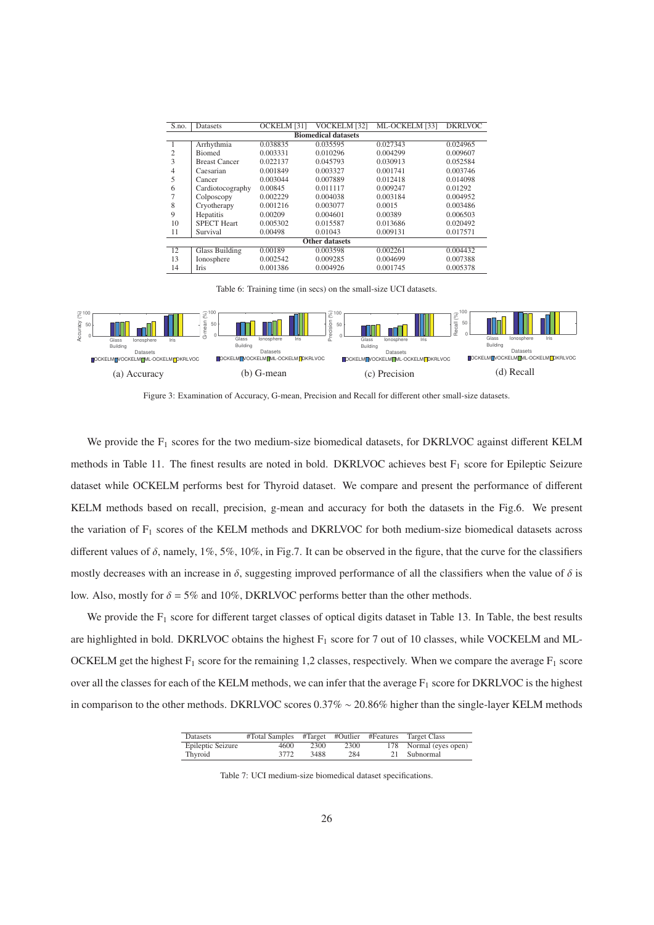| S.no.          | Datasets                   | OCKELM [31] | VOCKELM [32]          | ML-OCKELM [33] | <b>DKRLVOC</b> |  |  |  |  |
|----------------|----------------------------|-------------|-----------------------|----------------|----------------|--|--|--|--|
|                | <b>Biomedical datasets</b> |             |                       |                |                |  |  |  |  |
| J.             | Arrhythmia                 | 0.038835    | 0.035595              | 0.027343       | 0.024965       |  |  |  |  |
| $\overline{c}$ | <b>Biomed</b>              | 0.003331    | 0.010296              | 0.004299       | 0.009607       |  |  |  |  |
| 3              | <b>Breast Cancer</b>       | 0.022137    | 0.045793              | 0.030913       | 0.052584       |  |  |  |  |
| 4              | Caesarian                  | 0.001849    | 0.003327              | 0.001741       | 0.003746       |  |  |  |  |
| 5              | Cancer                     | 0.003044    | 0.007889              | 0.012418       | 0.014098       |  |  |  |  |
| 6              | Cardiotocography           | 0.00845     | 0.011117              | 0.009247       | 0.01292        |  |  |  |  |
|                | Colposcopy                 | 0.002229    | 0.004038              | 0.003184       | 0.004952       |  |  |  |  |
| 8              | Cryotherapy                | 0.001216    | 0.003077              | 0.0015         | 0.003486       |  |  |  |  |
| 9              | Hepatitis                  | 0.00209     | 0.004601              | 0.00389        | 0.006503       |  |  |  |  |
| 10             | <b>SPECT Heart</b>         | 0.005302    | 0.015587              | 0.013686       | 0.020492       |  |  |  |  |
| 11             | Survival                   | 0.00498     | 0.01043               | 0.009131       | 0.017571       |  |  |  |  |
|                |                            |             | <b>Other datasets</b> |                |                |  |  |  |  |
| 12             | Glass Building             | 0.00189     | 0.003598              | 0.002261       | 0.004432       |  |  |  |  |
| 13             | Ionosphere                 | 0.002542    | 0.009285              | 0.004699       | 0.007388       |  |  |  |  |
| 14             | <b>Iris</b>                | 0.001386    | 0.004926              | 0.001745       | 0.005378       |  |  |  |  |

Table 6: Training time (in secs) on the small-size UCI datasets.



Figure 3: Examination of Accuracy, G-mean, Precision and Recall for different other small-size datasets.

We provide the  $F_1$  scores for the two medium-size biomedical datasets, for DKRLVOC against different KELM methods in Table 11. The finest results are noted in bold. DKRLVOC achieves best  $F_1$  score for Epileptic Seizure dataset while OCKELM performs best for Thyroid dataset. We compare and present the performance of different KELM methods based on recall, precision, g-mean and accuracy for both the datasets in the Fig.6. We present the variation of F<sub>1</sub> scores of the KELM methods and DKRLVOC for both medium-size biomedical datasets across different values of  $\delta$ , namely, 1%, 5%, 10%, in Fig.7. It can be observed in the figure, that the curve for the classifiers mostly decreases with an increase in  $\delta$ , suggesting improved performance of all the classifiers when the value of  $\delta$  is low. Also, mostly for  $\delta = 5\%$  and 10%, DKRLVOC performs better than the other methods.

We provide the  $F_1$  score for different target classes of optical digits dataset in Table 13. In Table, the best results are highlighted in bold. DKRLVOC obtains the highest  $F_1$  score for 7 out of 10 classes, while VOCKELM and ML-OCKELM get the highest  $F_1$  score for the remaining 1,2 classes, respectively. When we compare the average  $F_1$  score over all the classes for each of the KELM methods, we can infer that the average  $F_1$  score for DKRLVOC is the highest in comparison to the other methods. DKRLVOC scores 0.37% ∼ 20.86% higher than the single-layer KELM methods

| Datasets          | #Total Samples |      |      | #Target #Outlier #Features Target Class |
|-------------------|----------------|------|------|-----------------------------------------|
| Epileptic Seizure | 4600           | 2300 | 2300 | 178 Normal (eyes open)                  |
| Thyroid           | 3772           | 3488 | 284  | 21 Subnormal                            |

Table 7: UCI medium-size biomedical dataset specifications.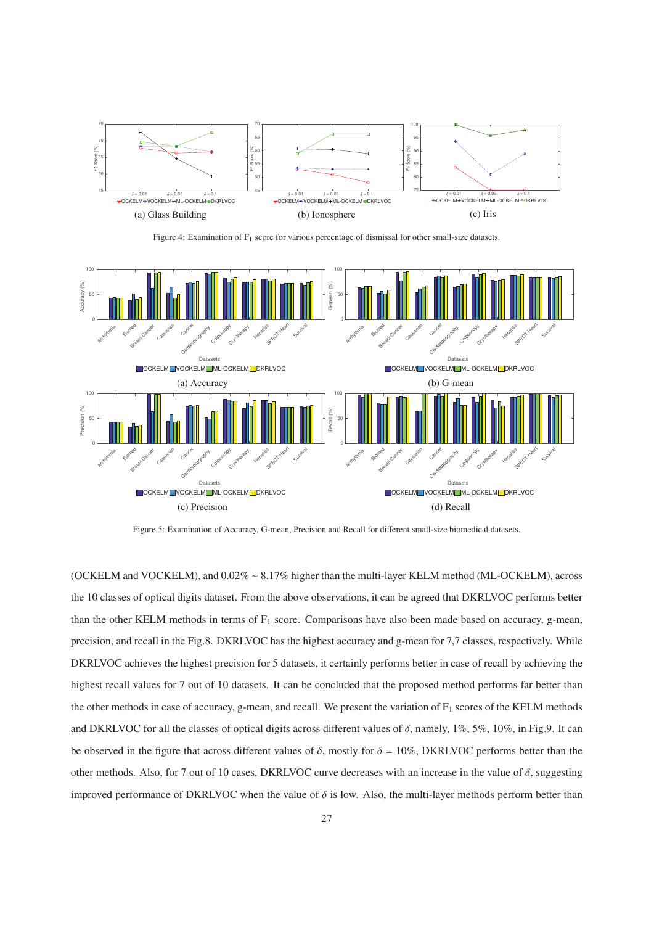

Figure 4: Examination of F<sub>1</sub> score for various percentage of dismissal for other small-size datasets.



Figure 5: Examination of Accuracy, G-mean, Precision and Recall for different small-size biomedical datasets.

(OCKELM and VOCKELM), and 0.02% ∼ 8.17% higher than the multi-layer KELM method (ML-OCKELM), across the 10 classes of optical digits dataset. From the above observations, it can be agreed that DKRLVOC performs better than the other KELM methods in terms of  $F_1$  score. Comparisons have also been made based on accuracy, g-mean, precision, and recall in the Fig.8. DKRLVOC has the highest accuracy and g-mean for 7,7 classes, respectively. While DKRLVOC achieves the highest precision for 5 datasets, it certainly performs better in case of recall by achieving the highest recall values for 7 out of 10 datasets. It can be concluded that the proposed method performs far better than the other methods in case of accuracy, g-mean, and recall. We present the variation of  $F_1$  scores of the KELM methods and DKRLVOC for all the classes of optical digits across different values of  $\delta$ , namely, 1%, 5%, 10%, in Fig.9. It can be observed in the figure that across different values of  $\delta$ , mostly for  $\delta = 10\%$ , DKRLVOC performs better than the other methods. Also, for 7 out of 10 cases, DKRLVOC curve decreases with an increase in the value of  $\delta$ , suggesting improved performance of DKRLVOC when the value of  $\delta$  is low. Also, the multi-layer methods perform better than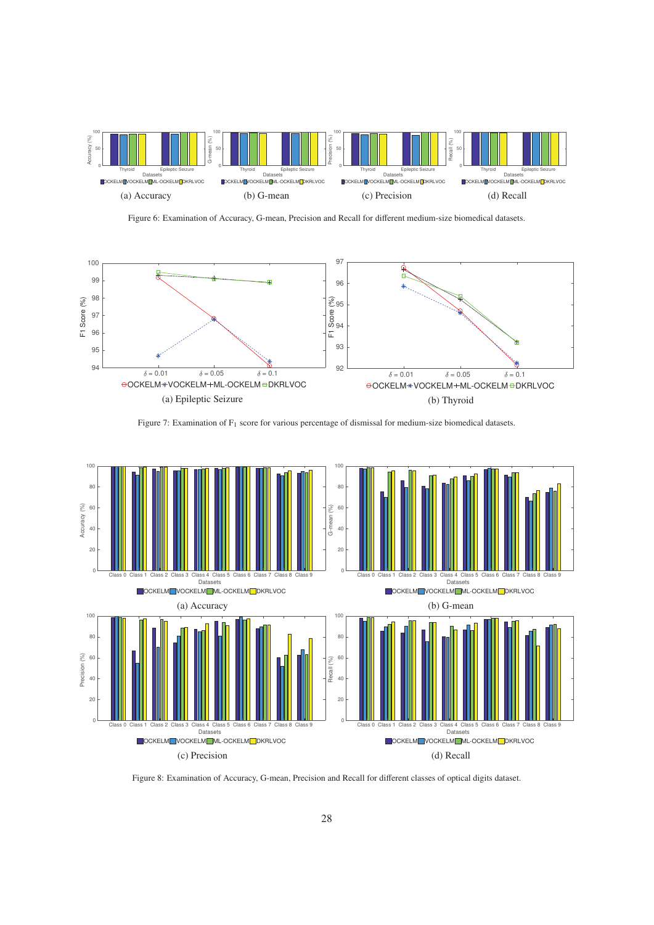

Figure 6: Examination of Accuracy, G-mean, Precision and Recall for different medium-size biomedical datasets.



Figure 7: Examination of F<sub>1</sub> score for various percentage of dismissal for medium-size biomedical datasets.



Figure 8: Examination of Accuracy, G-mean, Precision and Recall for different classes of optical digits dataset.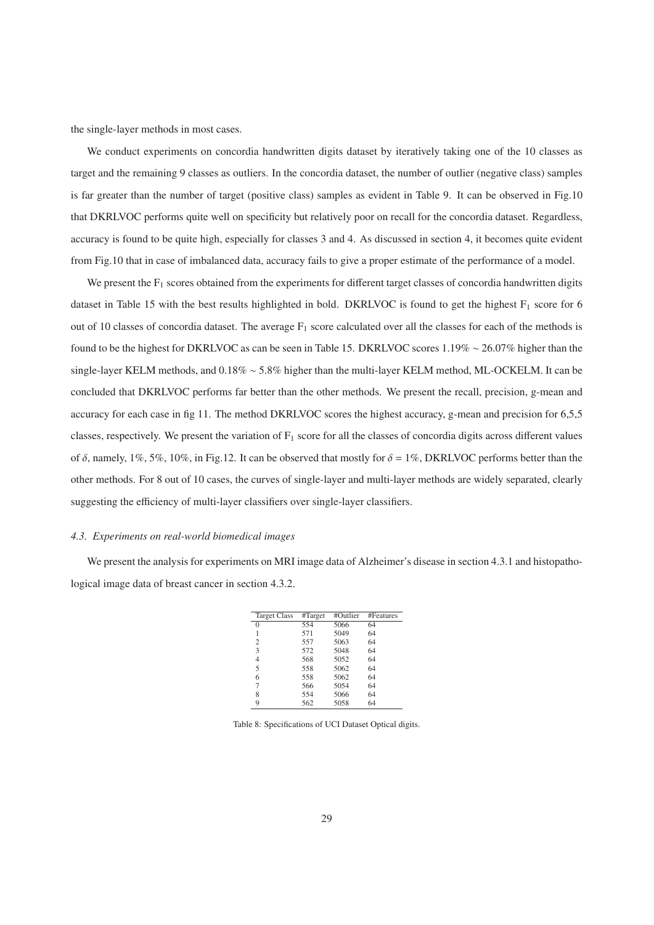the single-layer methods in most cases.

We conduct experiments on concordia handwritten digits dataset by iteratively taking one of the 10 classes as target and the remaining 9 classes as outliers. In the concordia dataset, the number of outlier (negative class) samples is far greater than the number of target (positive class) samples as evident in Table 9. It can be observed in Fig.10 that DKRLVOC performs quite well on specificity but relatively poor on recall for the concordia dataset. Regardless, accuracy is found to be quite high, especially for classes 3 and 4. As discussed in section 4, it becomes quite evident from Fig.10 that in case of imbalanced data, accuracy fails to give a proper estimate of the performance of a model.

We present the  $F_1$  scores obtained from the experiments for different target classes of concordia handwritten digits dataset in Table 15 with the best results highlighted in bold. DKRLVOC is found to get the highest  $F_1$  score for 6 out of 10 classes of concordia dataset. The average  $F_1$  score calculated over all the classes for each of the methods is found to be the highest for DKRLVOC as can be seen in Table 15. DKRLVOC scores 1.19% ∼ 26.07% higher than the single-layer KELM methods, and 0.18% ∼ 5.8% higher than the multi-layer KELM method, ML-OCKELM. It can be concluded that DKRLVOC performs far better than the other methods. We present the recall, precision, g-mean and accuracy for each case in fig 11. The method DKRLVOC scores the highest accuracy, g-mean and precision for 6,5,5 classes, respectively. We present the variation of  $F_1$  score for all the classes of concordia digits across different values of  $\delta$ , namely, 1%, 5%, 10%, in Fig.12. It can be observed that mostly for  $\delta = 1\%$ , DKRLVOC performs better than the other methods. For 8 out of 10 cases, the curves of single-layer and multi-layer methods are widely separated, clearly suggesting the efficiency of multi-layer classifiers over single-layer classifiers.

## *4.3. Experiments on real-world biomedical images*

We present the analysis for experiments on MRI image data of Alzheimer's disease in section 4.3.1 and histopathological image data of breast cancer in section 4.3.2.

| <b>Target Class</b> | #Target | #Outlier | #Features |
|---------------------|---------|----------|-----------|
| 0                   | 554     | 5066     | 64        |
| 1                   | 571     | 5049     | 64        |
| 2                   | 557     | 5063     | 64        |
| 3                   | 572     | 5048     | 64        |
| 4                   | 568     | 5052     | 64        |
| 5                   | 558     | 5062     | 64        |
| 6                   | 558     | 5062     | 64        |
| 7                   | 566     | 5054     | 64        |
| 8                   | 554     | 5066     | 64        |
| 9                   | 562     | 5058     | 64        |

Table 8: Specifications of UCI Dataset Optical digits.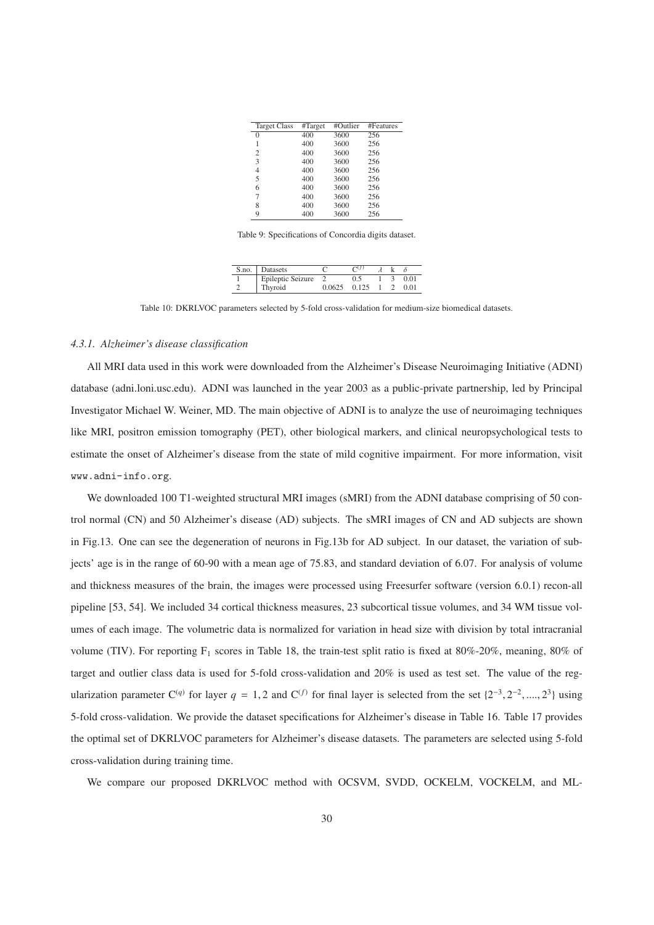| <b>Target Class</b> | #Target | #Outlier | #Features |
|---------------------|---------|----------|-----------|
| 0                   | 400     | 3600     | 256       |
|                     | 400     | 3600     | 256       |
| 2                   | 400     | 3600     | 256       |
| 3                   | 400     | 3600     | 256       |
| 4                   | 400     | 3600     | 256       |
| 5                   | 400     | 3600     | 256       |
| 6                   | 400     | 3600     | 256       |
| 7                   | 400     | 3600     | 256       |
| 8                   | 400     | 3600     | 256       |
| 9                   | 400     | 3600     | 256       |

Table 9: Specifications of Concordia digits dataset.

| S.no. | Datasets          |        |       |  |      |
|-------|-------------------|--------|-------|--|------|
|       | Epileptic Seizure |        |       |  | 0.01 |
|       | Thyroid           | 0.0625 | 0.125 |  | O 01 |

Table 10: DKRLVOC parameters selected by 5-fold cross-validation for medium-size biomedical datasets.

### *4.3.1. Alzheimer's disease classification*

All MRI data used in this work were downloaded from the Alzheimer's Disease Neuroimaging Initiative (ADNI) database (adni.loni.usc.edu). ADNI was launched in the year 2003 as a public-private partnership, led by Principal Investigator Michael W. Weiner, MD. The main objective of ADNI is to analyze the use of neuroimaging techniques like MRI, positron emission tomography (PET), other biological markers, and clinical neuropsychological tests to estimate the onset of Alzheimer's disease from the state of mild cognitive impairment. For more information, visit www.adni-info.org.

We downloaded 100 T1-weighted structural MRI images (sMRI) from the ADNI database comprising of 50 control normal (CN) and 50 Alzheimer's disease (AD) subjects. The sMRI images of CN and AD subjects are shown in Fig.13. One can see the degeneration of neurons in Fig.13b for AD subject. In our dataset, the variation of subjects' age is in the range of 60-90 with a mean age of 75.83, and standard deviation of 6.07. For analysis of volume and thickness measures of the brain, the images were processed using Freesurfer software (version 6.0.1) recon-all pipeline [53, 54]. We included 34 cortical thickness measures, 23 subcortical tissue volumes, and 34 WM tissue volumes of each image. The volumetric data is normalized for variation in head size with division by total intracranial volume (TIV). For reporting  $F_1$  scores in Table 18, the train-test split ratio is fixed at 80%-20%, meaning, 80% of target and outlier class data is used for 5-fold cross-validation and 20% is used as test set. The value of the regularization parameter C<sup>(*q*)</sup> for layer  $q = 1, 2$  and C<sup>(*f*)</sup> for final layer is selected from the set  $\{2^{-3}, 2^{-2}, ..., 2^{3}\}$  using 5-fold cross-validation. We provide the dataset specifications for Alzheimer's disease in Table 16. Table 17 provides the optimal set of DKRLVOC parameters for Alzheimer's disease datasets. The parameters are selected using 5-fold cross-validation during training time.

We compare our proposed DKRLVOC method with OCSVM, SVDD, OCKELM, VOCKELM, and ML-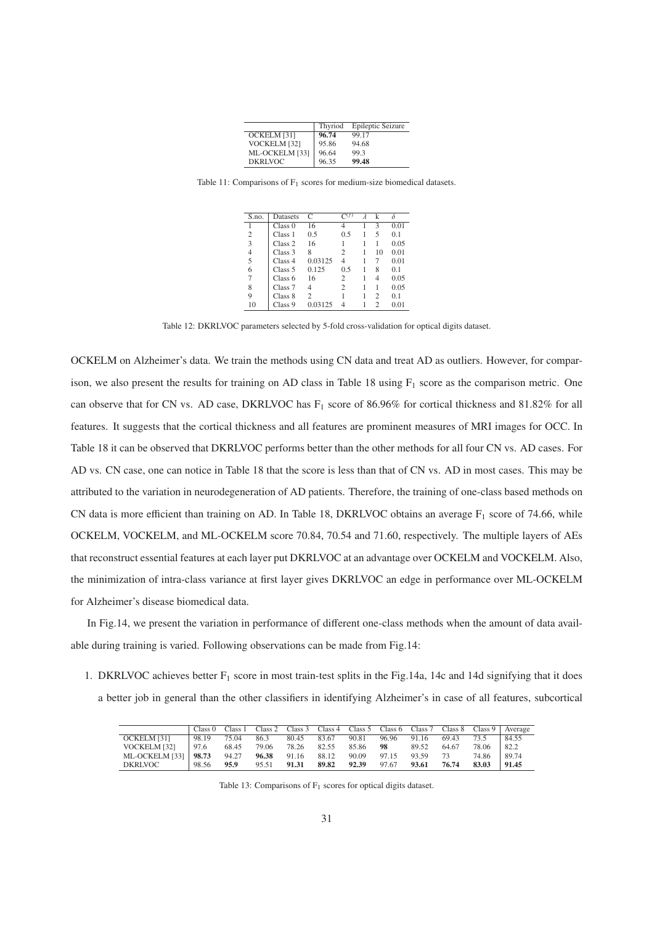|                | Thyriod | Epileptic Seizure |
|----------------|---------|-------------------|
| OCKELM [31]    | 96.74   | 99.17             |
| VOCKELM [32]   | 95.86   | 94.68             |
| ML-OCKELM [33] | 96.64   | 99.3              |
| <b>DKRLVOC</b> | 96.35   | 99.48             |

Table 11: Comparisons of  $F_1$  scores for medium-size biomedical datasets.

| S.no. | Datasets           | C              |                | k  |      |
|-------|--------------------|----------------|----------------|----|------|
|       | Class <sub>0</sub> | 16             |                | 3  | 0.01 |
| 2     | Class 1            | 0.5            | 0.5            | 5  | 0.1  |
| 3     | Class <sub>2</sub> | 16             |                |    | 0.05 |
| 4     | Class 3            | 8              | 2              | 10 | 0.01 |
| 5     | Class <sub>4</sub> | 0.03125        | 4              |    | 0.01 |
| 6     | Class <sub>5</sub> | 0.125          | 0.5            | 8  | 0.1  |
| 7     | Class <sub>6</sub> | 16             | 2              | 4  | 0.05 |
| 8     | Class <sub>7</sub> | 4              | $\mathfrak{D}$ |    | 0.05 |
| 9     | Class 8            | $\overline{c}$ |                | 2  | 0.1  |
| 10    | Class 9            | 0.03125        |                | っ  | 0.01 |

Table 12: DKRLVOC parameters selected by 5-fold cross-validation for optical digits dataset.

OCKELM on Alzheimer's data. We train the methods using CN data and treat AD as outliers. However, for comparison, we also present the results for training on AD class in Table 18 using  $F_1$  score as the comparison metric. One can observe that for CN vs. AD case, DKRLVOC has  $F_1$  score of 86.96% for cortical thickness and 81.82% for all features. It suggests that the cortical thickness and all features are prominent measures of MRI images for OCC. In Table 18 it can be observed that DKRLVOC performs better than the other methods for all four CN vs. AD cases. For AD vs. CN case, one can notice in Table 18 that the score is less than that of CN vs. AD in most cases. This may be attributed to the variation in neurodegeneration of AD patients. Therefore, the training of one-class based methods on CN data is more efficient than training on AD. In Table 18, DKRLVOC obtains an average  $F_1$  score of 74.66, while OCKELM, VOCKELM, and ML-OCKELM score 70.84, 70.54 and 71.60, respectively. The multiple layers of AEs that reconstruct essential features at each layer put DKRLVOC at an advantage over OCKELM and VOCKELM. Also, the minimization of intra-class variance at first layer gives DKRLVOC an edge in performance over ML-OCKELM for Alzheimer's disease biomedical data.

In Fig.14, we present the variation in performance of different one-class methods when the amount of data available during training is varied. Following observations can be made from Fig.14:

1. DKRLVOC achieves better  $F_1$  score in most train-test splits in the Fig.14a, 14c and 14d signifying that it does a better job in general than the other classifiers in identifying Alzheimer's in case of all features, subcortical

|                | Class <sub>0</sub> | Class 1 |       | Class 2 Class 3 Class 4 |       |       |       |       |       |       | Class 5 Class 6 Class 7 Class 8 Class 9   Average |
|----------------|--------------------|---------|-------|-------------------------|-------|-------|-------|-------|-------|-------|---------------------------------------------------|
| OCKELM [31]    | 98.19              | 75.04   | 86.3  | 80.45                   | 83.67 | 90.81 | 96.96 | 91.16 | 69.43 | 73.5  | 84.55                                             |
| VOCKELM [32]   | 97.6               | 68.45   | 79.06 | 78.26                   | 82.55 | 85.86 | 98    | 89.52 | 64.67 | 78.06 | 82.2                                              |
| ML-OCKELM [33] | 98.73              | 94.27   | 96.38 | 91.16                   | 88.12 | 90.09 | 97.15 | 93.59 | 73    | 74.86 | 89.74                                             |
| <b>DKRLVOC</b> | 98.56              | 95.9    | 95.51 | 91.31                   | 89.82 | 92.39 | 97.67 | 93.61 | 76.74 | 83.03 | 91.45                                             |

Table 13: Comparisons of  $F_1$  scores for optical digits dataset.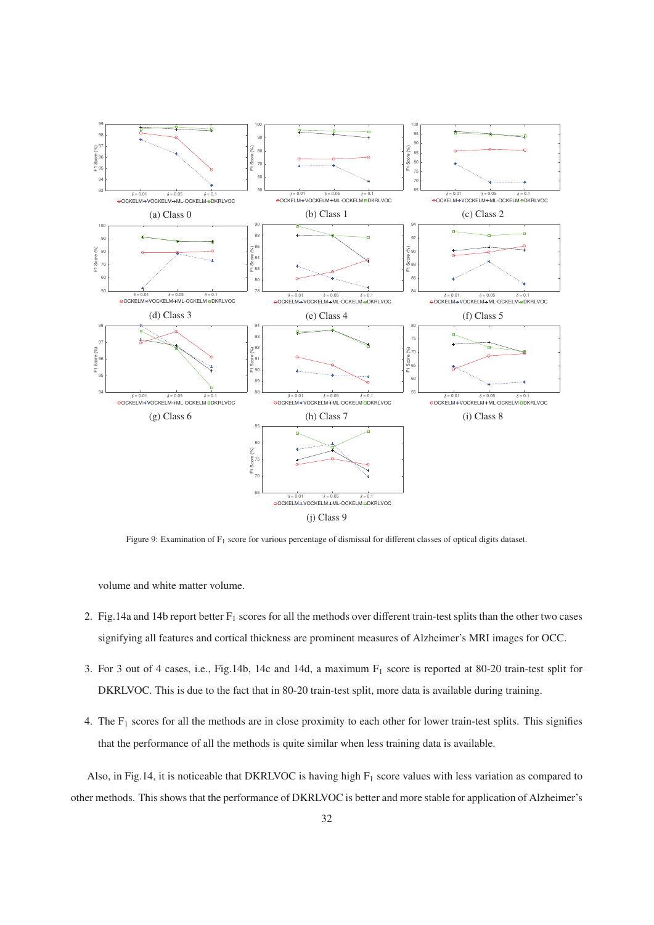

Figure 9: Examination of F<sub>1</sub> score for various percentage of dismissal for different classes of optical digits dataset.

volume and white matter volume.

- 2. Fig.14a and 14b report better  $F_1$  scores for all the methods over different train-test splits than the other two cases signifying all features and cortical thickness are prominent measures of Alzheimer's MRI images for OCC.
- 3. For 3 out of 4 cases, i.e., Fig.14b, 14c and 14d, a maximum  $F_1$  score is reported at 80-20 train-test split for DKRLVOC. This is due to the fact that in 80-20 train-test split, more data is available during training.
- 4. The  $F_1$  scores for all the methods are in close proximity to each other for lower train-test splits. This signifies that the performance of all the methods is quite similar when less training data is available.

Also, in Fig.14, it is noticeable that DKRLVOC is having high  $F_1$  score values with less variation as compared to other methods. This shows that the performance of DKRLVOC is better and more stable for application of Alzheimer's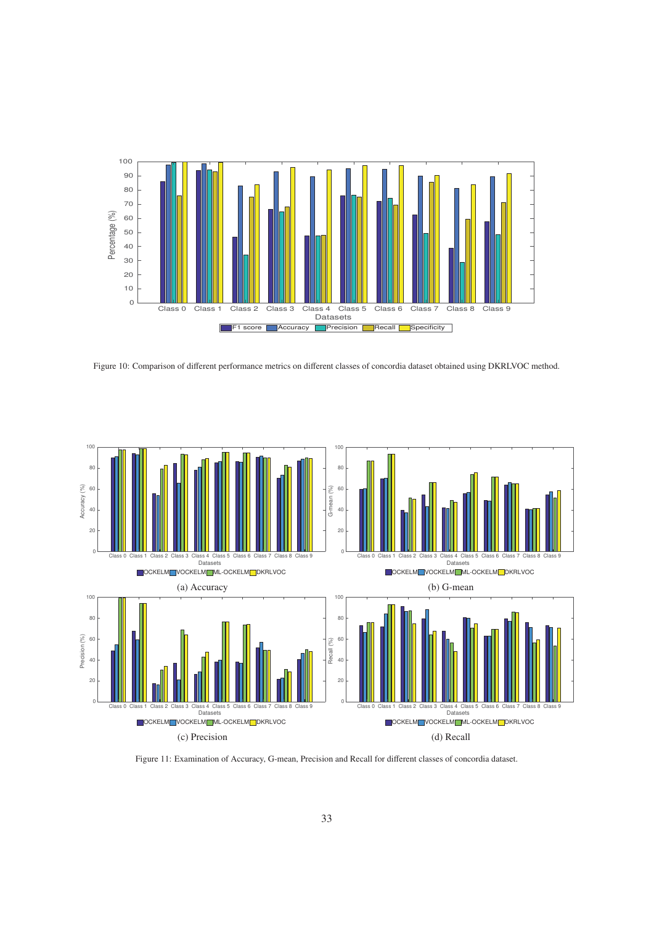

Figure 10: Comparison of different performance metrics on different classes of concordia dataset obtained using DKRLVOC method.



Figure 11: Examination of Accuracy, G-mean, Precision and Recall for different classes of concordia dataset.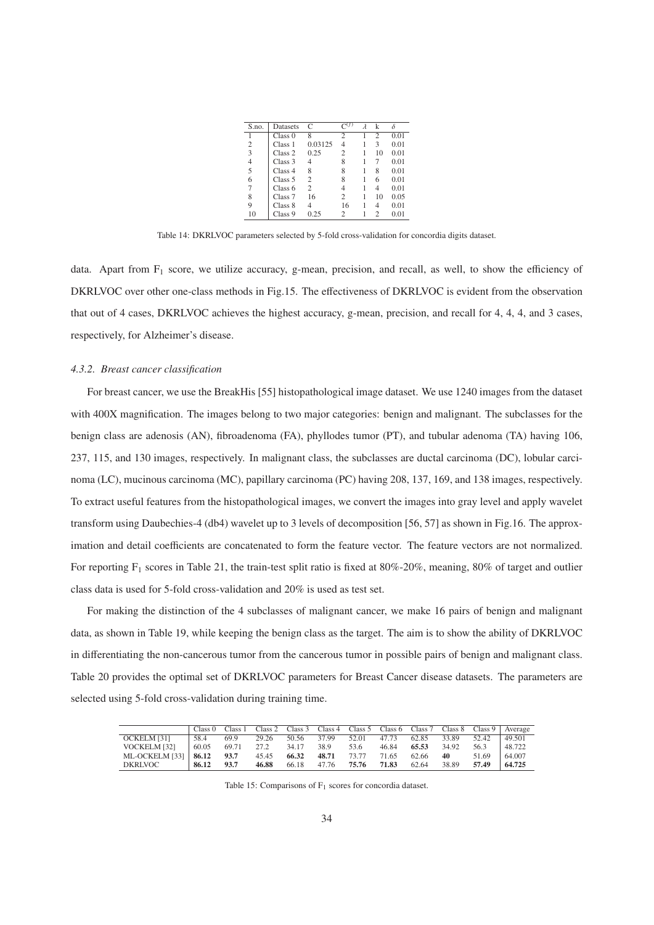| S.no. | Datasets           | C              |                | k              |      |
|-------|--------------------|----------------|----------------|----------------|------|
|       | Class 0            | 8              | $\overline{c}$ | $\mathfrak{2}$ | 0.01 |
| 2     | Class 1            | 0.03125        | 4              | 3              | 0.01 |
| 3     | Class <sub>2</sub> | 0.25           | $\overline{c}$ | 10             | 0.01 |
| 4     | Class 3            | 4              | 8              | 7              | 0.01 |
| 5     | Class <sub>4</sub> | 8              | 8              | 8              | 0.01 |
| 6     | Class <sub>5</sub> | $\overline{c}$ | 8              | 6              | 0.01 |
| 7     | Class <sub>6</sub> | $\overline{c}$ |                | 4              | 0.01 |
| 8     | Class <sub>7</sub> | 16             | $\overline{c}$ | 10             | 0.05 |
| 9     | Class 8            | 4              | 16             | 4              | 0.01 |
| 10    | Class 9            | 0.25           | 2              | 2              | 0.01 |

Table 14: DKRLVOC parameters selected by 5-fold cross-validation for concordia digits dataset.

data. Apart from  $F_1$  score, we utilize accuracy, g-mean, precision, and recall, as well, to show the efficiency of DKRLVOC over other one-class methods in Fig.15. The effectiveness of DKRLVOC is evident from the observation that out of 4 cases, DKRLVOC achieves the highest accuracy, g-mean, precision, and recall for 4, 4, 4, and 3 cases, respectively, for Alzheimer's disease.

### *4.3.2. Breast cancer classification*

For breast cancer, we use the BreakHis [55] histopathological image dataset. We use 1240 images from the dataset with 400X magnification. The images belong to two major categories: benign and malignant. The subclasses for the benign class are adenosis (AN), fibroadenoma (FA), phyllodes tumor (PT), and tubular adenoma (TA) having 106, 237, 115, and 130 images, respectively. In malignant class, the subclasses are ductal carcinoma (DC), lobular carcinoma (LC), mucinous carcinoma (MC), papillary carcinoma (PC) having 208, 137, 169, and 138 images, respectively. To extract useful features from the histopathological images, we convert the images into gray level and apply wavelet transform using Daubechies-4 (db4) wavelet up to 3 levels of decomposition [56, 57] as shown in Fig.16. The approximation and detail coefficients are concatenated to form the feature vector. The feature vectors are not normalized. For reporting F<sub>1</sub> scores in Table 21, the train-test split ratio is fixed at 80%-20%, meaning, 80% of target and outlier class data is used for 5-fold cross-validation and 20% is used as test set.

For making the distinction of the 4 subclasses of malignant cancer, we make 16 pairs of benign and malignant data, as shown in Table 19, while keeping the benign class as the target. The aim is to show the ability of DKRLVOC in differentiating the non-cancerous tumor from the cancerous tumor in possible pairs of benign and malignant class. Table 20 provides the optimal set of DKRLVOC parameters for Breast Cancer disease datasets. The parameters are selected using 5-fold cross-validation during training time.

|                | Class <sub>0</sub> | Class 1 | Class 2 |       |       |       |       |       |       |       | Class 3 Class 4 Class 5 Class 6 Class 7 Class 8 Class 9   Average |
|----------------|--------------------|---------|---------|-------|-------|-------|-------|-------|-------|-------|-------------------------------------------------------------------|
| OCKELM [31]    | 58.4               | 69.9    | 29.26   | 50.56 | 37.99 | 52.01 | 47.73 | 62.85 | 33.89 | 52.42 | 49.501                                                            |
| VOCKELM [32]   | 60.05              | 69.71   | 27.2    | 34.17 | 38.9  | 53.6  | 46.84 | 65.53 | 34.92 | 56.3  | 48.722                                                            |
| ML-OCKELM [33] | 86.12              | 93.7    | 45.45   | 66.32 | 48.71 | 73.77 | 71.65 | 62.66 | 40    | 51.69 | 64.007                                                            |
| <b>DKRLVOC</b> | 86.12              | 93.7    | 46.88   | 66.18 | 47.76 | 75.76 | 71.83 | 62.64 | 38.89 | 57.49 | 64.725                                                            |

Table 15: Comparisons of  $F_1$  scores for concordia dataset.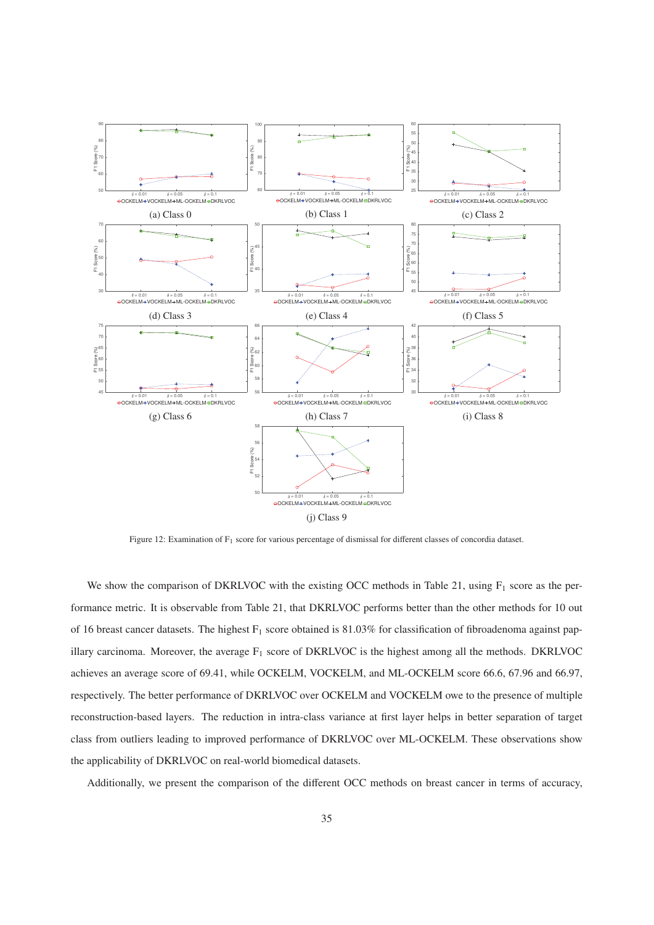

Figure 12: Examination of F1 score for various percentage of dismissal for different classes of concordia dataset.

We show the comparison of DKRLVOC with the existing OCC methods in Table 21, using  $F_1$  score as the performance metric. It is observable from Table 21, that DKRLVOC performs better than the other methods for 10 out of 16 breast cancer datasets. The highest  $F_1$  score obtained is 81.03% for classification of fibroadenoma against papillary carcinoma. Moreover, the average  $F_1$  score of DKRLVOC is the highest among all the methods. DKRLVOC achieves an average score of 69.41, while OCKELM, VOCKELM, and ML-OCKELM score 66.6, 67.96 and 66.97, respectively. The better performance of DKRLVOC over OCKELM and VOCKELM owe to the presence of multiple reconstruction-based layers. The reduction in intra-class variance at first layer helps in better separation of target class from outliers leading to improved performance of DKRLVOC over ML-OCKELM. These observations show the applicability of DKRLVOC on real-world biomedical datasets.

Additionally, we present the comparison of the different OCC methods on breast cancer in terms of accuracy,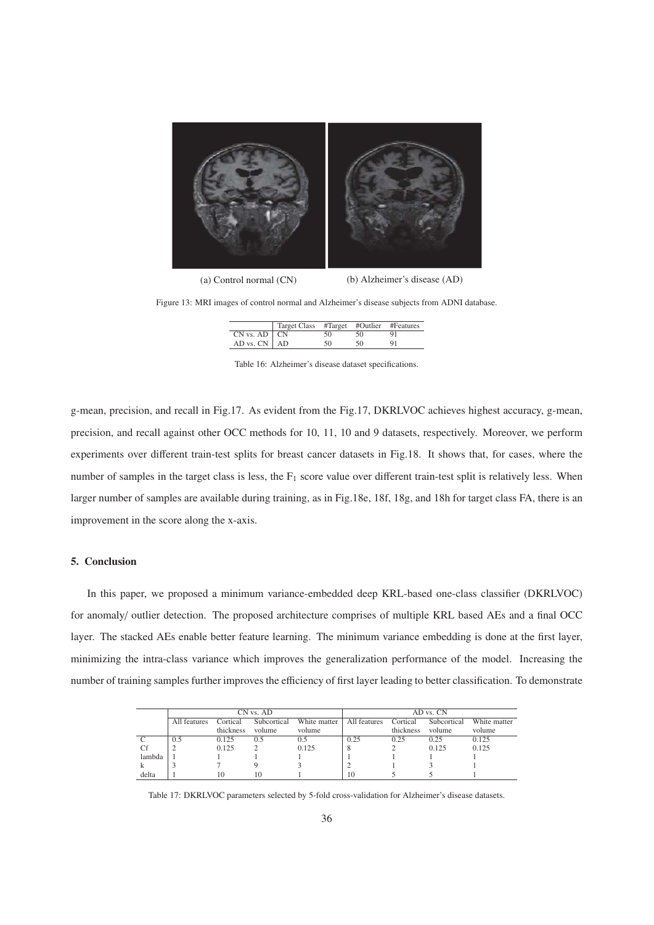

(a) Control normal (CN) (b) Alzheimer's disease (AD)

Figure 13: MRI images of control normal and Alzheimer's disease subjects from ADNI database.

|                    | Target Class #Target #Outlier #Features |    |    |    |
|--------------------|-----------------------------------------|----|----|----|
| $CN$ vs. $AD$ $CN$ |                                         | 50 | 50 | 91 |
| AD vs. $CN$   AD   |                                         | 50 | 50 | 91 |

Table 16: Alzheimer's disease dataset specifications.

g-mean, precision, and recall in Fig.17. As evident from the Fig.17, DKRLVOC achieves highest accuracy, g-mean, precision, and recall against other OCC methods for 10, 11, 10 and 9 datasets, respectively. Moreover, we perform experiments over different train-test splits for breast cancer datasets in Fig.18. It shows that, for cases, where the number of samples in the target class is less, the  $F_1$  score value over different train-test split is relatively less. When larger number of samples are available during training, as in Fig.18e, 18f, 18g, and 18h for target class FA, there is an improvement in the score along the x-axis.

# 5. Conclusion

In this paper, we proposed a minimum variance-embedded deep KRL-based one-class classifier (DKRLVOC) for anomaly/ outlier detection. The proposed architecture comprises of multiple KRL based AEs and a final OCC layer. The stacked AEs enable better feature learning. The minimum variance embedding is done at the first layer, minimizing the intra-class variance which improves the generalization performance of the model. Increasing the number of training samples further improves the efficiency of first layer leading to better classification. To demonstrate

|        |              |           | CN vs. AD   |              | AD vs. CN    |           |             |              |  |
|--------|--------------|-----------|-------------|--------------|--------------|-----------|-------------|--------------|--|
|        | All features | ⊡ortical  | Subcortical | White matter | All features | Cortical  | Subcortical | White matter |  |
|        |              | thickness | volume      | volume       |              | thickness | volume      | volume       |  |
|        | 0.5          | 0.125     | 0.5         | 0.5          | 0.25         | 0.25      | 0.25        | 0.125        |  |
|        |              | 0.125     |             | 0.125        |              |           | 0.125       | 0.125        |  |
| lambda |              |           |             |              |              |           |             |              |  |
|        |              |           |             |              |              |           |             |              |  |
| delta  |              | 10        | 10          |              | 10           |           |             |              |  |

Table 17: DKRLVOC parameters selected by 5-fold cross-validation for Alzheimer's disease datasets.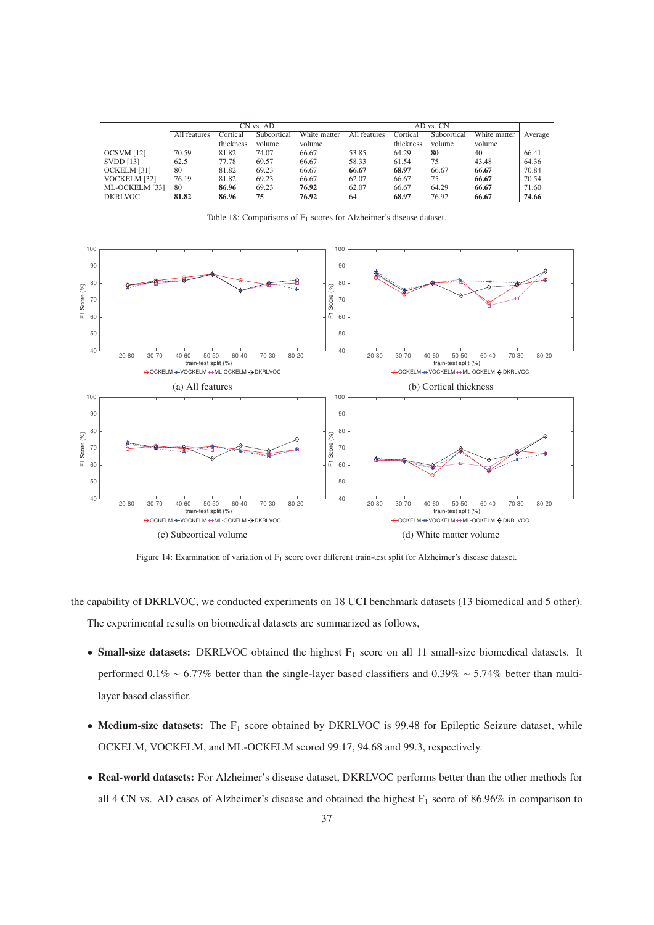|                  |              |           | CN vs. AD   |              |              |           |             |              |         |
|------------------|--------------|-----------|-------------|--------------|--------------|-----------|-------------|--------------|---------|
|                  | All features | Cortical  | Subcortical | White matter | All features | Cortical  | Subcortical | White matter | Average |
|                  |              | thickness | volume      | volume       |              | thickness | volume      | volume       |         |
| OCSVM [12]       | 70.59        | 81.82     | 74.07       | 66.67        | 53.85        | 64.29     | 80          | 40           | 66.41   |
| <b>SVDD</b> [13] | 62.5         | 77.78     | 69.57       | 66.67        | 58.33        | 61.54     | 75          | 43.48        | 64.36   |
| OCKELM [31]      | 80           | 81.82     | 69.23       | 66.67        | 66.67        | 68.97     | 66.67       | 66.67        | 70.84   |
| VOCKELM [32]     | 76.19        | 81.82     | 69.23       | 66.67        | 62.07        | 66.67     | 75          | 66.67        | 70.54   |
| ML-OCKELM [33]   | 80           | 86.96     | 69.23       | 76.92        | 62.07        | 66.67     | 64.29       | 66.67        | 71.60   |
| <b>DKRLVOC</b>   | 81.82        | 86.96     | 75          | 76.92        | 64           | 68.97     | 76.92       | 66.67        | 74.66   |

Table 18: Comparisons of  $F_1$  scores for Alzheimer's disease dataset.



Figure 14: Examination of variation of F<sub>1</sub> score over different train-test split for Alzheimer's disease dataset.

the capability of DKRLVOC, we conducted experiments on 18 UCI benchmark datasets (13 biomedical and 5 other). The experimental results on biomedical datasets are summarized as follows,

- Small-size datasets: DKRLVOC obtained the highest  $F_1$  score on all 11 small-size biomedical datasets. It performed 0.1% ∼ 6.77% better than the single-layer based classifiers and 0.39% ∼ 5.74% better than multilayer based classifier.
- Medium-size datasets: The  $F_1$  score obtained by DKRLVOC is 99.48 for Epileptic Seizure dataset, while OCKELM, VOCKELM, and ML-OCKELM scored 99.17, 94.68 and 99.3, respectively.
- Real-world datasets: For Alzheimer's disease dataset, DKRLVOC performs better than the other methods for all 4 CN vs. AD cases of Alzheimer's disease and obtained the highest  $F_1$  score of 86.96% in comparison to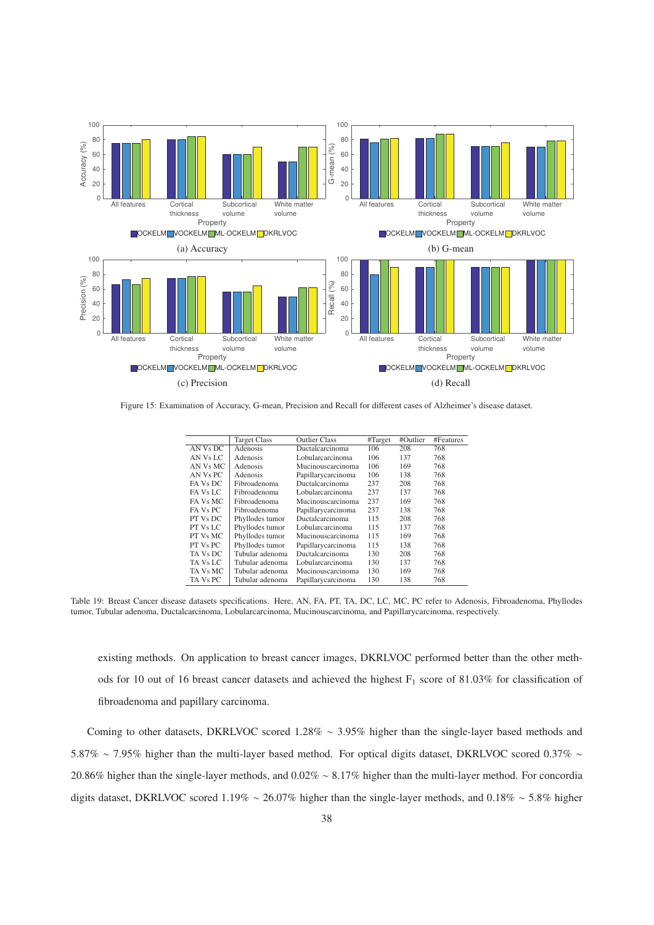

Figure 15: Examination of Accuracy, G-mean, Precision and Recall for different cases of Alzheimer's disease dataset.

|          | <b>Target Class</b> | <b>Outlier Class</b> | #Target | #Outlier | #Features |
|----------|---------------------|----------------------|---------|----------|-----------|
| AN Vs DC | Adenosis            | Ductalcarcinoma      | 106     | 208      | 768       |
| AN Vs LC | Adenosis            | Lobularcarcinoma     | 106     | 137      | 768       |
| AN Vs MC | Adenosis            | Mucinouscarcinoma    | 106     | 169      | 768       |
| AN Vs PC | Adenosis            | Papillarycarcinoma   | 106     | 138      | 768       |
| FA Vs DC | Fibroadenoma        | Ductalcarcinoma      | 237     | 208      | 768       |
| FA Vs LC | Fibroadenoma        | Lobularcarcinoma     | 237     | 137      | 768       |
| FA Vs MC | Fibroadenoma        | Mucinouscarcinoma    | 237     | 169      | 768       |
| FA Vs PC | Fibroadenoma        | Papillarycarcinoma   | 237     | 138      | 768       |
| PT Vs DC | Phyllodes tumor     | Ductalcarcinoma      | 115     | 208      | 768       |
| PT Vs LC | Phyllodes tumor     | Lobularcarcinoma     | 115     | 137      | 768       |
| PT Vs MC | Phyllodes tumor     | Mucinouscarcinoma    | 115     | 169      | 768       |
| PT Vs PC | Phyllodes tumor     | Papillarycarcinoma   | 115     | 138      | 768       |
| TA Vs DC | Tubular adenoma     | Ductalcarcinoma      | 130     | 208      | 768       |
| TA Vs LC | Tubular adenoma     | Lobularcarcinoma     | 130     | 137      | 768       |
| TA Vs MC | Tubular adenoma     | Mucinouscarcinoma    | 130     | 169      | 768       |
| TA Vs PC | Tubular adenoma     | Papillarycarcinoma   | 130     | 138      | 768       |
|          |                     |                      |         |          |           |

Table 19: Breast Cancer disease datasets specifications. Here, AN, FA, PT, TA, DC, LC, MC, PC refer to Adenosis, Fibroadenoma, Phyllodes tumor, Tubular adenoma, Ductalcarcinoma, Lobularcarcinoma, Mucinouscarcinoma, and Papillarycarcinoma, respectively.

existing methods. On application to breast cancer images, DKRLVOC performed better than the other methods for 10 out of 16 breast cancer datasets and achieved the highest  $F_1$  score of 81.03% for classification of fibroadenoma and papillary carcinoma.

Coming to other datasets, DKRLVOC scored 1.28% ∼ 3.95% higher than the single-layer based methods and 5.87% ∼ 7.95% higher than the multi-layer based method. For optical digits dataset, DKRLVOC scored 0.37% ∼ 20.86% higher than the single-layer methods, and 0.02% ∼ 8.17% higher than the multi-layer method. For concordia digits dataset, DKRLVOC scored 1.19% ∼ 26.07% higher than the single-layer methods, and 0.18% ∼ 5.8% higher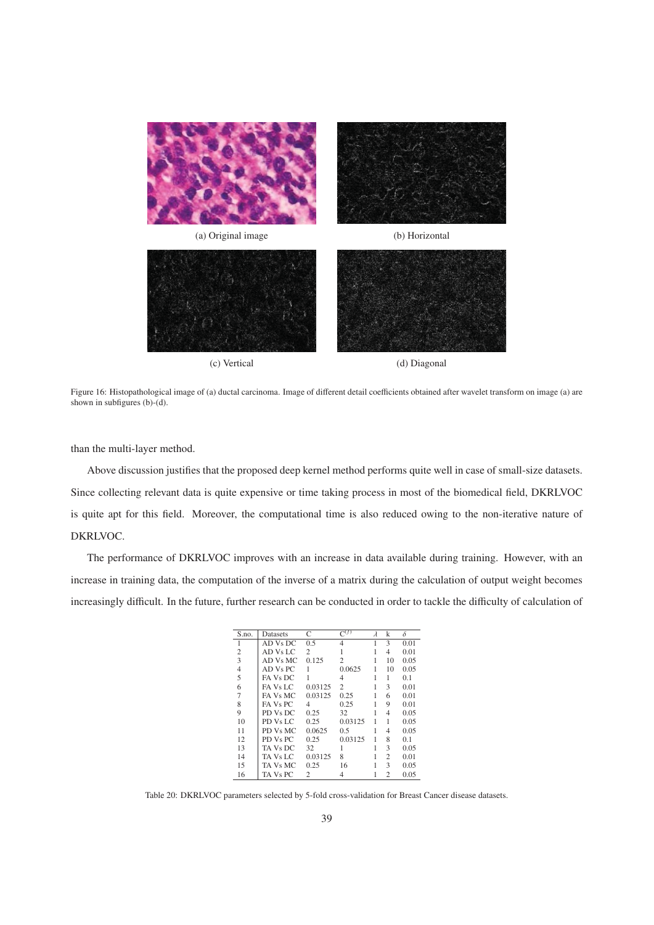

Figure 16: Histopathological image of (a) ductal carcinoma. Image of different detail coefficients obtained after wavelet transform on image (a) are shown in subfigures (b)-(d).

than the multi-layer method.

Above discussion justifies that the proposed deep kernel method performs quite well in case of small-size datasets. Since collecting relevant data is quite expensive or time taking process in most of the biomedical field, DKRLVOC is quite apt for this field. Moreover, the computational time is also reduced owing to the non-iterative nature of DKRLVOC.

The performance of DKRLVOC improves with an increase in data available during training. However, with an increase in training data, the computation of the inverse of a matrix during the calculation of output weight becomes increasingly difficult. In the future, further research can be conducted in order to tackle the difficulty of calculation of

| S.no.          | Datasets       | C              | $\Gamma^{(f)}$ | $\lambda$ | k              | δ    |
|----------------|----------------|----------------|----------------|-----------|----------------|------|
|                | AD Vs DC       | 0.5            | 4              |           | 3              | 0.01 |
| 2              | AD Vs LC       | $\overline{c}$ |                |           | 4              | 0.01 |
| 3              | AD Vs MC       | 0.125          | $\overline{c}$ |           | 10             | 0.05 |
| $\overline{4}$ | $AD$ $Vs$ $PC$ |                | 0.0625         |           | 10             | 0.05 |
| 5              | FA Vs DC       |                | 4              |           | 1              | 0.1  |
| 6              | FA Vs LC       | 0.03125        | 2              |           | 3              | 0.01 |
| 7              | FA Vs MC       | 0.03125        | 0.25           |           | 6              | 0.01 |
| 8              | FA Vs PC       | 4              | 0.25           |           | 9              | 0.01 |
| 9              | PD Vs DC       | 0.25           | 32             |           | 4              | 0.05 |
| 10             | PD Vs LC       | 0.25           | 0.03125        |           | 1              | 0.05 |
| 11             | PD Vs MC       | 0.0625         | 0.5            |           | 4              | 0.05 |
| 12             | PD Vs PC       | 0.25           | 0.03125        |           | 8              | 0.1  |
| 13             | TA Vs DC       | 32             |                |           | 3              | 0.05 |
| 14             | TA Vs LC       | 0.03125        | 8              |           | 2              | 0.01 |
| 15             | TA Vs MC       | 0.25           | 16             |           | 3              | 0.05 |
| 16             | TA Vs PC       | 2              | 4              |           | $\overline{c}$ | 0.05 |

Table 20: DKRLVOC parameters selected by 5-fold cross-validation for Breast Cancer disease datasets.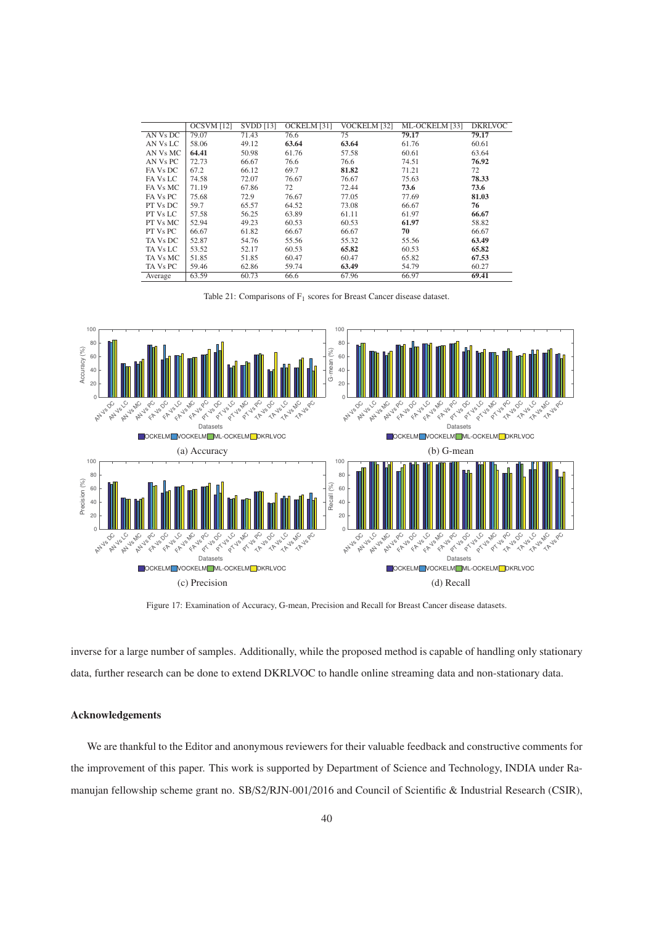|          | OCSVM [12] | <b>SVDD</b> [13] | OCKELM [31] | VOCKELM [32] | ML-OCKELM [33] | <b>DKRLVOC</b> |
|----------|------------|------------------|-------------|--------------|----------------|----------------|
| AN Vs DC | 79.07      | 71.43            | 76.6        | 75           | 79.17          | 79.17          |
| AN Vs LC | 58.06      | 49.12            | 63.64       | 63.64        | 61.76          | 60.61          |
| AN Vs MC | 64.41      | 50.98            | 61.76       | 57.58        | 60.61          | 63.64          |
| AN Vs PC | 72.73      | 66.67            | 76.6        | 76.6         | 74.51          | 76.92          |
| FA Vs DC | 67.2       | 66.12            | 69.7        | 81.82        | 71.21          | 72             |
| FA Vs LC | 74.58      | 72.07            | 76.67       | 76.67        | 75.63          | 78.33          |
| FA Vs MC | 71.19      | 67.86            | 72          | 72.44        | 73.6           | 73.6           |
| FA Vs PC | 75.68      | 72.9             | 76.67       | 77.05        | 77.69          | 81.03          |
| PT Vs DC | 59.7       | 65.57            | 64.52       | 73.08        | 66.67          | 76             |
| PT Vs LC | 57.58      | 56.25            | 63.89       | 61.11        | 61.97          | 66.67          |
| PT Vs MC | 52.94      | 49.23            | 60.53       | 60.53        | 61.97          | 58.82          |
| PT Vs PC | 66.67      | 61.82            | 66.67       | 66.67        | 70             | 66.67          |
| TA Vs DC | 52.87      | 54.76            | 55.56       | 55.32        | 55.56          | 63.49          |
| TA Vs LC | 53.52      | 52.17            | 60.53       | 65.82        | 60.53          | 65.82          |
| TA Vs MC | 51.85      | 51.85            | 60.47       | 60.47        | 65.82          | 67.53          |
| TA Vs PC | 59.46      | 62.86            | 59.74       | 63.49        | 54.79          | 60.27          |
| Average  | 63.59      | 60.73            | 66.6        | 67.96        | 66.97          | 69.41          |

Table 21: Comparisons of F<sub>1</sub> scores for Breast Cancer disease dataset.



Figure 17: Examination of Accuracy, G-mean, Precision and Recall for Breast Cancer disease datasets.

inverse for a large number of samples. Additionally, while the proposed method is capable of handling only stationary data, further research can be done to extend DKRLVOC to handle online streaming data and non-stationary data.

# Acknowledgements

We are thankful to the Editor and anonymous reviewers for their valuable feedback and constructive comments for the improvement of this paper. This work is supported by Department of Science and Technology, INDIA under Ramanujan fellowship scheme grant no. SB/S2/RJN-001/2016 and Council of Scientific & Industrial Research (CSIR),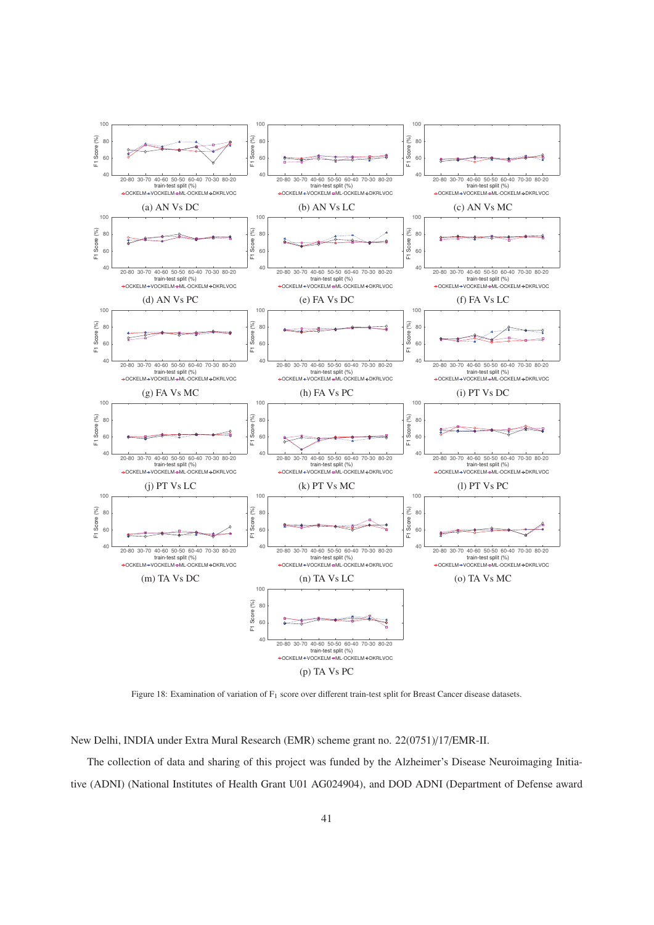

Figure 18: Examination of variation of F<sub>1</sub> score over different train-test split for Breast Cancer disease datasets.

New Delhi, INDIA under Extra Mural Research (EMR) scheme grant no. 22(0751)/17/EMR-II.

The collection of data and sharing of this project was funded by the Alzheimer's Disease Neuroimaging Initiative (ADNI) (National Institutes of Health Grant U01 AG024904), and DOD ADNI (Department of Defense award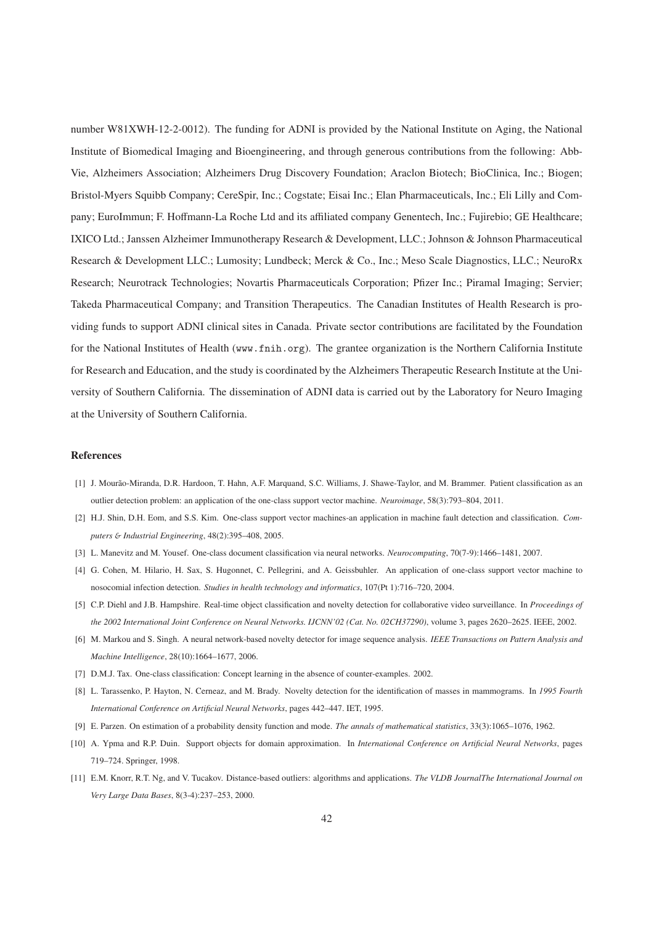number W81XWH-12-2-0012). The funding for ADNI is provided by the National Institute on Aging, the National Institute of Biomedical Imaging and Bioengineering, and through generous contributions from the following: Abb-Vie, Alzheimers Association; Alzheimers Drug Discovery Foundation; Araclon Biotech; BioClinica, Inc.; Biogen; Bristol-Myers Squibb Company; CereSpir, Inc.; Cogstate; Eisai Inc.; Elan Pharmaceuticals, Inc.; Eli Lilly and Company; EuroImmun; F. Hoffmann-La Roche Ltd and its affiliated company Genentech, Inc.; Fujirebio; GE Healthcare; IXICO Ltd.; Janssen Alzheimer Immunotherapy Research & Development, LLC.; Johnson & Johnson Pharmaceutical Research & Development LLC.; Lumosity; Lundbeck; Merck & Co., Inc.; Meso Scale Diagnostics, LLC.; NeuroRx Research; Neurotrack Technologies; Novartis Pharmaceuticals Corporation; Pfizer Inc.; Piramal Imaging; Servier; Takeda Pharmaceutical Company; and Transition Therapeutics. The Canadian Institutes of Health Research is providing funds to support ADNI clinical sites in Canada. Private sector contributions are facilitated by the Foundation for the National Institutes of Health (www.fnih.org). The grantee organization is the Northern California Institute for Research and Education, and the study is coordinated by the Alzheimers Therapeutic Research Institute at the University of Southern California. The dissemination of ADNI data is carried out by the Laboratory for Neuro Imaging at the University of Southern California.

### References

- [1] J. Mourão-Miranda, D.R. Hardoon, T. Hahn, A.F. Marquand, S.C. Williams, J. Shawe-Taylor, and M. Brammer. Patient classification as an outlier detection problem: an application of the one-class support vector machine. *Neuroimage*, 58(3):793–804, 2011.
- [2] H.J. Shin, D.H. Eom, and S.S. Kim. One-class support vector machines-an application in machine fault detection and classification. *Computers* & *Industrial Engineering*, 48(2):395–408, 2005.
- [3] L. Manevitz and M. Yousef. One-class document classification via neural networks. *Neurocomputing*, 70(7-9):1466–1481, 2007.
- [4] G. Cohen, M. Hilario, H. Sax, S. Hugonnet, C. Pellegrini, and A. Geissbuhler. An application of one-class support vector machine to nosocomial infection detection. *Studies in health technology and informatics*, 107(Pt 1):716–720, 2004.
- [5] C.P. Diehl and J.B. Hampshire. Real-time object classification and novelty detection for collaborative video surveillance. In *Proceedings of the 2002 International Joint Conference on Neural Networks. IJCNN'02 (Cat. No. 02CH37290)*, volume 3, pages 2620–2625. IEEE, 2002.
- [6] M. Markou and S. Singh. A neural network-based novelty detector for image sequence analysis. *IEEE Transactions on Pattern Analysis and Machine Intelligence*, 28(10):1664–1677, 2006.
- [7] D.M.J. Tax. One-class classification: Concept learning in the absence of counter-examples. 2002.
- [8] L. Tarassenko, P. Hayton, N. Cerneaz, and M. Brady. Novelty detection for the identification of masses in mammograms. In *1995 Fourth International Conference on Artificial Neural Networks*, pages 442–447. IET, 1995.
- [9] E. Parzen. On estimation of a probability density function and mode. *The annals of mathematical statistics*, 33(3):1065–1076, 1962.
- [10] A. Ypma and R.P. Duin. Support objects for domain approximation. In *International Conference on Artificial Neural Networks*, pages 719–724. Springer, 1998.
- [11] E.M. Knorr, R.T. Ng, and V. Tucakov. Distance-based outliers: algorithms and applications. *The VLDB JournalThe International Journal on Very Large Data Bases*, 8(3-4):237–253, 2000.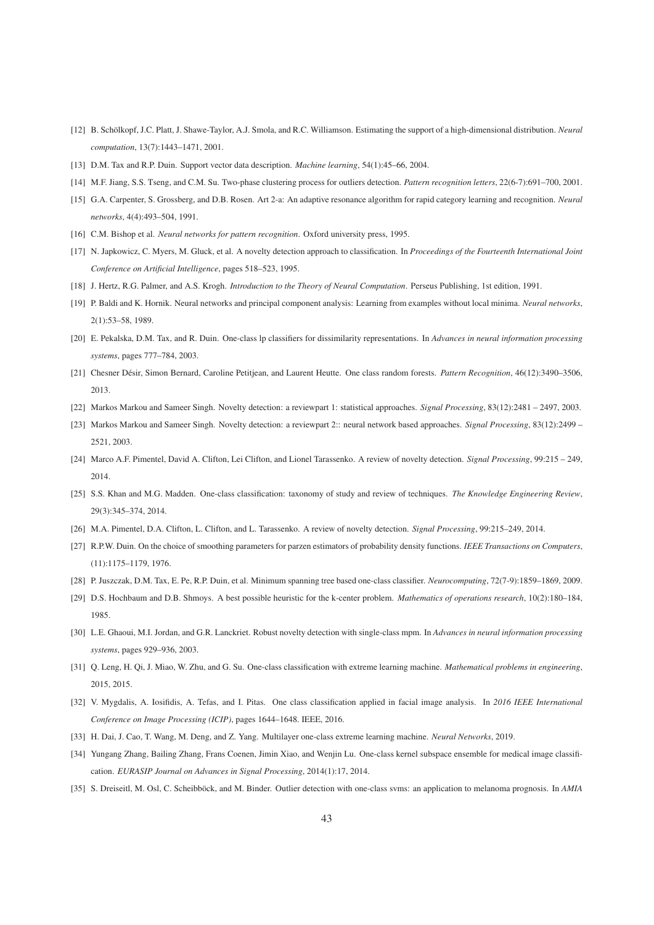- [12] B. Schölkopf, J.C. Platt, J. Shawe-Taylor, A.J. Smola, and R.C. Williamson. Estimating the support of a high-dimensional distribution. *Neural computation*, 13(7):1443–1471, 2001.
- [13] D.M. Tax and R.P. Duin. Support vector data description. *Machine learning*, 54(1):45–66, 2004.
- [14] M.F. Jiang, S.S. Tseng, and C.M. Su. Two-phase clustering process for outliers detection. *Pattern recognition letters*, 22(6-7):691–700, 2001.
- [15] G.A. Carpenter, S. Grossberg, and D.B. Rosen. Art 2-a: An adaptive resonance algorithm for rapid category learning and recognition. *Neural networks*, 4(4):493–504, 1991.
- [16] C.M. Bishop et al. *Neural networks for pattern recognition*. Oxford university press, 1995.
- [17] N. Japkowicz, C. Myers, M. Gluck, et al. A novelty detection approach to classification. In *Proceedings of the Fourteenth International Joint Conference on Artificial Intelligence*, pages 518–523, 1995.
- [18] J. Hertz, R.G. Palmer, and A.S. Krogh. *Introduction to the Theory of Neural Computation*. Perseus Publishing, 1st edition, 1991.
- [19] P. Baldi and K. Hornik. Neural networks and principal component analysis: Learning from examples without local minima. *Neural networks*, 2(1):53–58, 1989.
- [20] E. Pekalska, D.M. Tax, and R. Duin. One-class lp classifiers for dissimilarity representations. In *Advances in neural information processing systems*, pages 777–784, 2003.
- [21] Chesner Désir, Simon Bernard, Caroline Petitjean, and Laurent Heutte. One class random forests. Pattern Recognition, 46(12):3490-3506, 2013.
- [22] Markos Markou and Sameer Singh. Novelty detection: a reviewpart 1: statistical approaches. *Signal Processing*, 83(12):2481 2497, 2003.
- [23] Markos Markou and Sameer Singh. Novelty detection: a reviewpart 2:: neural network based approaches. *Signal Processing*, 83(12):2499 2521, 2003.
- [24] Marco A.F. Pimentel, David A. Clifton, Lei Clifton, and Lionel Tarassenko. A review of novelty detection. *Signal Processing*, 99:215 249, 2014.
- [25] S.S. Khan and M.G. Madden. One-class classification: taxonomy of study and review of techniques. *The Knowledge Engineering Review*, 29(3):345–374, 2014.
- [26] M.A. Pimentel, D.A. Clifton, L. Clifton, and L. Tarassenko. A review of novelty detection. *Signal Processing*, 99:215–249, 2014.
- [27] R.P.W. Duin. On the choice of smoothing parameters for parzen estimators of probability density functions. *IEEE Transactions on Computers*, (11):1175–1179, 1976.
- [28] P. Juszczak, D.M. Tax, E. Pe, R.P. Duin, et al. Minimum spanning tree based one-class classifier. *Neurocomputing*, 72(7-9):1859–1869, 2009.
- [29] D.S. Hochbaum and D.B. Shmoys. A best possible heuristic for the k-center problem. *Mathematics of operations research*, 10(2):180–184, 1985.
- [30] L.E. Ghaoui, M.I. Jordan, and G.R. Lanckriet. Robust novelty detection with single-class mpm. In *Advances in neural information processing systems*, pages 929–936, 2003.
- [31] Q. Leng, H. Qi, J. Miao, W. Zhu, and G. Su. One-class classification with extreme learning machine. *Mathematical problems in engineering*, 2015, 2015.
- [32] V. Mygdalis, A. Iosifidis, A. Tefas, and I. Pitas. One class classification applied in facial image analysis. In *2016 IEEE International Conference on Image Processing (ICIP)*, pages 1644–1648. IEEE, 2016.
- [33] H. Dai, J. Cao, T. Wang, M. Deng, and Z. Yang. Multilayer one-class extreme learning machine. *Neural Networks*, 2019.
- [34] Yungang Zhang, Bailing Zhang, Frans Coenen, Jimin Xiao, and Wenjin Lu. One-class kernel subspace ensemble for medical image classification. *EURASIP Journal on Advances in Signal Processing*, 2014(1):17, 2014.
- [35] S. Dreiseitl, M. Osl, C. Scheibböck, and M. Binder. Outlier detection with one-class syms: an application to melanoma prognosis. In *AMIA*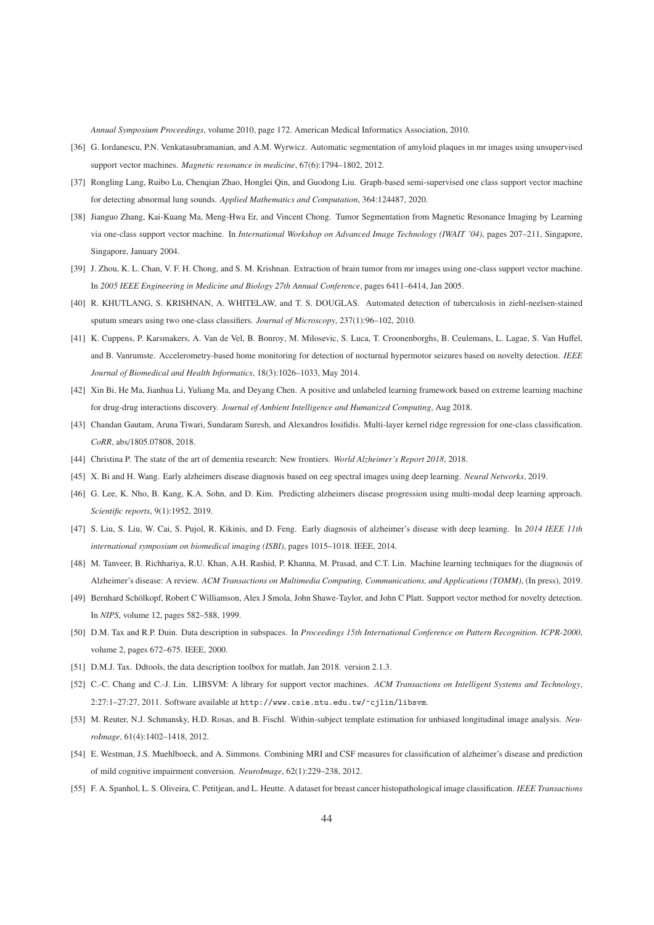*Annual Symposium Proceedings*, volume 2010, page 172. American Medical Informatics Association, 2010.

- [36] G. Iordanescu, P.N. Venkatasubramanian, and A.M. Wyrwicz. Automatic segmentation of amyloid plaques in mr images using unsupervised support vector machines. *Magnetic resonance in medicine*, 67(6):1794–1802, 2012.
- [37] Rongling Lang, Ruibo Lu, Chenqian Zhao, Honglei Qin, and Guodong Liu. Graph-based semi-supervised one class support vector machine for detecting abnormal lung sounds. *Applied Mathematics and Computation*, 364:124487, 2020.
- [38] Jianguo Zhang, Kai-Kuang Ma, Meng-Hwa Er, and Vincent Chong. Tumor Segmentation from Magnetic Resonance Imaging by Learning via one-class support vector machine. In *International Workshop on Advanced Image Technology (IWAIT '04)*, pages 207–211, Singapore, Singapore, January 2004.
- [39] J. Zhou, K. L. Chan, V. F. H. Chong, and S. M. Krishnan. Extraction of brain tumor from mr images using one-class support vector machine. In *2005 IEEE Engineering in Medicine and Biology 27th Annual Conference*, pages 6411–6414, Jan 2005.
- [40] R. KHUTLANG, S. KRISHNAN, A. WHITELAW, and T. S. DOUGLAS. Automated detection of tuberculosis in ziehl-neelsen-stained sputum smears using two one-class classifiers. *Journal of Microscopy*, 237(1):96–102, 2010.
- [41] K. Cuppens, P. Karsmakers, A. Van de Vel, B. Bonroy, M. Milosevic, S. Luca, T. Croonenborghs, B. Ceulemans, L. Lagae, S. Van Huffel, and B. Vanrumste. Accelerometry-based home monitoring for detection of nocturnal hypermotor seizures based on novelty detection. *IEEE Journal of Biomedical and Health Informatics*, 18(3):1026–1033, May 2014.
- [42] Xin Bi, He Ma, Jianhua Li, Yuliang Ma, and Deyang Chen. A positive and unlabeled learning framework based on extreme learning machine for drug-drug interactions discovery. *Journal of Ambient Intelligence and Humanized Computing*, Aug 2018.
- [43] Chandan Gautam, Aruna Tiwari, Sundaram Suresh, and Alexandros Iosifidis. Multi-layer kernel ridge regression for one-class classification. *CoRR*, abs/1805.07808, 2018.
- [44] Christina P. The state of the art of dementia research: New frontiers. *World Alzheimer's Report 2018*, 2018.
- [45] X. Bi and H. Wang. Early alzheimers disease diagnosis based on eeg spectral images using deep learning. *Neural Networks*, 2019.
- [46] G. Lee, K. Nho, B. Kang, K.A. Sohn, and D. Kim. Predicting alzheimers disease progression using multi-modal deep learning approach. *Scientific reports*, 9(1):1952, 2019.
- [47] S. Liu, S. Liu, W. Cai, S. Pujol, R. Kikinis, and D. Feng. Early diagnosis of alzheimer's disease with deep learning. In *2014 IEEE 11th international symposium on biomedical imaging (ISBI)*, pages 1015–1018. IEEE, 2014.
- [48] M. Tanveer, B. Richhariya, R.U. Khan, A.H. Rashid, P. Khanna, M. Prasad, and C.T. Lin. Machine learning techniques for the diagnosis of Alzheimer's disease: A review. *ACM Transactions on Multimedia Computing, Communications, and Applications (TOMM)*, (In press), 2019.
- [49] Bernhard Schölkopf, Robert C Williamson, Alex J Smola, John Shawe-Taylor, and John C Platt. Support vector method for novelty detection. In *NIPS*, volume 12, pages 582–588, 1999.
- [50] D.M. Tax and R.P. Duin. Data description in subspaces. In *Proceedings 15th International Conference on Pattern Recognition. ICPR-2000*, volume 2, pages 672–675. IEEE, 2000.
- [51] D.M.J. Tax. Ddtools, the data description toolbox for matlab, Jan 2018. version 2.1.3.
- [52] C.-C. Chang and C.-J. Lin. LIBSVM: A library for support vector machines. *ACM Transactions on Intelligent Systems and Technology*, 2:27:1–27:27, 2011. Software available at http://www.csie.ntu.edu.tw/~cjlin/libsvm.
- [53] M. Reuter, N.J. Schmansky, H.D. Rosas, and B. Fischl. Within-subject template estimation for unbiased longitudinal image analysis. *NeuroImage*, 61(4):1402–1418, 2012.
- [54] E. Westman, J.S. Muehlboeck, and A. Simmons. Combining MRI and CSF measures for classification of alzheimer's disease and prediction of mild cognitive impairment conversion. *NeuroImage*, 62(1):229–238, 2012.
- [55] F. A. Spanhol, L. S. Oliveira, C. Petitjean, and L. Heutte. A dataset for breast cancer histopathological image classification. *IEEE Transactions*